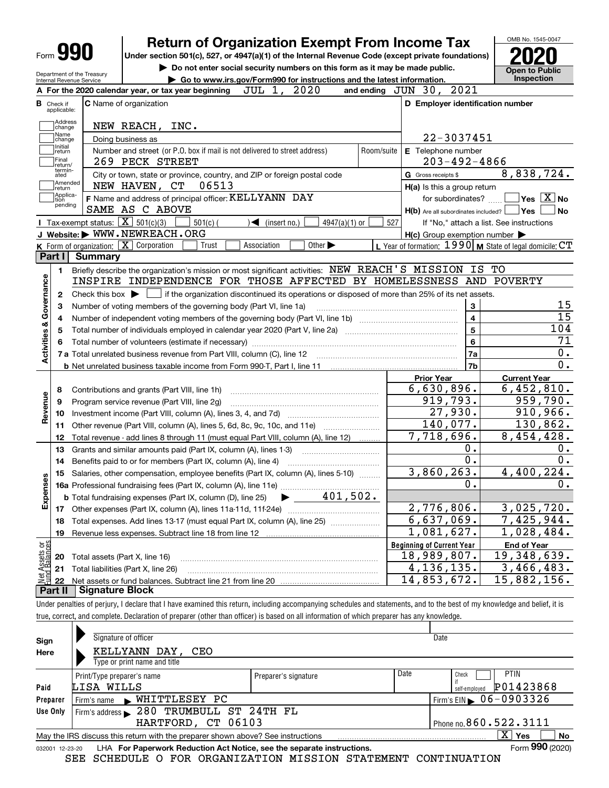| п<br>Form |  |
|-----------|--|
|-----------|--|

Department of the Treasury Internal Revenue Service

## **Return of Organization Exempt From Income Tax**

**Under section 501(c), 527, or 4947(a)(1) of the Internal Revenue Code (except private foundations) 2020**

**| Do not enter social security numbers on this form as it may be made public. | Go to www.irs.gov/Form990 for instructions and the latest information. Inspection**



|                         |                               | A For the 2020 calendar year, or tax year beginning JUL 1, 2020                                                              |                                  | and ending JUN 30, 2021                                 |                                                           |  |  |  |
|-------------------------|-------------------------------|------------------------------------------------------------------------------------------------------------------------------|----------------------------------|---------------------------------------------------------|-----------------------------------------------------------|--|--|--|
| в                       | Check if<br>applicable:       | C Name of organization                                                                                                       |                                  | D Employer identification number                        |                                                           |  |  |  |
|                         | Address<br>change             | NEW REACH, INC.                                                                                                              |                                  |                                                         |                                                           |  |  |  |
|                         | Name<br>change                | Doing business as                                                                                                            | 22-3037451                       |                                                         |                                                           |  |  |  |
|                         | Initial<br>return             | Number and street (or P.O. box if mail is not delivered to street address)                                                   | E Telephone number<br>Room/suite |                                                         |                                                           |  |  |  |
|                         | Final<br>return/              | 269 PECK STREET                                                                                                              | $203 - 492 - 4866$               |                                                         |                                                           |  |  |  |
|                         | termin-<br>ated               | City or town, state or province, country, and ZIP or foreign postal code                                                     |                                  | G Gross receipts \$                                     | 8,838,724.                                                |  |  |  |
|                         | Amended<br>return             | NEW HAVEN, CT<br>06513                                                                                                       |                                  | $H(a)$ is this a group return                           |                                                           |  |  |  |
|                         | Applica-<br>l tion<br>pending | F Name and address of principal officer: KELLYANN DAY<br>SAME AS C ABOVE                                                     |                                  |                                                         | for subordinates? $\frac{1}{2}$ Yes $\boxed{X}$ No        |  |  |  |
|                         |                               | <b>I</b> Tax-exempt status: $\overline{X}$ 501(c)(3)<br>$\sqrt{\bullet}$ (insert no.)<br>$501(c)$ (<br>$4947(a)(1)$ or       | 527                              | $H(b)$ Are all subordinates included? $\Box$ Yes $\Box$ | ∣No<br>If "No," attach a list. See instructions           |  |  |  |
|                         |                               | J Website: WWW.NEWREACH.ORG                                                                                                  |                                  | $H(c)$ Group exemption number $\blacktriangleright$     |                                                           |  |  |  |
|                         |                               | K Form of organization: X Corporation<br>Association<br>Other $\blacktriangleright$<br>Trust                                 |                                  |                                                         | L Year of formation: $1990$ M State of legal domicile: CT |  |  |  |
|                         | Part I                        | <b>Summary</b>                                                                                                               |                                  |                                                         |                                                           |  |  |  |
|                         | 1.                            | Briefly describe the organization's mission or most significant activities: NEW REACH'S MISSION IS TO                        |                                  |                                                         |                                                           |  |  |  |
|                         |                               | INSPIRE INDEPENDENCE FOR THOSE AFFECTED BY HOMELESSNESS AND POVERTY                                                          |                                  |                                                         |                                                           |  |  |  |
| Activities & Governance | $\mathbf{2}$                  |                                                                                                                              |                                  |                                                         |                                                           |  |  |  |
|                         | 3                             | Number of voting members of the governing body (Part VI, line 1a)                                                            |                                  | 3                                                       | 15                                                        |  |  |  |
|                         | 4                             |                                                                                                                              | $\overline{4}$                   | $\overline{15}$                                         |                                                           |  |  |  |
|                         | 5                             |                                                                                                                              | $\overline{5}$                   | 104                                                     |                                                           |  |  |  |
|                         |                               |                                                                                                                              |                                  | 6                                                       | 71                                                        |  |  |  |
|                         |                               |                                                                                                                              | 7a                               | 0.                                                      |                                                           |  |  |  |
|                         |                               | <b>b</b> Net unrelated business taxable income from Form 990-T, Part I, line 11 <i>maching communional communion</i> control |                                  | 7b                                                      | 0.                                                        |  |  |  |
|                         |                               |                                                                                                                              |                                  | <b>Prior Year</b><br>6,630,896.                         | <b>Current Year</b><br>6,452,810.                         |  |  |  |
|                         | 8                             |                                                                                                                              |                                  |                                                         |                                                           |  |  |  |
| Revenue                 | 9                             | Program service revenue (Part VIII, line 2g)                                                                                 |                                  | 919,793.                                                | 959,790.                                                  |  |  |  |
|                         | 10                            |                                                                                                                              |                                  | 27,930.                                                 | 910, 966.                                                 |  |  |  |
|                         | 11                            | Other revenue (Part VIII, column (A), lines 5, 6d, 8c, 9c, 10c, and 11e)                                                     |                                  | 140,077.                                                | 130,862.                                                  |  |  |  |
|                         | 12                            | Total revenue - add lines 8 through 11 (must equal Part VIII, column (A), line 12)                                           |                                  | 7,718,696.                                              | $\overline{8}$ , 454, 428.                                |  |  |  |
|                         | 13                            | Grants and similar amounts paid (Part IX, column (A), lines 1-3)                                                             |                                  | 0.                                                      | 0.                                                        |  |  |  |
|                         | 14                            |                                                                                                                              | $\overline{0}$ .                 | 0.                                                      |                                                           |  |  |  |
|                         | 15                            | Salaries, other compensation, employee benefits (Part IX, column (A), lines 5-10)                                            |                                  | 3,860,263.                                              | 4,400,224.                                                |  |  |  |
| Expenses                |                               |                                                                                                                              |                                  | 0.                                                      | $0$ .                                                     |  |  |  |
|                         |                               | 401,502.<br><b>b</b> Total fundraising expenses (Part IX, column (D), line $25$ )                                            |                                  |                                                         |                                                           |  |  |  |
|                         |                               |                                                                                                                              |                                  | 2,776,806.                                              | 3,025,720.                                                |  |  |  |
|                         | 18                            | Total expenses. Add lines 13-17 (must equal Part IX, column (A), line 25) [                                                  |                                  | 6,637,069.                                              | 7,425,944.                                                |  |  |  |
|                         | 19                            |                                                                                                                              |                                  | 1,081,627.                                              | 1,028,484.                                                |  |  |  |
| بَوْج                   |                               |                                                                                                                              |                                  | <b>Beginning of Current Year</b>                        | <b>End of Year</b>                                        |  |  |  |
| Sets<br>aland           |                               | <b>20</b> Total assets (Part X, line 16)                                                                                     |                                  | 18,989,807.                                             | 19,348,639.                                               |  |  |  |
|                         |                               | 21 Total liabilities (Part X, line 26)                                                                                       |                                  | 4, 136, 135.                                            | 3,466,483.                                                |  |  |  |
|                         | 22<br>Part II                 | <b>Signature Block</b>                                                                                                       |                                  | 14,853,672.                                             | $\overline{15}$ , 882, 156.                               |  |  |  |
|                         |                               |                                                                                                                              |                                  |                                                         |                                                           |  |  |  |

Under penalties of perjury, I declare that I have examined this return, including accompanying schedules and statements, and to the best of my knowledge and belief, it is true, correct, and complete. Declaration of preparer (other than officer) is based on all information of which preparer has any knowledge.

| Signature of officer         |                                                               | Date                                                                                                                                                                                                                                              |                                        |  |
|------------------------------|---------------------------------------------------------------|---------------------------------------------------------------------------------------------------------------------------------------------------------------------------------------------------------------------------------------------------|----------------------------------------|--|
| KELLYANN DAY, CEO            |                                                               |                                                                                                                                                                                                                                                   |                                        |  |
|                              |                                                               |                                                                                                                                                                                                                                                   |                                        |  |
| Print/Type preparer's name   |                                                               | Check                                                                                                                                                                                                                                             | <b>PTIN</b>                            |  |
|                              |                                                               |                                                                                                                                                                                                                                                   | P01423868<br>self-emploved             |  |
| NHITTLESEY PC<br>Firm's name |                                                               |                                                                                                                                                                                                                                                   | Firm's EIN $\triangleright$ 06-0903326 |  |
|                              |                                                               |                                                                                                                                                                                                                                                   |                                        |  |
|                              |                                                               | Phone no. 860.522.3111                                                                                                                                                                                                                            |                                        |  |
|                              |                                                               |                                                                                                                                                                                                                                                   | $X \mid Y$ es<br><b>No</b>             |  |
|                              |                                                               |                                                                                                                                                                                                                                                   | Form 990 (2020)                        |  |
|                              | Type or print name and title<br>LISA WILLS<br>032001 12-23-20 | Preparer's signature<br>Firm's address 280 TRUMBULL ST 24TH FL<br>HARTFORD, CT 06103<br>May the IRS discuss this return with the preparer shown above? See instructions<br>LHA For Paperwork Reduction Act Notice, see the separate instructions. | Date                                   |  |

SEE SCHEDULE O FOR ORGANIZATION MISSION STATEMENT CONTINUATION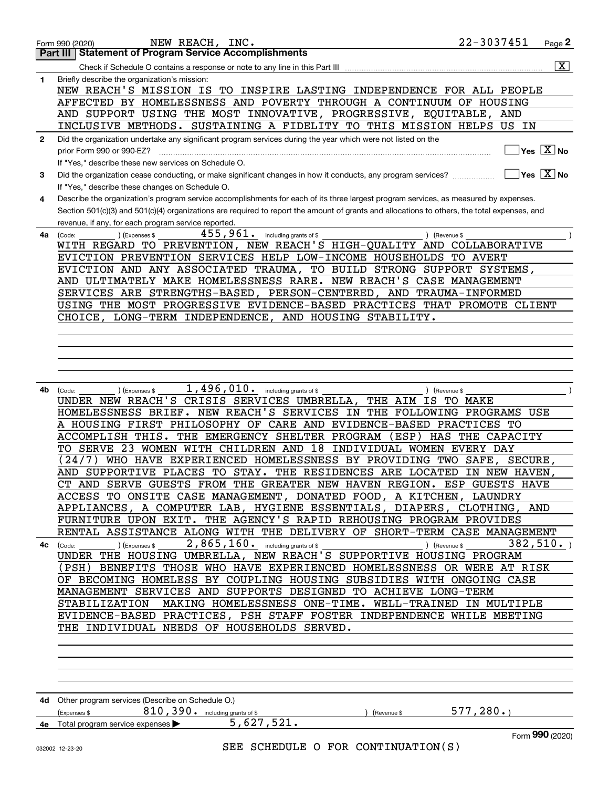|              | NEW REACH, INC.<br>Form 990 (2020)                                                                                                           | 22-3037451                                      | $Page$ 2                                          |
|--------------|----------------------------------------------------------------------------------------------------------------------------------------------|-------------------------------------------------|---------------------------------------------------|
|              | <b>Statement of Program Service Accomplishments</b><br>Part III                                                                              |                                                 |                                                   |
|              |                                                                                                                                              |                                                 | $\boxed{\textbf{X}}$                              |
| 1            | Briefly describe the organization's mission:                                                                                                 |                                                 |                                                   |
|              | NEW REACH'S MISSION IS TO INSPIRE LASTING INDEPENDENCE FOR ALL PEOPLE                                                                        |                                                 |                                                   |
|              | AFFECTED BY HOMELESSNESS AND POVERTY THROUGH A CONTINUUM OF HOUSING                                                                          |                                                 |                                                   |
|              | AND SUPPORT USING THE MOST INNOVATIVE, PROGRESSIVE, EQUITABLE, AND                                                                           |                                                 |                                                   |
|              | INCLUSIVE METHODS. SUSTAINING A FIDELITY TO THIS MISSION HELPS US IN                                                                         |                                                 |                                                   |
| $\mathbf{2}$ | Did the organization undertake any significant program services during the year which were not listed on the                                 |                                                 |                                                   |
|              | prior Form 990 or 990-EZ?                                                                                                                    |                                                 | $\boxed{\phantom{1}}$ Yes $\boxed{\mathrm{X}}$ No |
|              | If "Yes," describe these new services on Schedule O.                                                                                         |                                                 |                                                   |
| 3            |                                                                                                                                              | $\boxed{\phantom{1}}$ Yes $\boxed{\text{X}}$ No |                                                   |
|              | If "Yes," describe these changes on Schedule O.                                                                                              |                                                 |                                                   |
| 4            | Describe the organization's program service accomplishments for each of its three largest program services, as measured by expenses.         |                                                 |                                                   |
|              | Section 501(c)(3) and 501(c)(4) organizations are required to report the amount of grants and allocations to others, the total expenses, and |                                                 |                                                   |
|              | revenue, if any, for each program service reported.                                                                                          |                                                 |                                                   |
| 4a           | $455$ , $961$ . including grants of \$<br>(Expenses \$<br>) (Revenue \$<br>(Code:                                                            |                                                 |                                                   |
|              | WITH REGARD TO PREVENTION, NEW REACH'S HIGH-QUALITY AND COLLABORATIVE                                                                        |                                                 |                                                   |
|              | EVICTION PREVENTION SERVICES HELP LOW-INCOME HOUSEHOLDS TO AVERT                                                                             |                                                 |                                                   |
|              | EVICTION AND ANY ASSOCIATED TRAUMA, TO BUILD STRONG SUPPORT SYSTEMS,                                                                         |                                                 |                                                   |
|              | AND ULTIMATELY MAKE HOMELESSNESS RARE. NEW REACH'S CASE MANAGEMENT                                                                           |                                                 |                                                   |
|              | SERVICES ARE STRENGTHS-BASED, PERSON-CENTERED, AND TRAUMA-INFORMED                                                                           |                                                 |                                                   |
|              | USING THE MOST PROGRESSIVE EVIDENCE-BASED PRACTICES THAT PROMOTE CLIENT                                                                      |                                                 |                                                   |
|              | CHOICE, LONG-TERM INDEPENDENCE, AND HOUSING STABILITY.                                                                                       |                                                 |                                                   |
|              |                                                                                                                                              |                                                 |                                                   |
|              |                                                                                                                                              |                                                 |                                                   |
|              |                                                                                                                                              |                                                 |                                                   |
|              |                                                                                                                                              |                                                 |                                                   |
|              |                                                                                                                                              |                                                 |                                                   |
| 4b           | $1,496,010$ and including grants of \$<br>) (Revenue \$<br>(Code:<br>(Expenses \$                                                            |                                                 |                                                   |
|              | UNDER NEW REACH'S CRISIS SERVICES UMBRELLA, THE AIM IS TO MAKE                                                                               |                                                 |                                                   |
|              | HOMELESSNESS BRIEF. NEW REACH'S SERVICES IN THE FOLLOWING PROGRAMS USE                                                                       |                                                 |                                                   |
|              | A HOUSING FIRST PHILOSOPHY OF CARE AND EVIDENCE-BASED PRACTICES TO                                                                           |                                                 |                                                   |
|              | THE EMERGENCY SHELTER PROGRAM (ESP)<br>ACCOMPLISH THIS.                                                                                      | HAS THE CAPACITY                                |                                                   |
|              | TO SERVE 23 WOMEN WITH CHILDREN AND 18 INDIVIDUAL WOMEN EVERY DAY                                                                            |                                                 |                                                   |
|              | WHO HAVE EXPERIENCED HOMELESSNESS BY PROVIDING TWO SAFE, SECURE,<br>24/7)                                                                    |                                                 |                                                   |
|              | AND SUPPORTIVE PLACES TO STAY. THE RESIDENCES ARE LOCATED IN NEW HAVEN,                                                                      |                                                 |                                                   |
|              | CT AND SERVE GUESTS FROM THE GREATER NEW HAVEN REGION. ESP GUESTS HAVE                                                                       |                                                 |                                                   |
|              | ACCESS TO ONSITE CASE MANAGEMENT, DONATED FOOD, A KITCHEN, LAUNDRY                                                                           |                                                 |                                                   |
|              | APPLIANCES, A COMPUTER LAB, HYGIENE ESSENTIALS, DIAPERS, CLOTHING, AND                                                                       |                                                 |                                                   |
|              | FURNITURE UPON EXIT. THE AGENCY'S RAPID REHOUSING PROGRAM PROVIDES                                                                           |                                                 |                                                   |
|              | RENTAL ASSISTANCE ALONG WITH THE DELIVERY OF SHORT-TERM CASE MANAGEMENT                                                                      |                                                 |                                                   |
|              | $2$ , $865$ , $160$ . including grants of \$ $\_$<br>$\left($ ) (Expenses \$<br>) (Revenue \$<br>4c (Code:                                   |                                                 | 382,510.                                          |
|              | UNDER THE HOUSING UMBRELLA, NEW REACH'S SUPPORTIVE HOUSING PROGRAM                                                                           |                                                 |                                                   |
|              | (PSH) BENEFITS THOSE WHO HAVE EXPERIENCED HOMELESSNESS OR WERE AT RISK                                                                       |                                                 |                                                   |
|              | OF BECOMING HOMELESS BY COUPLING HOUSING SUBSIDIES WITH ONGOING CASE                                                                         |                                                 |                                                   |
|              | MANAGEMENT SERVICES AND SUPPORTS DESIGNED TO ACHIEVE LONG-TERM                                                                               |                                                 |                                                   |
|              | MAKING HOMELESSNESS ONE-TIME. WELL-TRAINED IN MULTIPLE<br>STABILIZATION                                                                      |                                                 |                                                   |
|              | EVIDENCE-BASED PRACTICES, PSH STAFF FOSTER INDEPENDENCE WHILE MEETING                                                                        |                                                 |                                                   |
|              | THE INDIVIDUAL NEEDS OF HOUSEHOLDS SERVED.                                                                                                   |                                                 |                                                   |
|              |                                                                                                                                              |                                                 |                                                   |
|              |                                                                                                                                              |                                                 |                                                   |
|              |                                                                                                                                              |                                                 |                                                   |
|              |                                                                                                                                              |                                                 |                                                   |
|              |                                                                                                                                              |                                                 |                                                   |
|              | 4d Other program services (Describe on Schedule O.)                                                                                          |                                                 |                                                   |
|              | 810, 390. including grants of \$<br>(Expenses \$<br>(Revenue \$                                                                              | 577,280.                                        |                                                   |
|              | 5,627,521.<br>4e Total program service expenses >                                                                                            |                                                 |                                                   |
|              |                                                                                                                                              |                                                 | Form 990 (2020)                                   |
|              | SEE SCHEDULE O FOR CONTINUATION(S)<br>032002 12-23-20                                                                                        |                                                 |                                                   |
|              |                                                                                                                                              |                                                 |                                                   |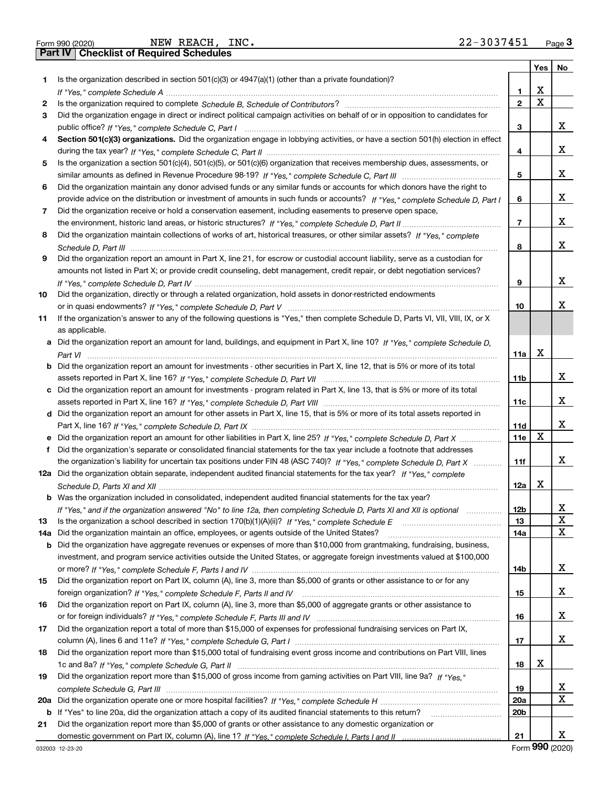|  | Form 990 (2020) |
|--|-----------------|

Form 990 (2020) Page **3Part IV Checklist of Required Schedules** NEW REACH, INC. 22-3037451

|     |                                                                                                                                          |                 | Yes∣ | No |
|-----|------------------------------------------------------------------------------------------------------------------------------------------|-----------------|------|----|
| 1.  | Is the organization described in section $501(c)(3)$ or $4947(a)(1)$ (other than a private foundation)?                                  |                 |      |    |
|     |                                                                                                                                          | 1               | х    |    |
| 2   |                                                                                                                                          | $\mathbf{2}$    | х    |    |
| 3   | Did the organization engage in direct or indirect political campaign activities on behalf of or in opposition to candidates for          |                 |      |    |
|     |                                                                                                                                          | 3               |      | x  |
| 4   | Section 501(c)(3) organizations. Did the organization engage in lobbying activities, or have a section 501(h) election in effect         |                 |      |    |
|     |                                                                                                                                          | 4               |      | х  |
| 5   | Is the organization a section 501(c)(4), 501(c)(5), or 501(c)(6) organization that receives membership dues, assessments, or             |                 |      |    |
|     |                                                                                                                                          | 5               |      | х  |
| 6   | Did the organization maintain any donor advised funds or any similar funds or accounts for which donors have the right to                |                 |      |    |
|     | provide advice on the distribution or investment of amounts in such funds or accounts? If "Yes," complete Schedule D, Part I             | 6               |      | х  |
| 7.  | Did the organization receive or hold a conservation easement, including easements to preserve open space,                                |                 |      |    |
|     |                                                                                                                                          | $\overline{7}$  |      | х  |
| 8   | Did the organization maintain collections of works of art, historical treasures, or other similar assets? If "Yes," complete             |                 |      |    |
|     |                                                                                                                                          | 8               |      | x  |
| 9   | Did the organization report an amount in Part X, line 21, for escrow or custodial account liability, serve as a custodian for            |                 |      |    |
|     | amounts not listed in Part X; or provide credit counseling, debt management, credit repair, or debt negotiation services?                |                 |      |    |
|     |                                                                                                                                          | 9               |      | x  |
| 10  | Did the organization, directly or through a related organization, hold assets in donor-restricted endowments                             |                 |      |    |
|     |                                                                                                                                          | 10              |      | x  |
| 11  | If the organization's answer to any of the following questions is "Yes," then complete Schedule D, Parts VI, VII, VIII, IX, or X         |                 |      |    |
|     | as applicable.                                                                                                                           |                 |      |    |
|     | a Did the organization report an amount for land, buildings, and equipment in Part X, line 10? If "Yes." complete Schedule D.            |                 |      |    |
|     |                                                                                                                                          | 11a             | х    |    |
|     | <b>b</b> Did the organization report an amount for investments - other securities in Part X, line 12, that is 5% or more of its total    |                 |      |    |
|     |                                                                                                                                          | 11 <sub>b</sub> |      | x  |
|     | c Did the organization report an amount for investments - program related in Part X, line 13, that is 5% or more of its total            |                 |      |    |
|     |                                                                                                                                          | 11c             |      | х  |
|     | d Did the organization report an amount for other assets in Part X, line 15, that is 5% or more of its total assets reported in          |                 |      |    |
|     |                                                                                                                                          | 11d             |      | x  |
|     |                                                                                                                                          | <b>11e</b>      | x    |    |
| f   | Did the organization's separate or consolidated financial statements for the tax year include a footnote that addresses                  |                 |      |    |
|     | the organization's liability for uncertain tax positions under FIN 48 (ASC 740)? If "Yes," complete Schedule D, Part X                   | 11f             |      | x  |
|     | 12a Did the organization obtain separate, independent audited financial statements for the tax year? If "Yes," complete                  |                 |      |    |
|     |                                                                                                                                          | 12a             | х    |    |
|     | <b>b</b> Was the organization included in consolidated, independent audited financial statements for the tax year?                       |                 |      |    |
|     | If "Yes," and if the organization answered "No" to line 12a, then completing Schedule D, Parts XI and XII is optional ( <i>mammann</i> ) | 12 <sub>b</sub> |      | x  |
| 13  | Is the organization a school described in section $170(b)(1)(A)(ii)?$ If "Yes," complete Schedule E                                      | 13              |      | X  |
| 14a | Did the organization maintain an office, employees, or agents outside of the United States?                                              | 14a             |      | х  |
|     | b Did the organization have aggregate revenues or expenses of more than \$10,000 from grantmaking, fundraising, business,                |                 |      |    |
|     | investment, and program service activities outside the United States, or aggregate foreign investments valued at \$100,000               |                 |      |    |
|     |                                                                                                                                          | 14b             |      | x  |
| 15  | Did the organization report on Part IX, column (A), line 3, more than \$5,000 of grants or other assistance to or for any                |                 |      |    |
|     |                                                                                                                                          | 15              |      | X  |
| 16  | Did the organization report on Part IX, column (A), line 3, more than \$5,000 of aggregate grants or other assistance to                 |                 |      |    |
|     |                                                                                                                                          | 16              |      | x  |
| 17  | Did the organization report a total of more than \$15,000 of expenses for professional fundraising services on Part IX,                  |                 |      |    |
|     |                                                                                                                                          | 17              |      | x  |
| 18  | Did the organization report more than \$15,000 total of fundraising event gross income and contributions on Part VIII, lines             |                 |      |    |
|     |                                                                                                                                          | 18              | х    |    |
| 19  | Did the organization report more than \$15,000 of gross income from gaming activities on Part VIII, line 9a? If "Yes."                   |                 |      |    |
|     |                                                                                                                                          | 19              |      | x  |
| 20a |                                                                                                                                          | 20a             |      | X  |
| b   | If "Yes" to line 20a, did the organization attach a copy of its audited financial statements to this return?                             | 20 <sub>b</sub> |      |    |
| 21  | Did the organization report more than \$5,000 of grants or other assistance to any domestic organization or                              |                 |      |    |
|     |                                                                                                                                          | 21              |      | x  |

Form (2020) **990**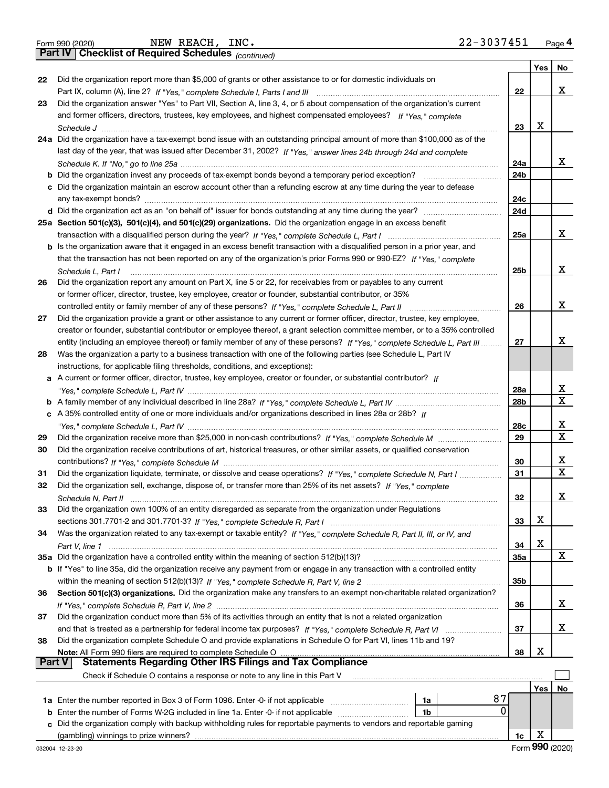|  | Form 990 (2020) |
|--|-----------------|

*(continued)*

|          |                                                                                                                                                                                                                                        |          | Yes | No               |
|----------|----------------------------------------------------------------------------------------------------------------------------------------------------------------------------------------------------------------------------------------|----------|-----|------------------|
| 22       | Did the organization report more than \$5,000 of grants or other assistance to or for domestic individuals on                                                                                                                          |          |     |                  |
|          |                                                                                                                                                                                                                                        | 22       |     | х                |
| 23       | Did the organization answer "Yes" to Part VII, Section A, line 3, 4, or 5 about compensation of the organization's current                                                                                                             |          |     |                  |
|          | and former officers, directors, trustees, key employees, and highest compensated employees? If "Yes," complete                                                                                                                         |          |     |                  |
|          |                                                                                                                                                                                                                                        | 23       | х   |                  |
|          | 24a Did the organization have a tax-exempt bond issue with an outstanding principal amount of more than \$100,000 as of the                                                                                                            |          |     |                  |
|          | last day of the year, that was issued after December 31, 2002? If "Yes," answer lines 24b through 24d and complete                                                                                                                     |          |     |                  |
|          |                                                                                                                                                                                                                                        | 24a      |     | x                |
|          | Did the organization invest any proceeds of tax-exempt bonds beyond a temporary period exception?                                                                                                                                      | 24b      |     |                  |
|          | c Did the organization maintain an escrow account other than a refunding escrow at any time during the year to defease                                                                                                                 |          |     |                  |
|          |                                                                                                                                                                                                                                        | 24c      |     |                  |
|          |                                                                                                                                                                                                                                        | 24d      |     |                  |
|          | 25a Section 501(c)(3), 501(c)(4), and 501(c)(29) organizations. Did the organization engage in an excess benefit                                                                                                                       |          |     |                  |
|          |                                                                                                                                                                                                                                        | 25a      |     | x                |
|          | b Is the organization aware that it engaged in an excess benefit transaction with a disqualified person in a prior year, and                                                                                                           |          |     |                  |
|          | that the transaction has not been reported on any of the organization's prior Forms 990 or 990-EZ? If "Yes," complete                                                                                                                  |          |     |                  |
|          | Schedule L, Part I                                                                                                                                                                                                                     | 25b      |     | х                |
| 26       | Did the organization report any amount on Part X, line 5 or 22, for receivables from or payables to any current                                                                                                                        |          |     |                  |
|          | or former officer, director, trustee, key employee, creator or founder, substantial contributor, or 35%                                                                                                                                |          |     |                  |
|          | controlled entity or family member of any of these persons? If "Yes," complete Schedule L, Part II                                                                                                                                     | 26       |     | x                |
| 27       | Did the organization provide a grant or other assistance to any current or former officer, director, trustee, key employee,                                                                                                            |          |     |                  |
|          | creator or founder, substantial contributor or employee thereof, a grant selection committee member, or to a 35% controlled                                                                                                            |          |     |                  |
|          | entity (including an employee thereof) or family member of any of these persons? If "Yes," complete Schedule L, Part III                                                                                                               | 27       |     | х                |
| 28       | Was the organization a party to a business transaction with one of the following parties (see Schedule L, Part IV                                                                                                                      |          |     |                  |
|          | instructions, for applicable filing thresholds, conditions, and exceptions):                                                                                                                                                           |          |     |                  |
| a        | A current or former officer, director, trustee, key employee, creator or founder, or substantial contributor? If                                                                                                                       |          |     |                  |
|          |                                                                                                                                                                                                                                        | 28a      |     | X<br>$\mathbf X$ |
|          |                                                                                                                                                                                                                                        | 28b      |     |                  |
|          | c A 35% controlled entity of one or more individuals and/or organizations described in lines 28a or 28b? If                                                                                                                            |          |     |                  |
|          |                                                                                                                                                                                                                                        | 28c      |     | х<br>$\mathbf X$ |
| 29       | Did the organization receive contributions of art, historical treasures, or other similar assets, or qualified conservation                                                                                                            | 29       |     |                  |
| 30       |                                                                                                                                                                                                                                        |          |     | x                |
|          |                                                                                                                                                                                                                                        | 30<br>31 |     | $\mathbf X$      |
| 31<br>32 | Did the organization liquidate, terminate, or dissolve and cease operations? If "Yes," complete Schedule N, Part I<br>Did the organization sell, exchange, dispose of, or transfer more than 25% of its net assets? If "Yes," complete |          |     |                  |
|          |                                                                                                                                                                                                                                        | 32       |     | х                |
| 33       | Did the organization own 100% of an entity disregarded as separate from the organization under Regulations                                                                                                                             |          |     |                  |
|          |                                                                                                                                                                                                                                        | 33       | x   |                  |
| 34       | Was the organization related to any tax-exempt or taxable entity? If "Yes," complete Schedule R, Part II, III, or IV, and                                                                                                              |          |     |                  |
|          |                                                                                                                                                                                                                                        | 34       | х   |                  |
|          | 35a Did the organization have a controlled entity within the meaning of section 512(b)(13)?                                                                                                                                            | 35a      |     | X                |
|          | b If "Yes" to line 35a, did the organization receive any payment from or engage in any transaction with a controlled entity                                                                                                            |          |     |                  |
|          |                                                                                                                                                                                                                                        | 35b      |     |                  |
| 36       | Section 501(c)(3) organizations. Did the organization make any transfers to an exempt non-charitable related organization?                                                                                                             |          |     |                  |
|          |                                                                                                                                                                                                                                        | 36       |     | x                |
| 37       | Did the organization conduct more than 5% of its activities through an entity that is not a related organization                                                                                                                       |          |     |                  |
|          |                                                                                                                                                                                                                                        | 37       |     | x                |
| 38       | Did the organization complete Schedule O and provide explanations in Schedule O for Part VI, lines 11b and 19?                                                                                                                         |          |     |                  |
|          | Note: All Form 990 filers are required to complete Schedule O                                                                                                                                                                          | 38       | х   |                  |
| Part V   | <b>Statements Regarding Other IRS Filings and Tax Compliance</b>                                                                                                                                                                       |          |     |                  |
|          | Check if Schedule O contains a response or note to any line in this Part V                                                                                                                                                             |          |     |                  |
|          |                                                                                                                                                                                                                                        |          | Yes | No               |
|          | 87<br>1a                                                                                                                                                                                                                               |          |     |                  |
| b        | 0<br>Enter the number of Forms W-2G included in line 1a. Enter -0- if not applicable<br>1b                                                                                                                                             |          |     |                  |
| c        | Did the organization comply with backup withholding rules for reportable payments to vendors and reportable gaming                                                                                                                     |          |     |                  |
|          |                                                                                                                                                                                                                                        | 1c       | х   |                  |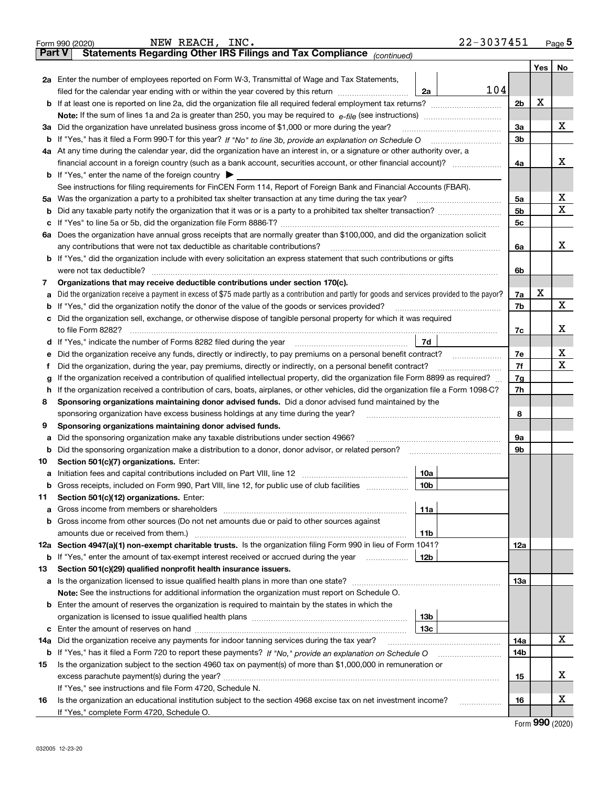|               | 22-3037451<br>NEW REACH, INC.<br>Form 990 (2020)                                                                                                                                           |                |         | $Page$ <sup>5</sup> |  |  |  |  |  |  |  |
|---------------|--------------------------------------------------------------------------------------------------------------------------------------------------------------------------------------------|----------------|---------|---------------------|--|--|--|--|--|--|--|
| <b>Part V</b> | Statements Regarding Other IRS Filings and Tax Compliance (continued)                                                                                                                      |                |         |                     |  |  |  |  |  |  |  |
|               |                                                                                                                                                                                            |                | Yes $ $ | No                  |  |  |  |  |  |  |  |
|               | <b>2a</b> Enter the number of employees reported on Form W-3, Transmittal of Wage and Tax Statements,                                                                                      |                |         |                     |  |  |  |  |  |  |  |
|               | 104<br>filed for the calendar year ending with or within the year covered by this return [11] [11] filed for the calendar year ending with or within the year covered by this return<br>2a |                |         |                     |  |  |  |  |  |  |  |
|               | <b>b</b> If at least one is reported on line 2a, did the organization file all required federal employment tax returns?                                                                    | 2 <sub>b</sub> | X       |                     |  |  |  |  |  |  |  |
|               | <b>Note:</b> If the sum of lines 1a and 2a is greater than 250, you may be required to $e$ -file (see instructions) <i>manimummmmmm</i>                                                    |                |         | х                   |  |  |  |  |  |  |  |
|               | 3a Did the organization have unrelated business gross income of \$1,000 or more during the year?                                                                                           |                |         |                     |  |  |  |  |  |  |  |
|               |                                                                                                                                                                                            | 3 <sub>b</sub> |         |                     |  |  |  |  |  |  |  |
|               | 4a At any time during the calendar year, did the organization have an interest in, or a signature or other authority over, a                                                               |                |         |                     |  |  |  |  |  |  |  |
|               |                                                                                                                                                                                            | 4a             |         | х                   |  |  |  |  |  |  |  |
|               | <b>b</b> If "Yes," enter the name of the foreign country $\triangleright$                                                                                                                  |                |         |                     |  |  |  |  |  |  |  |
|               | See instructions for filing requirements for FinCEN Form 114, Report of Foreign Bank and Financial Accounts (FBAR).                                                                        |                |         |                     |  |  |  |  |  |  |  |
|               | 5a Was the organization a party to a prohibited tax shelter transaction at any time during the tax year?                                                                                   | 5a             |         | х                   |  |  |  |  |  |  |  |
| b             |                                                                                                                                                                                            | 5 <sub>b</sub> |         | $\mathbf x$         |  |  |  |  |  |  |  |
| с             |                                                                                                                                                                                            | 5 <sub>c</sub> |         |                     |  |  |  |  |  |  |  |
|               | 6a Does the organization have annual gross receipts that are normally greater than \$100,000, and did the organization solicit                                                             |                |         |                     |  |  |  |  |  |  |  |
|               | any contributions that were not tax deductible as charitable contributions?                                                                                                                | 6a             |         | х                   |  |  |  |  |  |  |  |
|               | <b>b</b> If "Yes," did the organization include with every solicitation an express statement that such contributions or gifts                                                              |                |         |                     |  |  |  |  |  |  |  |
|               | were not tax deductible?                                                                                                                                                                   | 6b             |         |                     |  |  |  |  |  |  |  |
| 7             | Organizations that may receive deductible contributions under section 170(c).                                                                                                              |                |         |                     |  |  |  |  |  |  |  |
| a             | Did the organization receive a payment in excess of \$75 made partly as a contribution and partly for goods and services provided to the payor?                                            | 7a             | X       |                     |  |  |  |  |  |  |  |
| b             | If "Yes," did the organization notify the donor of the value of the goods or services provided?                                                                                            | 7b             |         | X                   |  |  |  |  |  |  |  |
| c             | Did the organization sell, exchange, or otherwise dispose of tangible personal property for which it was required                                                                          |                |         |                     |  |  |  |  |  |  |  |
|               | to file Form 8282?                                                                                                                                                                         | 7c             |         | x                   |  |  |  |  |  |  |  |
|               | 7d<br>d If "Yes," indicate the number of Forms 8282 filed during the year                                                                                                                  |                |         |                     |  |  |  |  |  |  |  |
| е             | Did the organization receive any funds, directly or indirectly, to pay premiums on a personal benefit contract?                                                                            | 7e             |         | х                   |  |  |  |  |  |  |  |
| Ť.            | Did the organization, during the year, pay premiums, directly or indirectly, on a personal benefit contract?                                                                               | 7f             |         | X                   |  |  |  |  |  |  |  |
| g             | If the organization received a contribution of qualified intellectual property, did the organization file Form 8899 as required?                                                           | 7g             |         |                     |  |  |  |  |  |  |  |
| h             | If the organization received a contribution of cars, boats, airplanes, or other vehicles, did the organization file a Form 1098-C?                                                         | 7h             |         |                     |  |  |  |  |  |  |  |
| 8             | Sponsoring organizations maintaining donor advised funds. Did a donor advised fund maintained by the                                                                                       |                |         |                     |  |  |  |  |  |  |  |
|               | sponsoring organization have excess business holdings at any time during the year?                                                                                                         | 8              |         |                     |  |  |  |  |  |  |  |
| 9             | Sponsoring organizations maintaining donor advised funds.                                                                                                                                  |                |         |                     |  |  |  |  |  |  |  |
| а             | Did the sponsoring organization make any taxable distributions under section 4966?                                                                                                         | 9а             |         |                     |  |  |  |  |  |  |  |
| b             | Did the sponsoring organization make a distribution to a donor, donor advisor, or related person?                                                                                          | 9b             |         |                     |  |  |  |  |  |  |  |
| 10            | Section 501(c)(7) organizations. Enter:                                                                                                                                                    |                |         |                     |  |  |  |  |  |  |  |
|               | 10a<br>a Initiation fees and capital contributions included on Part VIII, line 12                                                                                                          |                |         |                     |  |  |  |  |  |  |  |
| b             | Gross receipts, included on Form 990, Part VIII, line 12, for public use of club facilities<br>10b                                                                                         |                |         |                     |  |  |  |  |  |  |  |
| 11            | Section 501(c)(12) organizations. Enter:                                                                                                                                                   |                |         |                     |  |  |  |  |  |  |  |
| а             | 11a<br>Gross income from members or shareholders [11] continuum material contracts income from members or shareholders                                                                     |                |         |                     |  |  |  |  |  |  |  |
| b             | Gross income from other sources (Do not net amounts due or paid to other sources against                                                                                                   |                |         |                     |  |  |  |  |  |  |  |
|               | amounts due or received from them.)<br>11b                                                                                                                                                 |                |         |                     |  |  |  |  |  |  |  |
|               | 12a Section 4947(a)(1) non-exempt charitable trusts. Is the organization filing Form 990 in lieu of Form 1041?                                                                             | 12a            |         |                     |  |  |  |  |  |  |  |
| b             | If "Yes," enter the amount of tax-exempt interest received or accrued during the year<br>12b                                                                                               |                |         |                     |  |  |  |  |  |  |  |
| 13            | Section 501(c)(29) qualified nonprofit health insurance issuers.                                                                                                                           |                |         |                     |  |  |  |  |  |  |  |
|               | <b>a</b> Is the organization licensed to issue qualified health plans in more than one state?                                                                                              | 13а            |         |                     |  |  |  |  |  |  |  |
|               | <b>Note:</b> See the instructions for additional information the organization must report on Schedule O.                                                                                   |                |         |                     |  |  |  |  |  |  |  |
|               | <b>b</b> Enter the amount of reserves the organization is required to maintain by the states in which the                                                                                  |                |         |                     |  |  |  |  |  |  |  |
|               | 13b                                                                                                                                                                                        |                |         |                     |  |  |  |  |  |  |  |
| c             | 13с                                                                                                                                                                                        |                |         | X                   |  |  |  |  |  |  |  |
| 14a           | Did the organization receive any payments for indoor tanning services during the tax year?                                                                                                 | 14a            |         |                     |  |  |  |  |  |  |  |
| b             |                                                                                                                                                                                            | 14b            |         |                     |  |  |  |  |  |  |  |
| 15            | Is the organization subject to the section 4960 tax on payment(s) of more than \$1,000,000 in remuneration or                                                                              |                |         | x                   |  |  |  |  |  |  |  |
|               |                                                                                                                                                                                            | 15             |         |                     |  |  |  |  |  |  |  |
|               | If "Yes," see instructions and file Form 4720, Schedule N.                                                                                                                                 |                |         | х                   |  |  |  |  |  |  |  |
| 16            | Is the organization an educational institution subject to the section 4968 excise tax on net investment income?<br>.                                                                       | 16             |         |                     |  |  |  |  |  |  |  |
|               | If "Yes," complete Form 4720, Schedule O.                                                                                                                                                  |                |         |                     |  |  |  |  |  |  |  |

Form (2020) **990**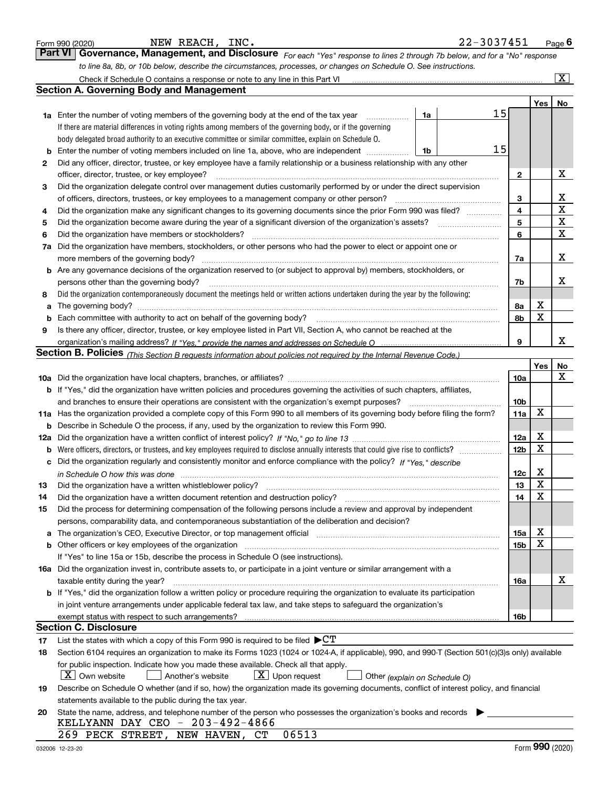|     | NEW REACH, INC.<br>Form 990 (2020)                                                                                                                                        |    | 22-3037451 |                 |                         | <u>Page</u> 6           |
|-----|---------------------------------------------------------------------------------------------------------------------------------------------------------------------------|----|------------|-----------------|-------------------------|-------------------------|
|     | <b>Part VI</b><br>Governance, Management, and Disclosure For each "Yes" response to lines 2 through 7b below, and for a "No" response                                     |    |            |                 |                         |                         |
|     | to line 8a, 8b, or 10b below, describe the circumstances, processes, or changes on Schedule O. See instructions.                                                          |    |            |                 |                         |                         |
|     | Check if Schedule O contains a response or note to any line in this Part VI                                                                                               |    |            |                 |                         | $\overline{\mathtt{x}}$ |
|     | <b>Section A. Governing Body and Management</b>                                                                                                                           |    |            |                 |                         |                         |
|     |                                                                                                                                                                           |    |            |                 | Yes                     | No                      |
|     | <b>1a</b> Enter the number of voting members of the governing body at the end of the tax year<br>.                                                                        | 1a | 15         |                 |                         |                         |
|     | If there are material differences in voting rights among members of the governing body, or if the governing                                                               |    |            |                 |                         |                         |
|     | body delegated broad authority to an executive committee or similar committee, explain on Schedule O.                                                                     |    |            |                 |                         |                         |
| b   | Enter the number of voting members included on line 1a, above, who are independent                                                                                        | 1b | 15         |                 |                         |                         |
| 2   | Did any officer, director, trustee, or key employee have a family relationship or a business relationship with any other                                                  |    |            |                 |                         |                         |
|     | officer, director, trustee, or key employee?                                                                                                                              |    |            | 2               |                         | х                       |
| 3   | Did the organization delegate control over management duties customarily performed by or under the direct supervision                                                     |    |            |                 |                         |                         |
|     | of officers, directors, trustees, or key employees to a management company or other person?                                                                               |    |            | 3               |                         | х                       |
| 4   | Did the organization make any significant changes to its governing documents since the prior Form 990 was filed?                                                          |    |            | 4               |                         | X                       |
| 5   |                                                                                                                                                                           |    |            | 5               |                         | X                       |
| 6   | Did the organization have members or stockholders?                                                                                                                        |    |            | 6               |                         | X                       |
| 7a  | Did the organization have members, stockholders, or other persons who had the power to elect or appoint one or                                                            |    |            |                 |                         |                         |
|     | more members of the governing body?                                                                                                                                       |    |            | 7a              |                         | x                       |
| b   | Are any governance decisions of the organization reserved to (or subject to approval by) members, stockholders, or                                                        |    |            |                 |                         |                         |
|     | persons other than the governing body?                                                                                                                                    |    |            | 7b              |                         | x                       |
| 8   | Did the organization contemporaneously document the meetings held or written actions undertaken during the year by the following:                                         |    |            |                 |                         |                         |
| a   |                                                                                                                                                                           |    |            | 8а              | х<br>X                  |                         |
| b   | Each committee with authority to act on behalf of the governing body?                                                                                                     |    |            | 8b              |                         |                         |
| 9   | Is there any officer, director, trustee, or key employee listed in Part VII, Section A, who cannot be reached at the                                                      |    |            | 9               |                         | x                       |
|     | Section B. Policies <sub>(This</sub> Section B requests information about policies not required by the Internal Revenue Code.)                                            |    |            |                 |                         |                         |
|     |                                                                                                                                                                           |    |            |                 | Yes                     | No                      |
|     |                                                                                                                                                                           |    |            | 10a             |                         | x                       |
|     | b If "Yes," did the organization have written policies and procedures governing the activities of such chapters, affiliates,                                              |    |            |                 |                         |                         |
|     | and branches to ensure their operations are consistent with the organization's exempt purposes?                                                                           |    |            | 10 <sub>b</sub> |                         |                         |
| 11a | Has the organization provided a complete copy of this Form 990 to all members of its governing body before filing the form?                                               |    |            | 11a             | X                       |                         |
| b   | Describe in Schedule O the process, if any, used by the organization to review this Form 990.                                                                             |    |            |                 |                         |                         |
| 12a |                                                                                                                                                                           |    |            | 12a             | х                       |                         |
| b   |                                                                                                                                                                           |    |            | 12 <sub>b</sub> | X                       |                         |
|     | Did the organization regularly and consistently monitor and enforce compliance with the policy? If "Yes." describe                                                        |    |            |                 |                         |                         |
|     | in Schedule O how this was done manufactured and contain an according to the state of the state of the state o                                                            |    |            | 12c             | х                       |                         |
| 13  |                                                                                                                                                                           |    |            | 13              | $\overline{\mathbf{x}}$ |                         |
| 14  | Did the organization have a written document retention and destruction policy?                                                                                            |    |            | 14              | X                       |                         |
| 15  | Did the process for determining compensation of the following persons include a review and approval by independent                                                        |    |            |                 |                         |                         |
|     | persons, comparability data, and contemporaneous substantiation of the deliberation and decision?                                                                         |    |            |                 |                         |                         |
| a   | The organization's CEO, Executive Director, or top management official manufactured content of the organization's CEO, Executive Director, or top management official     |    |            | 15a             | х                       |                         |
|     | Other officers or key employees of the organization                                                                                                                       |    |            | 15 <sub>b</sub> | X                       |                         |
|     | If "Yes" to line 15a or 15b, describe the process in Schedule O (see instructions).                                                                                       |    |            |                 |                         |                         |
|     | 16a Did the organization invest in, contribute assets to, or participate in a joint venture or similar arrangement with a                                                 |    |            |                 |                         |                         |
|     | taxable entity during the year?                                                                                                                                           |    |            | 16a             |                         | х                       |
|     | b If "Yes," did the organization follow a written policy or procedure requiring the organization to evaluate its participation                                            |    |            |                 |                         |                         |
|     | in joint venture arrangements under applicable federal tax law, and take steps to safeguard the organization's                                                            |    |            |                 |                         |                         |
|     |                                                                                                                                                                           |    |            | 16b             |                         |                         |
|     | <b>Section C. Disclosure</b>                                                                                                                                              |    |            |                 |                         |                         |
| 17  | List the states with which a copy of this Form 990 is required to be filed $\blacktriangleright$ CT                                                                       |    |            |                 |                         |                         |
| 18  | Section 6104 requires an organization to make its Forms 1023 (1024 or 1024-A, if applicable), 990, and 990-T (Section 501(c)(3)s only) available                          |    |            |                 |                         |                         |
|     | for public inspection. Indicate how you made these available. Check all that apply.                                                                                       |    |            |                 |                         |                         |
|     | $\lfloor X \rfloor$ Own website<br>$X$ Upon request<br>Another's website<br>Other (explain on Schedule O)                                                                 |    |            |                 |                         |                         |
| 19  | Describe on Schedule O whether (and if so, how) the organization made its governing documents, conflict of interest policy, and financial                                 |    |            |                 |                         |                         |
|     | statements available to the public during the tax year.<br>State the name, address, and telephone number of the person who possesses the organization's books and records |    |            |                 |                         |                         |
| 20  | KELLYANN DAY CEO - 203-492-4866                                                                                                                                           |    |            |                 |                         |                         |
|     | 06513<br>269 PECK STREET, NEW HAVEN, CT                                                                                                                                   |    |            |                 |                         |                         |
|     |                                                                                                                                                                           |    |            |                 | nnn.                    |                         |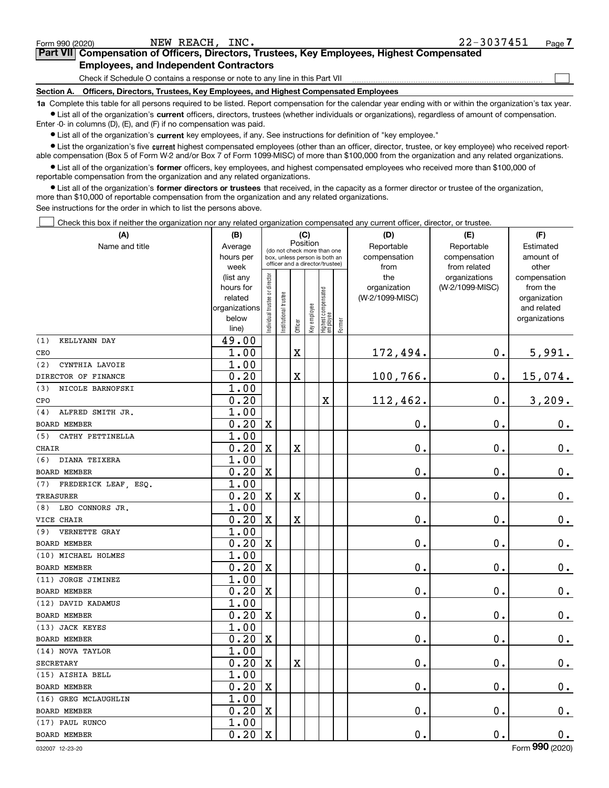$\mathcal{L}^{\text{max}}$ 

# **7Part VII Compensation of Officers, Directors, Trustees, Key Employees, Highest Compensated Employees, and Independent Contractors**

Check if Schedule O contains a response or note to any line in this Part VII

**Section A. Officers, Directors, Trustees, Key Employees, and Highest Compensated Employees**

**1a**  Complete this table for all persons required to be listed. Report compensation for the calendar year ending with or within the organization's tax year. **•** List all of the organization's current officers, directors, trustees (whether individuals or organizations), regardless of amount of compensation.

Enter -0- in columns (D), (E), and (F) if no compensation was paid.

 $\bullet$  List all of the organization's  $\,$ current key employees, if any. See instructions for definition of "key employee."

**•** List the organization's five current highest compensated employees (other than an officer, director, trustee, or key employee) who received reportable compensation (Box 5 of Form W-2 and/or Box 7 of Form 1099-MISC) of more than \$100,000 from the organization and any related organizations.

**•** List all of the organization's former officers, key employees, and highest compensated employees who received more than \$100,000 of reportable compensation from the organization and any related organizations.

**former directors or trustees**  ¥ List all of the organization's that received, in the capacity as a former director or trustee of the organization, more than \$10,000 of reportable compensation from the organization and any related organizations.

See instructions for the order in which to list the persons above.

Check this box if neither the organization nor any related organization compensated any current officer, director, or trustee.  $\mathcal{L}^{\text{max}}$ 

| (A)                      | (B)<br>(C)        |                                                                          |                       |                         |              |                                   |        | (D)             | (E)                           | (F)                   |
|--------------------------|-------------------|--------------------------------------------------------------------------|-----------------------|-------------------------|--------------|-----------------------------------|--------|-----------------|-------------------------------|-----------------------|
| Name and title           | Average           | Position<br>(do not check more than one<br>box, unless person is both an |                       |                         |              |                                   |        | Reportable      | Reportable                    | Estimated             |
|                          | hours per         |                                                                          |                       |                         |              | officer and a director/trustee)   |        | compensation    | compensation                  | amount of             |
|                          | week<br>(list any |                                                                          |                       |                         |              |                                   |        | from<br>the     | from related<br>organizations | other<br>compensation |
|                          | hours for         |                                                                          |                       |                         |              |                                   |        | organization    | (W-2/1099-MISC)               | from the              |
|                          | related           |                                                                          |                       |                         |              |                                   |        | (W-2/1099-MISC) |                               | organization          |
|                          | organizations     |                                                                          |                       |                         |              |                                   |        |                 |                               | and related           |
|                          | below             | ndividual trustee or director                                            | Institutional trustee |                         | Key employee |                                   |        |                 |                               | organizations         |
|                          | line)             |                                                                          |                       | Officer                 |              | Highest compensated<br>  employee | Former |                 |                               |                       |
| (1)<br>KELLYANN DAY      | 49.00             |                                                                          |                       |                         |              |                                   |        |                 |                               |                       |
| CEO                      | 1.00              |                                                                          |                       | $\overline{\textbf{X}}$ |              |                                   |        | 172,494.        | $\mathbf 0$ .                 | 5,991.                |
| (2)<br>CYNTHIA LAVOIE    | 1.00              |                                                                          |                       |                         |              |                                   |        |                 |                               |                       |
| DIRECTOR OF FINANCE      | 0.20              |                                                                          |                       | $\overline{\textbf{X}}$ |              |                                   |        | 100,766.        | $\mathbf 0$ .                 | 15,074.               |
| NICOLE BARNOFSKI<br>(3)  | 1.00              |                                                                          |                       |                         |              |                                   |        |                 |                               |                       |
| CPO                      | 0.20              |                                                                          |                       |                         |              | $\mathbf X$                       |        | 112,462.        | $\mathbf 0$ .                 | 3,209.                |
| ALFRED SMITH JR.<br>(4)  | 1.00              |                                                                          |                       |                         |              |                                   |        |                 |                               |                       |
| <b>BOARD MEMBER</b>      | 0.20              | X                                                                        |                       |                         |              |                                   |        | 0.              | 0.                            | $0_{.}$               |
| (5)<br>CATHY PETTINELLA  | 1.00              |                                                                          |                       |                         |              |                                   |        |                 |                               |                       |
| <b>CHAIR</b>             | 0.20              | X                                                                        |                       | X                       |              |                                   |        | 0.              | $\mathbf 0$ .                 | $\mathbf 0$ .         |
| (6)<br>DIANA TEIXERA     | 1.00              |                                                                          |                       |                         |              |                                   |        |                 |                               |                       |
| <b>BOARD MEMBER</b>      | 0.20              | X                                                                        |                       |                         |              |                                   |        | 0.              | $\mathbf 0$ .                 | $\mathbf 0$ .         |
| (7) FREDERICK LEAF, ESQ. | 1.00              |                                                                          |                       |                         |              |                                   |        |                 |                               |                       |
| <b>TREASURER</b>         | 0.20              | $\mathbf x$                                                              |                       | X                       |              |                                   |        | 0.              | $\mathbf 0$ .                 | $0_{.}$               |
| LEO CONNORS JR.<br>(8)   | 1.00              |                                                                          |                       |                         |              |                                   |        |                 |                               |                       |
| VICE CHAIR               | 0.20              | X                                                                        |                       | $\overline{\mathbf{X}}$ |              |                                   |        | 0.              | $\mathbf 0$ .                 | $\mathbf 0$ .         |
| (9) VERNETTE GRAY        | 1.00              |                                                                          |                       |                         |              |                                   |        |                 |                               |                       |
| <b>BOARD MEMBER</b>      | 0.20              | $\mathbf X$                                                              |                       |                         |              |                                   |        | 0.              | $\mathbf 0$ .                 | $\mathbf 0$ .         |
| (10) MICHAEL HOLMES      | 1.00              |                                                                          |                       |                         |              |                                   |        |                 |                               |                       |
| BOARD MEMBER             | 0.20              | X                                                                        |                       |                         |              |                                   |        | 0.              | $\mathbf 0$ .                 | 0.                    |
| (11) JORGE JIMINEZ       | 1.00              |                                                                          |                       |                         |              |                                   |        |                 |                               |                       |
| BOARD MEMBER             | 0.20              | $\mathbf X$                                                              |                       |                         |              |                                   |        | 0.              | $\mathbf 0$ .                 | $\mathbf 0$ .         |
| (12) DAVID KADAMUS       | 1.00              |                                                                          |                       |                         |              |                                   |        |                 |                               |                       |
| BOARD MEMBER             | 0.20              | X                                                                        |                       |                         |              |                                   |        | 0.              | $\mathbf 0$ .                 | $\mathbf 0$ .         |
| (13) JACK KEYES          | 1.00              |                                                                          |                       |                         |              |                                   |        |                 |                               |                       |
| <b>BOARD MEMBER</b>      | 0.20              | $\mathbf X$                                                              |                       |                         |              |                                   |        | 0.              | $\mathbf 0$ .                 | $\mathbf 0$ .         |
| (14) NOVA TAYLOR         | 1.00              |                                                                          |                       |                         |              |                                   |        |                 |                               |                       |
| <b>SECRETARY</b>         | 0.20              | $\mathbf X$                                                              |                       | $\overline{\textbf{X}}$ |              |                                   |        | 0.              | 0.                            | 0.                    |
| (15) AISHIA BELL         | 1.00              |                                                                          |                       |                         |              |                                   |        |                 |                               |                       |
| <b>BOARD MEMBER</b>      | 0.20              | $\mathbf x$                                                              |                       |                         |              |                                   |        | 0.              | $\mathbf 0$ .                 | $\mathbf 0$ .         |
| (16) GREG MCLAUGHLIN     | 1.00              |                                                                          |                       |                         |              |                                   |        |                 |                               |                       |
| BOARD MEMBER             | 0.20              | $\mathbf X$                                                              |                       |                         |              |                                   |        | 0.              | $\mathbf 0$ .                 | 0.                    |
| (17) PAUL RUNCO          | 1.00              |                                                                          |                       |                         |              |                                   |        |                 |                               |                       |
| <b>BOARD MEMBER</b>      | 0.20              | $\rm X$                                                                  |                       |                         |              |                                   |        | 0.              | $\mathbf 0$ .                 | 0.                    |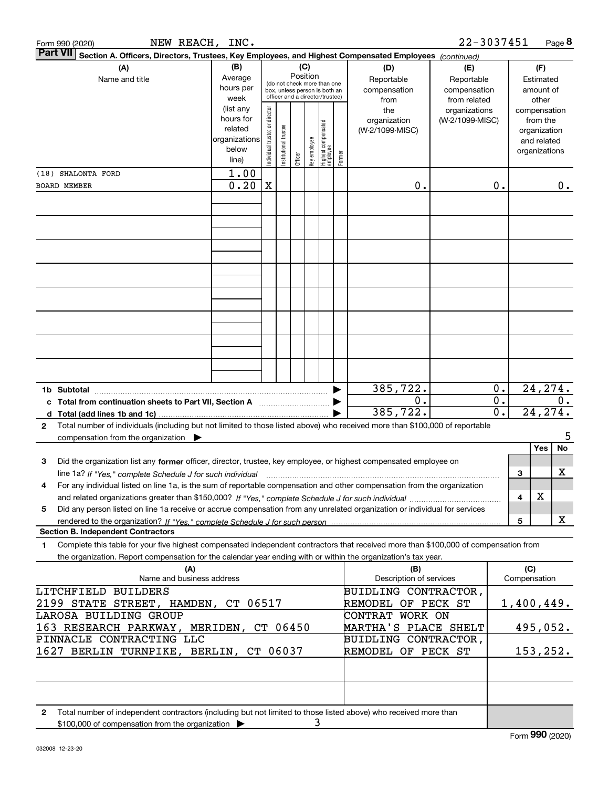| NEW REACH,<br>Form 990 (2020)                                                                                                                                                                                                                                                 | INC.                                                                 |                                |                       |         |                                                                                                                    |                                  |        |                                                 | 22-3037451                                        |                           |     |                                                                          | Page 8  |
|-------------------------------------------------------------------------------------------------------------------------------------------------------------------------------------------------------------------------------------------------------------------------------|----------------------------------------------------------------------|--------------------------------|-----------------------|---------|--------------------------------------------------------------------------------------------------------------------|----------------------------------|--------|-------------------------------------------------|---------------------------------------------------|---------------------------|-----|--------------------------------------------------------------------------|---------|
| <b>Part VII</b><br>Section A. Officers, Directors, Trustees, Key Employees, and Highest Compensated Employees (continued)                                                                                                                                                     |                                                                      |                                |                       |         |                                                                                                                    |                                  |        |                                                 |                                                   |                           |     |                                                                          |         |
| (A)<br>Name and title                                                                                                                                                                                                                                                         | (B)<br>Average<br>hours per<br>week                                  |                                |                       |         | (C)<br>Position<br>(do not check more than one<br>box, unless person is both an<br>officer and a director/trustee) |                                  |        | (D)<br>Reportable<br>compensation<br>from       | (E)<br>Reportable<br>compensation<br>from related |                           |     | (F)<br>Estimated<br>amount of<br>other                                   |         |
|                                                                                                                                                                                                                                                                               | (list any<br>hours for<br>related<br>organizations<br>below<br>line) | Individual trustee or director | Institutional trustee | Officer | key employee                                                                                                       | Highest compensated<br> employee | Former | the<br>organization<br>(W-2/1099-MISC)          | organizations<br>(W-2/1099-MISC)                  |                           |     | compensation<br>from the<br>organization<br>and related<br>organizations |         |
| (18) SHALONTA FORD                                                                                                                                                                                                                                                            | 1.00                                                                 |                                |                       |         |                                                                                                                    |                                  |        |                                                 |                                                   |                           |     |                                                                          |         |
| <b>BOARD MEMBER</b>                                                                                                                                                                                                                                                           | 0.20                                                                 | X                              |                       |         |                                                                                                                    |                                  |        | 0.                                              |                                                   | 0.                        |     |                                                                          | 0.      |
|                                                                                                                                                                                                                                                                               |                                                                      |                                |                       |         |                                                                                                                    |                                  |        |                                                 |                                                   |                           |     |                                                                          |         |
|                                                                                                                                                                                                                                                                               |                                                                      |                                |                       |         |                                                                                                                    |                                  |        |                                                 |                                                   |                           |     |                                                                          |         |
|                                                                                                                                                                                                                                                                               |                                                                      |                                |                       |         |                                                                                                                    |                                  |        |                                                 |                                                   |                           |     |                                                                          |         |
|                                                                                                                                                                                                                                                                               |                                                                      |                                |                       |         |                                                                                                                    |                                  |        |                                                 |                                                   |                           |     |                                                                          |         |
|                                                                                                                                                                                                                                                                               |                                                                      |                                |                       |         |                                                                                                                    |                                  |        |                                                 |                                                   |                           |     |                                                                          |         |
|                                                                                                                                                                                                                                                                               |                                                                      |                                |                       |         |                                                                                                                    |                                  |        |                                                 |                                                   |                           |     |                                                                          |         |
| 1b Subtotal<br>c Total from continuation sheets to Part VII, Section A manufactured by                                                                                                                                                                                        |                                                                      |                                |                       |         |                                                                                                                    |                                  |        | 385,722.<br>0.                                  |                                                   | $0$ .<br>$\overline{0}$ . |     | 24, 274.                                                                 | $0$ .   |
|                                                                                                                                                                                                                                                                               |                                                                      |                                |                       |         |                                                                                                                    |                                  |        | 385, 722.                                       |                                                   | 0.                        |     | 24, 274.                                                                 |         |
| Total number of individuals (including but not limited to those listed above) who received more than \$100,000 of reportable<br>2<br>compensation from the organization                                                                                                       |                                                                      |                                |                       |         |                                                                                                                    |                                  |        |                                                 |                                                   |                           |     | Yes                                                                      | 5<br>No |
| 3<br>Did the organization list any former officer, director, trustee, key employee, or highest compensated employee on<br>line 1a? If "Yes," complete Schedule J for such individual manumanamental communities and the 1a? If "Yes," complete Schedule J for such individual |                                                                      |                                |                       |         |                                                                                                                    |                                  |        |                                                 |                                                   |                           | 3   |                                                                          | х       |
| For any individual listed on line 1a, is the sum of reportable compensation and other compensation from the organization                                                                                                                                                      |                                                                      |                                |                       |         |                                                                                                                    |                                  |        |                                                 |                                                   |                           | 4   | X                                                                        |         |
| Did any person listed on line 1a receive or accrue compensation from any unrelated organization or individual for services<br>5                                                                                                                                               |                                                                      |                                |                       |         |                                                                                                                    |                                  |        |                                                 |                                                   |                           |     |                                                                          |         |
| <b>Section B. Independent Contractors</b>                                                                                                                                                                                                                                     |                                                                      |                                |                       |         |                                                                                                                    |                                  |        |                                                 |                                                   |                           | 5   |                                                                          | X       |
| Complete this table for your five highest compensated independent contractors that received more than \$100,000 of compensation from<br>1                                                                                                                                     |                                                                      |                                |                       |         |                                                                                                                    |                                  |        |                                                 |                                                   |                           |     |                                                                          |         |
| the organization. Report compensation for the calendar year ending with or within the organization's tax year.<br>(A)                                                                                                                                                         |                                                                      |                                |                       |         |                                                                                                                    |                                  |        | (B)                                             |                                                   |                           | (C) |                                                                          |         |
| Name and business address<br>LITCHFIELD BUILDERS                                                                                                                                                                                                                              |                                                                      |                                |                       |         |                                                                                                                    |                                  |        | Description of services<br>BUIDLING CONTRACTOR, |                                                   |                           |     | Compensation                                                             |         |
| 2199 STATE STREET, HAMDEN, CT 06517                                                                                                                                                                                                                                           |                                                                      |                                |                       |         |                                                                                                                    |                                  |        | REMODEL OF PECK ST                              |                                                   |                           |     | 1,400,449.                                                               |         |
| LAROSA BUILDING GROUP<br>163 RESEARCH PARKWAY, MERIDEN,                                                                                                                                                                                                                       |                                                                      |                                | CT 06450              |         |                                                                                                                    |                                  |        | CONTRAT WORK ON<br>MARTHA'S PLACE SHELT         |                                                   |                           |     | 495,052.                                                                 |         |
| PINNACLE CONTRACTING LLC<br>1627 BERLIN TURNPIKE, BERLIN, CT 06037                                                                                                                                                                                                            |                                                                      |                                |                       |         |                                                                                                                    |                                  |        | BUIDLING CONTRACTOR,<br>REMODEL OF PECK ST      |                                                   |                           |     | 153,252.                                                                 |         |
|                                                                                                                                                                                                                                                                               |                                                                      |                                |                       |         |                                                                                                                    |                                  |        |                                                 |                                                   |                           |     |                                                                          |         |
|                                                                                                                                                                                                                                                                               |                                                                      |                                |                       |         |                                                                                                                    |                                  |        |                                                 |                                                   |                           |     |                                                                          |         |
| Total number of independent contractors (including but not limited to those listed above) who received more than<br>$\mathbf{2}$<br>\$100,000 of compensation from the organization                                                                                           |                                                                      |                                |                       |         | 3                                                                                                                  |                                  |        |                                                 |                                                   |                           |     |                                                                          |         |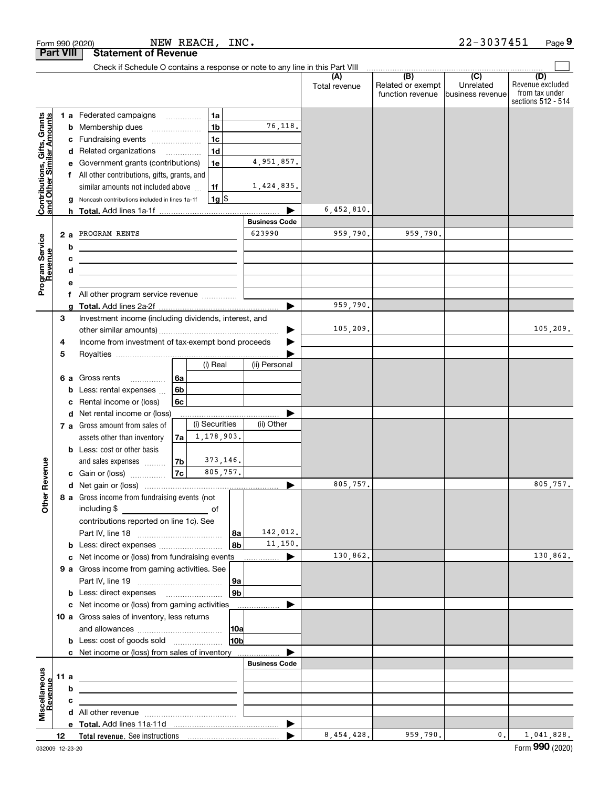|                                                           |        |                   | Form 990 (2020)                                                                                                                                                                                                                                                                     |                | NEW REACH, INC.                                                                 |            |                                     |                      |                                              | 22-3037451                                        | Page 9                                                          |
|-----------------------------------------------------------|--------|-------------------|-------------------------------------------------------------------------------------------------------------------------------------------------------------------------------------------------------------------------------------------------------------------------------------|----------------|---------------------------------------------------------------------------------|------------|-------------------------------------|----------------------|----------------------------------------------|---------------------------------------------------|-----------------------------------------------------------------|
| <b>Part VIII</b>                                          |        |                   | <b>Statement of Revenue</b>                                                                                                                                                                                                                                                         |                |                                                                                 |            |                                     |                      |                                              |                                                   |                                                                 |
|                                                           |        |                   | Check if Schedule O contains a response or note to any line in this Part VIII                                                                                                                                                                                                       |                |                                                                                 |            |                                     | (A)<br>Total revenue | (B)<br>Related or exempt<br>function revenue | $\overline{(C)}$<br>Unrelated<br>business revenue | (D)<br>Revenue excluded<br>from tax under<br>sections 512 - 514 |
| Contributions, Gifts, Grants<br>and Other Similar Amounts |        | b                 | <b>1 a</b> Federated campaigns<br>Membership dues<br>c Fundraising events<br>d Related organizations<br>e Government grants (contributions)<br>All other contributions, gifts, grants, and<br>similar amounts not included above<br>g Noncash contributions included in lines 1a-1f |                | 1a<br>1 <sub>b</sub><br>1 <sub>c</sub><br>1 <sub>d</sub><br>1e<br>1f<br>$1g$ \$ |            | 76,118.<br>4,951,857.<br>1,424,835. | 6,452,810.           |                                              |                                                   |                                                                 |
|                                                           |        |                   |                                                                                                                                                                                                                                                                                     |                |                                                                                 |            | <b>Business Code</b>                |                      |                                              |                                                   |                                                                 |
| Program Service<br>Revenue                                |        | 2a<br>b<br>с<br>d | PROGRAM RENTS<br><u> 1989 - Johann Barbara, martxa alemaniar arg</u><br><u> 1989 - Johann Barn, mars ann an t-Amhain ann an t-Amhain an t-Amhain an t-Amhain an t-Amhain an t-Amhain an t-</u><br><u> 1989 - Johann Stein, fransk politik (d. 1989)</u>                             |                |                                                                                 |            | 623990                              | 959,790.             | 959,790.                                     |                                                   |                                                                 |
|                                                           |        |                   |                                                                                                                                                                                                                                                                                     |                |                                                                                 |            |                                     |                      |                                              |                                                   |                                                                 |
|                                                           |        |                   |                                                                                                                                                                                                                                                                                     |                |                                                                                 |            |                                     | 959,790.             |                                              |                                                   |                                                                 |
|                                                           | 3<br>4 |                   | Investment income (including dividends, interest, and<br>Income from investment of tax-exempt bond proceeds                                                                                                                                                                         |                |                                                                                 |            |                                     | 105,209.             |                                              |                                                   | 105, 209.                                                       |
|                                                           | 5      |                   |                                                                                                                                                                                                                                                                                     |                | (i) Real                                                                        |            | (ii) Personal                       |                      |                                              |                                                   |                                                                 |
|                                                           |        | 6а                | Gross rents<br>Less: rental expenses<br>Rental income or (loss)                                                                                                                                                                                                                     | 6a<br>6b<br>6с |                                                                                 |            |                                     |                      |                                              |                                                   |                                                                 |
|                                                           |        |                   | d Net rental income or (loss)<br>7 a Gross amount from sales of<br>assets other than inventory<br><b>b</b> Less: cost or other basis                                                                                                                                                | 7al            | (i) Securities<br>1,178,903.                                                    |            | (ii) Other                          |                      |                                              |                                                   |                                                                 |
| evenue                                                    |        |                   | and sales expenses<br>c Gain or (loss)                                                                                                                                                                                                                                              | 7b<br>7c       | 373, 146.<br>805,757.                                                           |            |                                     |                      |                                              |                                                   |                                                                 |
| Other R                                                   |        |                   | 8 a Gross income from fundraising events (not<br>contributions reported on line 1c). See<br><b>b</b> Less: direct expenses <b>constants</b> b                                                                                                                                       |                |                                                                                 | l 8a<br>8b | 142,012.<br>11,150.                 | 805,757.             |                                              |                                                   | 805,757.                                                        |
|                                                           |        |                   | c Net income or (loss) from fundraising events<br>9 a Gross income from gaming activities. See<br><b>b</b> Less: direct expenses <b>manually</b>                                                                                                                                    |                |                                                                                 | 9a<br>9b   | $\blacktriangleright$<br><u>.</u>   | 130,862.             |                                              |                                                   | 130,862.                                                        |
|                                                           |        |                   | c Net income or (loss) from gaming activities<br>10 a Gross sales of inventory, less returns<br><b>b</b> Less: cost of goods sold                                                                                                                                                   |                |                                                                                 | 10a<br>10ь |                                     |                      |                                              |                                                   |                                                                 |
|                                                           |        |                   | c Net income or (loss) from sales of inventory                                                                                                                                                                                                                                      |                |                                                                                 |            |                                     |                      |                                              |                                                   |                                                                 |
| Miscellaneous<br>Revenue                                  | 11a    | b<br>с            | <u> 1989 - Johann Barn, mars ann an t-Amhainn an t-Amhainn an t-Amhainn an t-Amhainn an t-Amhainn an t-Amhainn an </u><br><u> 1980 - Jan Barnett, fransk politiker (d. 1980)</u>                                                                                                    |                |                                                                                 |            | <b>Business Code</b>                |                      |                                              |                                                   |                                                                 |
|                                                           |        |                   |                                                                                                                                                                                                                                                                                     |                |                                                                                 |            | ▶                                   |                      |                                              |                                                   |                                                                 |
|                                                           |        |                   |                                                                                                                                                                                                                                                                                     |                |                                                                                 |            | $\blacktriangleright$               | 8,454,428.           | 959,790.                                     | 0.                                                | 1,041,828.                                                      |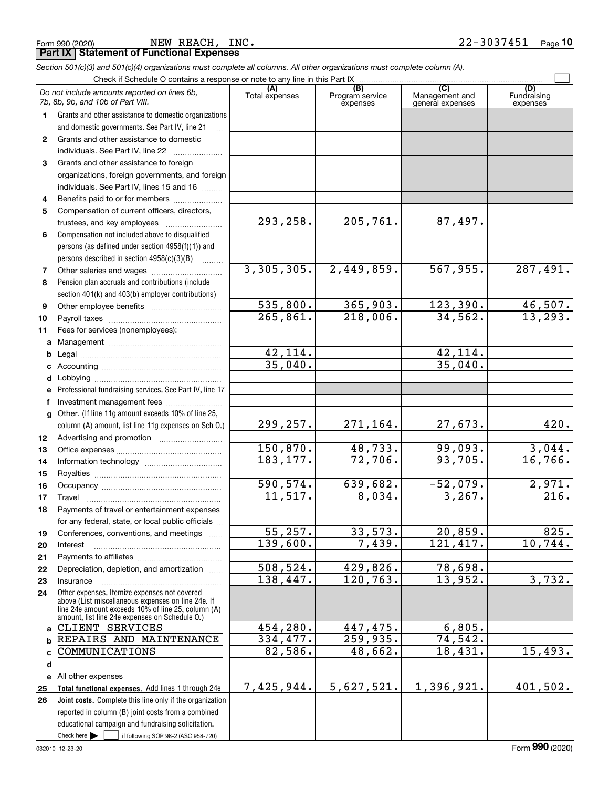Form 990 (2020) Page **Part IX Statement of Functional Expenses** NEW REACH, INC.  $22-3037451$ 

*Section 501(c)(3) and 501(c)(4) organizations must complete all columns. All other organizations must complete column (A).*

|              | Do not include amounts reported on lines 6b,<br>7b, 8b, 9b, and 10b of Part VIII.                        | (A)<br>Total expenses | (B)<br>Program service<br>expenses | (C)<br>Management and<br>general expenses | (D)<br>Fundraising<br>expenses |  |  |  |
|--------------|----------------------------------------------------------------------------------------------------------|-----------------------|------------------------------------|-------------------------------------------|--------------------------------|--|--|--|
| 1.           | Grants and other assistance to domestic organizations                                                    |                       |                                    |                                           |                                |  |  |  |
|              | and domestic governments. See Part IV, line 21                                                           |                       |                                    |                                           |                                |  |  |  |
| $\mathbf{2}$ | Grants and other assistance to domestic                                                                  |                       |                                    |                                           |                                |  |  |  |
|              | individuals. See Part IV, line 22                                                                        |                       |                                    |                                           |                                |  |  |  |
| 3            | Grants and other assistance to foreign                                                                   |                       |                                    |                                           |                                |  |  |  |
|              | organizations, foreign governments, and foreign                                                          |                       |                                    |                                           |                                |  |  |  |
|              | individuals. See Part IV, lines 15 and 16                                                                |                       |                                    |                                           |                                |  |  |  |
| 4            | Benefits paid to or for members                                                                          |                       |                                    |                                           |                                |  |  |  |
| 5            | Compensation of current officers, directors,                                                             |                       |                                    |                                           |                                |  |  |  |
|              | trustees, and key employees                                                                              | 293,258.              | 205,761.                           | 87,497.                                   |                                |  |  |  |
| 6            | Compensation not included above to disqualified                                                          |                       |                                    |                                           |                                |  |  |  |
|              | persons (as defined under section 4958(f)(1)) and                                                        |                       |                                    |                                           |                                |  |  |  |
|              | persons described in section $4958(c)(3)(B)$<br>$\overline{\phantom{a}}$                                 |                       |                                    |                                           |                                |  |  |  |
| 7            |                                                                                                          | 3,305,305.            | 2,449,859.                         | 567,955.                                  | 287,491.                       |  |  |  |
| 8            | Pension plan accruals and contributions (include                                                         |                       |                                    |                                           |                                |  |  |  |
|              | section 401(k) and 403(b) employer contributions)                                                        |                       |                                    |                                           |                                |  |  |  |
| 9            |                                                                                                          | 535,800.              | 365,903.                           | 123,390.                                  | 46,507.                        |  |  |  |
| 10           |                                                                                                          | 265,861.              | 218,006.                           | 34,562.                                   | 13,293.                        |  |  |  |
| 11           | Fees for services (nonemployees):                                                                        |                       |                                    |                                           |                                |  |  |  |
| a            |                                                                                                          |                       |                                    |                                           |                                |  |  |  |
| b            |                                                                                                          | 42,114.               |                                    | 42,114.                                   |                                |  |  |  |
| c            |                                                                                                          | 35,040.               |                                    | 35,040.                                   |                                |  |  |  |
| d            |                                                                                                          |                       |                                    |                                           |                                |  |  |  |
| е            | Professional fundraising services. See Part IV, line 17                                                  |                       |                                    |                                           |                                |  |  |  |
| f            | Investment management fees                                                                               |                       |                                    |                                           |                                |  |  |  |
| g            | Other. (If line 11g amount exceeds 10% of line 25,                                                       | 299,257.              | 271,164.                           |                                           | 420.                           |  |  |  |
|              | column (A) amount, list line 11g expenses on Sch O.)                                                     |                       |                                    | 27,673.                                   |                                |  |  |  |
| 12           |                                                                                                          | 150,870.              | 48,733.                            | 99,093.                                   | 3,044.                         |  |  |  |
| 13           |                                                                                                          | 183, 177.             | 72,706.                            | 93,705.                                   | 16,766.                        |  |  |  |
| 14           |                                                                                                          |                       |                                    |                                           |                                |  |  |  |
| 15<br>16     |                                                                                                          | 590,574.              | 639,682.                           | $-52,079.$                                | 2,971.                         |  |  |  |
| 17           | Travel                                                                                                   | 11,517.               | 8,034.                             | 3,267.                                    | 216.                           |  |  |  |
| 18           | Payments of travel or entertainment expenses                                                             |                       |                                    |                                           |                                |  |  |  |
|              | for any federal, state, or local public officials                                                        |                       |                                    |                                           |                                |  |  |  |
| 19           | Conferences, conventions, and meetings                                                                   | 55, 257.              | 33,573.                            | 20,859.                                   | 825.                           |  |  |  |
| 20           | Interest                                                                                                 | 139,600.              | 7,439.                             | 121,417.                                  | 10,744.                        |  |  |  |
| 21           |                                                                                                          |                       |                                    |                                           |                                |  |  |  |
| 22           | Depreciation, depletion, and amortization                                                                | 508,524.              | 429,826.                           | 78,698.                                   |                                |  |  |  |
| 23           | Insurance                                                                                                | 138,447.              | 120, 763.                          | 13,952.                                   | 3,732.                         |  |  |  |
| 24           | Other expenses. Itemize expenses not covered                                                             |                       |                                    |                                           |                                |  |  |  |
|              | above (List miscellaneous expenses on line 24e. If<br>line 24e amount exceeds 10% of line 25, column (A) |                       |                                    |                                           |                                |  |  |  |
|              | amount, list line 24e expenses on Schedule 0.)                                                           |                       |                                    |                                           |                                |  |  |  |
| a            | CLIENT SERVICES                                                                                          | 454,280.              | 447,475.                           | 6,805.                                    |                                |  |  |  |
| b            | REPAIRS AND MAINTENANCE                                                                                  | 334,477.              | 259,935.                           | 74,542.                                   |                                |  |  |  |
| c            | COMMUNICATIONS                                                                                           | 82,586.               | 48,662.                            | 18,431.                                   | 15,493.                        |  |  |  |
| d            |                                                                                                          |                       |                                    |                                           |                                |  |  |  |
| е            | All other expenses                                                                                       |                       |                                    |                                           |                                |  |  |  |
| 25           | Total functional expenses. Add lines 1 through 24e                                                       | 7,425,944.            | 5,627,521.                         | 1,396,921.                                | 401,502.                       |  |  |  |
| 26           | Joint costs. Complete this line only if the organization                                                 |                       |                                    |                                           |                                |  |  |  |
|              | reported in column (B) joint costs from a combined                                                       |                       |                                    |                                           |                                |  |  |  |
|              | educational campaign and fundraising solicitation.                                                       |                       |                                    |                                           |                                |  |  |  |
|              | Check here $\blacktriangleright$<br>if following SOP 98-2 (ASC 958-720)                                  |                       |                                    |                                           |                                |  |  |  |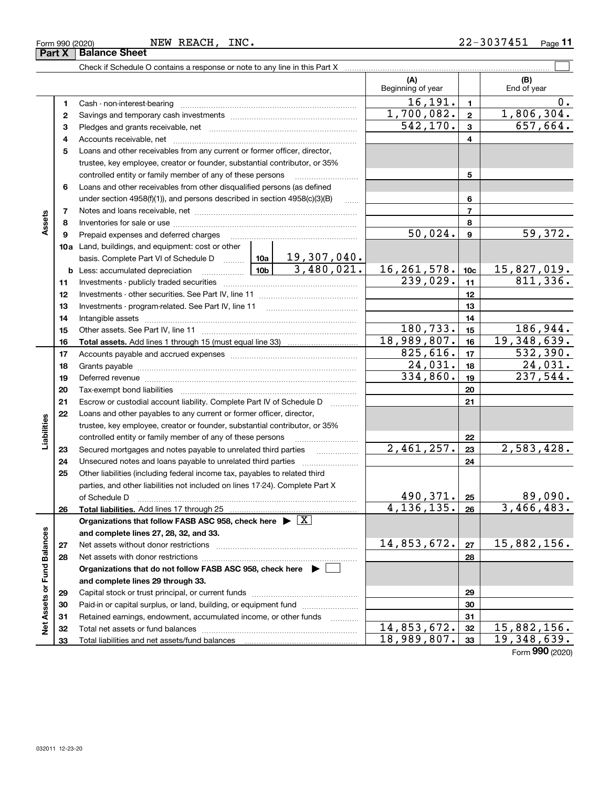|                             | Part X | <b>Balance Sheet</b>                                                                                                |                                                            |              |                          |                 |                         |
|-----------------------------|--------|---------------------------------------------------------------------------------------------------------------------|------------------------------------------------------------|--------------|--------------------------|-----------------|-------------------------|
|                             |        |                                                                                                                     |                                                            |              |                          |                 |                         |
|                             |        |                                                                                                                     |                                                            |              | (A)<br>Beginning of year |                 | (B)<br>End of year      |
|                             | 1      |                                                                                                                     |                                                            | 16, 191.     | $\mathbf{1}$             | 0.              |                         |
|                             | 2      |                                                                                                                     | 1,700,082.                                                 | $\mathbf{2}$ | 1,806,304.               |                 |                         |
|                             | з      |                                                                                                                     |                                                            | 542, 170.    | $\mathbf{3}$             | 657,664.        |                         |
|                             | 4      |                                                                                                                     |                                                            |              | 4                        |                 |                         |
|                             | 5      | Loans and other receivables from any current or former officer, director,                                           |                                                            |              |                          |                 |                         |
|                             |        | trustee, key employee, creator or founder, substantial contributor, or 35%                                          |                                                            |              |                          |                 |                         |
|                             |        |                                                                                                                     | controlled entity or family member of any of these persons |              |                          |                 |                         |
|                             | 6      | Loans and other receivables from other disqualified persons (as defined                                             |                                                            |              |                          | 5               |                         |
|                             |        | under section $4958(f)(1)$ , and persons described in section $4958(c)(3)(B)$                                       |                                                            | $\ldots$     |                          | 6               |                         |
|                             | 7      |                                                                                                                     |                                                            |              |                          | $\overline{7}$  |                         |
| Assets                      | 8      |                                                                                                                     |                                                            |              |                          | 8               |                         |
|                             | 9      | Prepaid expenses and deferred charges                                                                               |                                                            |              | 50,024.                  | $\mathbf{9}$    | 59,372.                 |
|                             |        | <b>10a</b> Land, buildings, and equipment: cost or other                                                            |                                                            |              |                          |                 |                         |
|                             |        | basis. Complete Part VI of Schedule D    10a   19, 307, 040.                                                        |                                                            |              |                          |                 |                         |
|                             |        | <u>  10b</u>  <br><b>b</b> Less: accumulated depreciation                                                           |                                                            | 3,480,021.   | 16, 261, 578.            | 10 <sub>c</sub> | 15,827,019.             |
|                             | 11     |                                                                                                                     |                                                            |              | 239,029.                 | 11              | 811,336.                |
|                             | 12     |                                                                                                                     |                                                            |              |                          | 12              |                         |
|                             | 13     |                                                                                                                     |                                                            |              |                          | 13              |                         |
|                             | 14     |                                                                                                                     |                                                            |              | 14                       |                 |                         |
|                             | 15     |                                                                                                                     | 180,733.                                                   | 15           | 186,944.                 |                 |                         |
|                             | 16     |                                                                                                                     |                                                            |              | 18,989,807.              | 16              | 19,348,639.             |
|                             | 17     |                                                                                                                     |                                                            |              | 825,616.                 | 17              | 532,390.                |
|                             | 18     |                                                                                                                     |                                                            | 24,031.      | 18                       | 24,031.         |                         |
|                             | 19     | Deferred revenue manual contracts and contracts are all the manual contracts and contracts are all the contracts of |                                                            |              | 334,860.                 | 19              | $\overline{237,544}$ .  |
|                             | 20     |                                                                                                                     |                                                            |              |                          | 20              |                         |
|                             | 21     | Escrow or custodial account liability. Complete Part IV of Schedule D                                               |                                                            | .            |                          | 21              |                         |
|                             | 22     | Loans and other payables to any current or former officer, director,                                                |                                                            |              |                          |                 |                         |
|                             |        | trustee, key employee, creator or founder, substantial contributor, or 35%                                          |                                                            |              |                          |                 |                         |
| Liabilities                 |        | controlled entity or family member of any of these persons                                                          |                                                            |              |                          | 22              |                         |
|                             | 23     | Secured mortgages and notes payable to unrelated third parties                                                      |                                                            |              | 2,461,257.               | 23              | 2,583,428.              |
|                             | 24     | Unsecured notes and loans payable to unrelated third parties                                                        |                                                            |              |                          | 24              |                         |
|                             | 25     | Other liabilities (including federal income tax, payables to related third                                          |                                                            |              |                          |                 |                         |
|                             |        | parties, and other liabilities not included on lines 17-24). Complete Part X                                        |                                                            |              |                          |                 |                         |
|                             |        | of Schedule D                                                                                                       |                                                            |              | 490,371.                 | 25              | 89,090.                 |
|                             | 26     | Total liabilities. Add lines 17 through 25                                                                          |                                                            |              | 4, 136, 135.             | 26              | $\overline{3,466},483.$ |
|                             |        | Organizations that follow FASB ASC 958, check here $\blacktriangleright \boxed{X}$                                  |                                                            |              |                          |                 |                         |
|                             |        | and complete lines 27, 28, 32, and 33.                                                                              |                                                            |              |                          |                 |                         |
|                             | 27     | Net assets without donor restrictions                                                                               | 14,853,672.                                                | 27           | 15,882,156.              |                 |                         |
|                             | 28     |                                                                                                                     |                                                            |              |                          | 28              |                         |
|                             |        | Organizations that do not follow FASB ASC 958, check here $\blacktriangleright$                                     |                                                            |              |                          |                 |                         |
|                             |        | and complete lines 29 through 33.                                                                                   |                                                            |              |                          |                 |                         |
|                             | 29     |                                                                                                                     |                                                            |              |                          | 29              |                         |
|                             | 30     | Paid-in or capital surplus, or land, building, or equipment fund                                                    |                                                            |              |                          | 30              |                         |
| Net Assets or Fund Balances | 31     | Retained earnings, endowment, accumulated income, or other funds                                                    |                                                            | .            |                          | 31              |                         |
|                             | 32     |                                                                                                                     |                                                            |              | 14,853,672.              | 32              | 15,882,156.             |
|                             | 33     |                                                                                                                     |                                                            |              | 18,989,807.              | 33              | 19, 348, 639.           |

Form (2020) **990**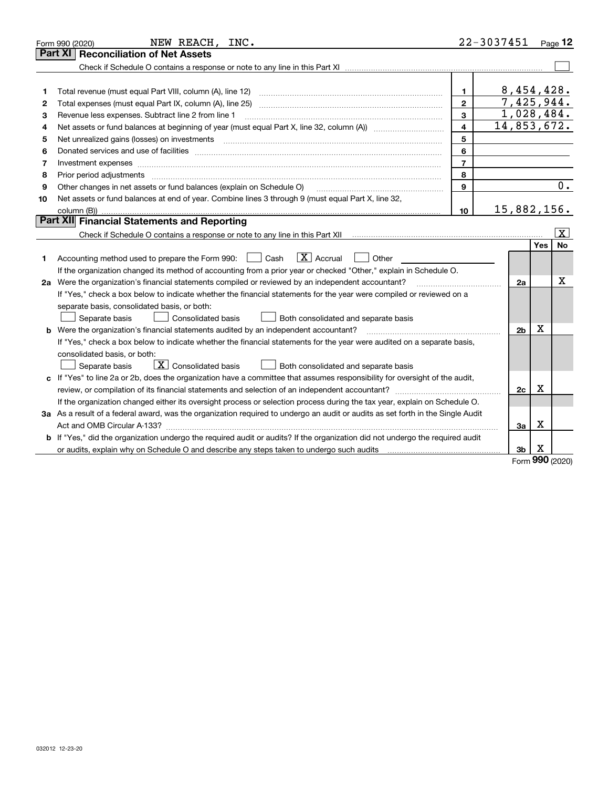|    | INC.<br>NEW REACH,<br>Form 990 (2020)                                                                                                                                                                                          |                | 22-3037451     |        | Page 12      |
|----|--------------------------------------------------------------------------------------------------------------------------------------------------------------------------------------------------------------------------------|----------------|----------------|--------|--------------|
|    | Part XI<br><b>Reconciliation of Net Assets</b>                                                                                                                                                                                 |                |                |        |              |
|    |                                                                                                                                                                                                                                |                |                |        |              |
|    |                                                                                                                                                                                                                                |                |                |        |              |
| 1  |                                                                                                                                                                                                                                | 1              |                |        | 8,454,428.   |
| 2  | Total expenses (must equal Part IX, column (A), line 25)                                                                                                                                                                       | $\mathbf{2}$   |                |        | 7,425,944.   |
| 3  | Revenue less expenses. Subtract line 2 from line 1                                                                                                                                                                             | 3              |                |        | 1,028,484.   |
| 4  | Net assets or fund balances at beginning of year (must equal Part X, line 32, column (A)) <i>manageredial</i>                                                                                                                  | 4              | 14,853,672.    |        |              |
| 5  |                                                                                                                                                                                                                                | 5              |                |        |              |
| 6  | Donated services and use of facilities [111] matter contracts and the service of facilities [11] matter contracts and use of facilities [11] matter contracts and the service of facilities [11] matter contracts and the serv | 6              |                |        |              |
| 7  | Investment expenses www.communication.communication.com/internation.com/internation.com/internation.com/intern                                                                                                                 | $\overline{7}$ |                |        |              |
| 8  | Prior period adjustments                                                                                                                                                                                                       | 8              |                |        |              |
| 9  | Other changes in net assets or fund balances (explain on Schedule O)                                                                                                                                                           | 9              |                |        | 0.           |
| 10 | Net assets or fund balances at end of year. Combine lines 3 through 9 (must equal Part X, line 32,                                                                                                                             |                |                |        |              |
|    | column (B))                                                                                                                                                                                                                    | 10             | 15,882,156.    |        |              |
|    | Part XII Financial Statements and Reporting                                                                                                                                                                                    |                |                |        |              |
|    |                                                                                                                                                                                                                                |                |                |        | $\mathbf{X}$ |
|    |                                                                                                                                                                                                                                |                |                | Yes    | <b>No</b>    |
| 1  | $\boxed{\text{X}}$ Accrual<br>Accounting method used to prepare the Form 990: [130] Cash<br>Other<br>$\perp$                                                                                                                   |                |                |        |              |
|    | If the organization changed its method of accounting from a prior year or checked "Other," explain in Schedule O.                                                                                                              |                |                |        |              |
|    | 2a Were the organization's financial statements compiled or reviewed by an independent accountant?                                                                                                                             |                | 2a             |        | Х            |
|    | If "Yes," check a box below to indicate whether the financial statements for the year were compiled or reviewed on a                                                                                                           |                |                |        |              |
|    | separate basis, consolidated basis, or both:                                                                                                                                                                                   |                |                |        |              |
|    | Separate basis<br>Consolidated basis<br>Both consolidated and separate basis                                                                                                                                                   |                |                |        |              |
|    | Were the organization's financial statements audited by an independent accountant?                                                                                                                                             |                | 2 <sub>b</sub> | X      |              |
|    | If "Yes," check a box below to indicate whether the financial statements for the year were audited on a separate basis,                                                                                                        |                |                |        |              |
|    | consolidated basis, or both:                                                                                                                                                                                                   |                |                |        |              |
|    | $\boxed{\mathbf{X}}$ Consolidated basis<br>Both consolidated and separate basis<br>Separate basis                                                                                                                              |                |                |        |              |
|    | c If "Yes" to line 2a or 2b, does the organization have a committee that assumes responsibility for oversight of the audit,                                                                                                    |                |                |        |              |
|    | review, or compilation of its financial statements and selection of an independent accountant?                                                                                                                                 |                | 2c             | х      |              |
|    | If the organization changed either its oversight process or selection process during the tax year, explain on Schedule O.                                                                                                      |                |                |        |              |
|    | 3a As a result of a federal award, was the organization required to undergo an audit or audits as set forth in the Single Audit                                                                                                |                |                |        |              |
|    |                                                                                                                                                                                                                                |                | За             | х      |              |
|    | <b>b</b> If "Yes," did the organization undergo the required audit or audits? If the organization did not undergo the required audit                                                                                           |                |                |        |              |
|    |                                                                                                                                                                                                                                |                | 3 <sub>b</sub> | х<br>š |              |

Form (2020) **990**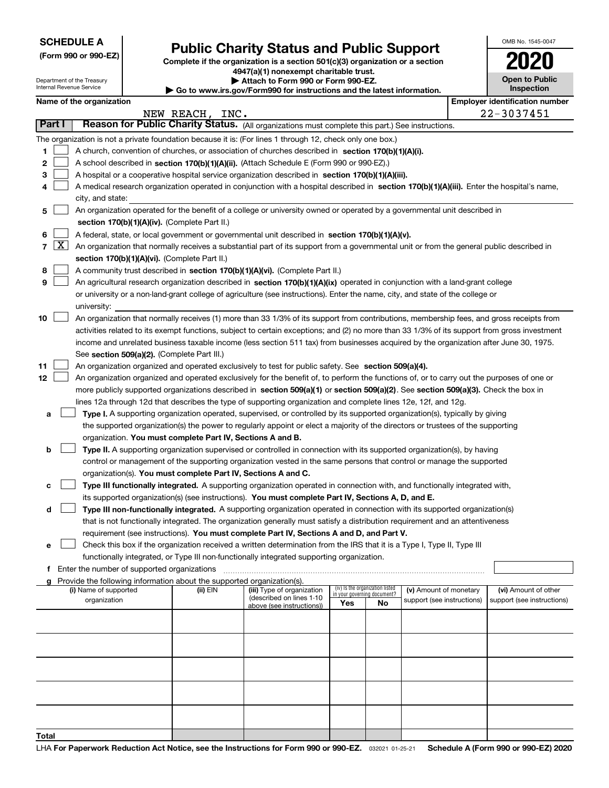Department of the Treasury Internal Revenue Service

| (Form 990 or 990-EZ) |  |  |  |  |
|----------------------|--|--|--|--|
|----------------------|--|--|--|--|

### **Public Charity Status and Public Support**

**Complete if the organization is a section 501(c)(3) organization or a section 4947(a)(1) nonexempt charitable trust. | Attach to Form 990 or Form 990-EZ.** 

| $\triangleright$ , we set to the set of the set of the set of the set of $\blacksquare$ |
|-----------------------------------------------------------------------------------------|
| ▶ Go to www.irs.gov/Form990 for instructions and the latest information.                |
|                                                                                         |

| OMB No 1545-0047                    |
|-------------------------------------|
| 2020                                |
| <b>Open to Public</b><br>Inspection |

| Name of the organization |
|--------------------------|
|--------------------------|

|        |            | Name of the organization                                                                                                                     |                 |                                                       |                                    |                                 |                            |  | <b>Employer identification number</b> |
|--------|------------|----------------------------------------------------------------------------------------------------------------------------------------------|-----------------|-------------------------------------------------------|------------------------------------|---------------------------------|----------------------------|--|---------------------------------------|
|        |            |                                                                                                                                              | NEW REACH, INC. |                                                       |                                    |                                 |                            |  | 22-3037451                            |
| Part I |            | Reason for Public Charity Status. (All organizations must complete this part.) See instructions.                                             |                 |                                                       |                                    |                                 |                            |  |                                       |
|        |            | The organization is not a private foundation because it is: (For lines 1 through 12, check only one box.)                                    |                 |                                                       |                                    |                                 |                            |  |                                       |
| 1      |            | A church, convention of churches, or association of churches described in section 170(b)(1)(A)(i).                                           |                 |                                                       |                                    |                                 |                            |  |                                       |
| 2      |            | A school described in section 170(b)(1)(A)(ii). (Attach Schedule E (Form 990 or 990-EZ).)                                                    |                 |                                                       |                                    |                                 |                            |  |                                       |
| 3      |            | A hospital or a cooperative hospital service organization described in section 170(b)(1)(A)(iii).                                            |                 |                                                       |                                    |                                 |                            |  |                                       |
| 4      |            | A medical research organization operated in conjunction with a hospital described in section 170(b)(1)(A)(iii). Enter the hospital's name,   |                 |                                                       |                                    |                                 |                            |  |                                       |
|        |            | city, and state:                                                                                                                             |                 |                                                       |                                    |                                 |                            |  |                                       |
| 5      |            | An organization operated for the benefit of a college or university owned or operated by a governmental unit described in                    |                 |                                                       |                                    |                                 |                            |  |                                       |
|        |            | section 170(b)(1)(A)(iv). (Complete Part II.)                                                                                                |                 |                                                       |                                    |                                 |                            |  |                                       |
| 6      |            | A federal, state, or local government or governmental unit described in section 170(b)(1)(A)(v).                                             |                 |                                                       |                                    |                                 |                            |  |                                       |
|        | $7 \times$ | An organization that normally receives a substantial part of its support from a governmental unit or from the general public described in    |                 |                                                       |                                    |                                 |                            |  |                                       |
|        |            |                                                                                                                                              |                 |                                                       |                                    |                                 |                            |  |                                       |
|        |            | section 170(b)(1)(A)(vi). (Complete Part II.)                                                                                                |                 |                                                       |                                    |                                 |                            |  |                                       |
| 8      |            | A community trust described in section 170(b)(1)(A)(vi). (Complete Part II.)                                                                 |                 |                                                       |                                    |                                 |                            |  |                                       |
| 9      |            | An agricultural research organization described in section 170(b)(1)(A)(ix) operated in conjunction with a land-grant college                |                 |                                                       |                                    |                                 |                            |  |                                       |
|        |            | or university or a non-land-grant college of agriculture (see instructions). Enter the name, city, and state of the college or               |                 |                                                       |                                    |                                 |                            |  |                                       |
|        |            | university:                                                                                                                                  |                 |                                                       |                                    |                                 |                            |  |                                       |
| 10     |            | An organization that normally receives (1) more than 33 1/3% of its support from contributions, membership fees, and gross receipts from     |                 |                                                       |                                    |                                 |                            |  |                                       |
|        |            | activities related to its exempt functions, subject to certain exceptions; and (2) no more than 33 1/3% of its support from gross investment |                 |                                                       |                                    |                                 |                            |  |                                       |
|        |            | income and unrelated business taxable income (less section 511 tax) from businesses acquired by the organization after June 30, 1975.        |                 |                                                       |                                    |                                 |                            |  |                                       |
|        |            | See section 509(a)(2). (Complete Part III.)                                                                                                  |                 |                                                       |                                    |                                 |                            |  |                                       |
| 11     |            | An organization organized and operated exclusively to test for public safety. See section 509(a)(4).                                         |                 |                                                       |                                    |                                 |                            |  |                                       |
| 12     |            | An organization organized and operated exclusively for the benefit of, to perform the functions of, or to carry out the purposes of one or   |                 |                                                       |                                    |                                 |                            |  |                                       |
|        |            | more publicly supported organizations described in section 509(a)(1) or section 509(a)(2). See section 509(a)(3). Check the box in           |                 |                                                       |                                    |                                 |                            |  |                                       |
|        |            | lines 12a through 12d that describes the type of supporting organization and complete lines 12e, 12f, and 12g.                               |                 |                                                       |                                    |                                 |                            |  |                                       |
| а      |            | Type I. A supporting organization operated, supervised, or controlled by its supported organization(s), typically by giving                  |                 |                                                       |                                    |                                 |                            |  |                                       |
|        |            | the supported organization(s) the power to regularly appoint or elect a majority of the directors or trustees of the supporting              |                 |                                                       |                                    |                                 |                            |  |                                       |
|        |            | organization. You must complete Part IV, Sections A and B.                                                                                   |                 |                                                       |                                    |                                 |                            |  |                                       |
| b      |            | Type II. A supporting organization supervised or controlled in connection with its supported organization(s), by having                      |                 |                                                       |                                    |                                 |                            |  |                                       |
|        |            | control or management of the supporting organization vested in the same persons that control or manage the supported                         |                 |                                                       |                                    |                                 |                            |  |                                       |
|        |            | organization(s). You must complete Part IV, Sections A and C.                                                                                |                 |                                                       |                                    |                                 |                            |  |                                       |
| с      |            | Type III functionally integrated. A supporting organization operated in connection with, and functionally integrated with,                   |                 |                                                       |                                    |                                 |                            |  |                                       |
|        |            | its supported organization(s) (see instructions). You must complete Part IV, Sections A, D, and E.                                           |                 |                                                       |                                    |                                 |                            |  |                                       |
| d      |            | Type III non-functionally integrated. A supporting organization operated in connection with its supported organization(s)                    |                 |                                                       |                                    |                                 |                            |  |                                       |
|        |            | that is not functionally integrated. The organization generally must satisfy a distribution requirement and an attentiveness                 |                 |                                                       |                                    |                                 |                            |  |                                       |
|        |            | requirement (see instructions). You must complete Part IV, Sections A and D, and Part V.                                                     |                 |                                                       |                                    |                                 |                            |  |                                       |
|        |            | Check this box if the organization received a written determination from the IRS that it is a Type I, Type II, Type III                      |                 |                                                       |                                    |                                 |                            |  |                                       |
|        |            | functionally integrated, or Type III non-functionally integrated supporting organization.                                                    |                 |                                                       |                                    |                                 |                            |  |                                       |
|        |            | f Enter the number of supported organizations                                                                                                |                 |                                                       |                                    |                                 |                            |  |                                       |
|        |            | g Provide the following information about the supported organization(s).                                                                     |                 |                                                       |                                    |                                 |                            |  |                                       |
|        |            | (i) Name of supported                                                                                                                        | (ii) EIN        | (iii) Type of organization                            |                                    | (iv) Is the organization listed | (v) Amount of monetary     |  | (vi) Amount of other                  |
|        |            | organization                                                                                                                                 |                 | (described on lines 1-10<br>above (see instructions)) | in your governing document?<br>Yes | No                              | support (see instructions) |  | support (see instructions)            |
|        |            |                                                                                                                                              |                 |                                                       |                                    |                                 |                            |  |                                       |
|        |            |                                                                                                                                              |                 |                                                       |                                    |                                 |                            |  |                                       |
|        |            |                                                                                                                                              |                 |                                                       |                                    |                                 |                            |  |                                       |
|        |            |                                                                                                                                              |                 |                                                       |                                    |                                 |                            |  |                                       |
|        |            |                                                                                                                                              |                 |                                                       |                                    |                                 |                            |  |                                       |
|        |            |                                                                                                                                              |                 |                                                       |                                    |                                 |                            |  |                                       |
|        |            |                                                                                                                                              |                 |                                                       |                                    |                                 |                            |  |                                       |
|        |            |                                                                                                                                              |                 |                                                       |                                    |                                 |                            |  |                                       |
|        |            |                                                                                                                                              |                 |                                                       |                                    |                                 |                            |  |                                       |
|        |            |                                                                                                                                              |                 |                                                       |                                    |                                 |                            |  |                                       |
|        |            |                                                                                                                                              |                 |                                                       |                                    |                                 |                            |  |                                       |
| Total  |            |                                                                                                                                              |                 |                                                       |                                    |                                 |                            |  |                                       |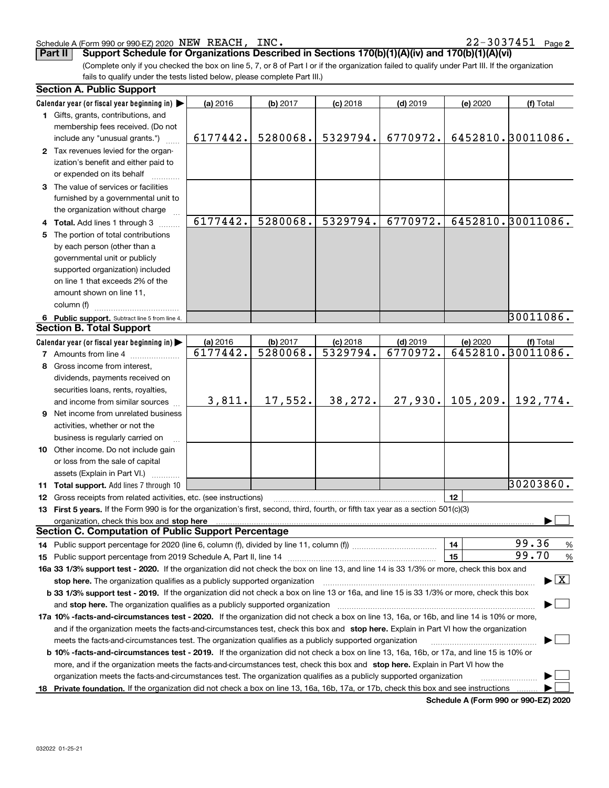#### 032022 01-25-21

| membership fees received. (Do not                                                                                                              |          |          |            |            |          |                                      |  |  |
|------------------------------------------------------------------------------------------------------------------------------------------------|----------|----------|------------|------------|----------|--------------------------------------|--|--|
| include any "unusual grants.")                                                                                                                 | 6177442. | 5280068. | 5329794.   | 6770972.   |          | 6452810.30011086.                    |  |  |
| 2 Tax revenues levied for the organ-                                                                                                           |          |          |            |            |          |                                      |  |  |
| ization's benefit and either paid to                                                                                                           |          |          |            |            |          |                                      |  |  |
| or expended on its behalf                                                                                                                      |          |          |            |            |          |                                      |  |  |
| 3 The value of services or facilities                                                                                                          |          |          |            |            |          |                                      |  |  |
| furnished by a governmental unit to                                                                                                            |          |          |            |            |          |                                      |  |  |
| the organization without charge                                                                                                                |          |          |            |            |          |                                      |  |  |
| 4 Total. Add lines 1 through 3                                                                                                                 | 6177442. | 5280068. | 5329794.   | 6770972.   |          | 6452810.30011086.                    |  |  |
| 5 The portion of total contributions                                                                                                           |          |          |            |            |          |                                      |  |  |
| by each person (other than a                                                                                                                   |          |          |            |            |          |                                      |  |  |
| governmental unit or publicly                                                                                                                  |          |          |            |            |          |                                      |  |  |
| supported organization) included                                                                                                               |          |          |            |            |          |                                      |  |  |
| on line 1 that exceeds 2% of the                                                                                                               |          |          |            |            |          |                                      |  |  |
| amount shown on line 11,                                                                                                                       |          |          |            |            |          |                                      |  |  |
| column (f)                                                                                                                                     |          |          |            |            |          |                                      |  |  |
| 6 Public support. Subtract line 5 from line 4.                                                                                                 |          |          |            |            |          | 30011086.                            |  |  |
| <b>Section B. Total Support</b>                                                                                                                |          |          |            |            |          |                                      |  |  |
| Calendar year (or fiscal year beginning in) $\blacktriangleright$                                                                              | (a) 2016 | (b) 2017 | $(c)$ 2018 | $(d)$ 2019 | (e) 2020 | (f) Total                            |  |  |
| 7 Amounts from line 4                                                                                                                          | 6177442. | 5280068. | 5329794.   | 6770972.   |          | 6452810.30011086.                    |  |  |
| 8 Gross income from interest,                                                                                                                  |          |          |            |            |          |                                      |  |  |
| dividends, payments received on                                                                                                                |          |          |            |            |          |                                      |  |  |
| securities loans, rents, royalties,                                                                                                            |          |          |            |            |          |                                      |  |  |
| and income from similar sources                                                                                                                | 3,811.   | 17,552.  | 38, 272.   |            |          | $27,930.$ 105, 209. 192, 774.        |  |  |
| <b>9</b> Net income from unrelated business                                                                                                    |          |          |            |            |          |                                      |  |  |
| activities, whether or not the                                                                                                                 |          |          |            |            |          |                                      |  |  |
| business is regularly carried on                                                                                                               |          |          |            |            |          |                                      |  |  |
| 10 Other income. Do not include gain                                                                                                           |          |          |            |            |          |                                      |  |  |
| or loss from the sale of capital                                                                                                               |          |          |            |            |          |                                      |  |  |
| assets (Explain in Part VI.)                                                                                                                   |          |          |            |            |          |                                      |  |  |
| <b>11 Total support.</b> Add lines 7 through 10                                                                                                |          |          |            |            |          | 30203860.                            |  |  |
| 12 Gross receipts from related activities, etc. (see instructions)                                                                             |          |          |            |            | 12       |                                      |  |  |
| 13 First 5 years. If the Form 990 is for the organization's first, second, third, fourth, or fifth tax year as a section 501(c)(3)             |          |          |            |            |          |                                      |  |  |
| organization, check this box and stop here                                                                                                     |          |          |            |            |          |                                      |  |  |
| <b>Section C. Computation of Public Support Percentage</b>                                                                                     |          |          |            |            |          |                                      |  |  |
|                                                                                                                                                |          |          |            |            | 14       | 99.36<br>%                           |  |  |
| 99.70<br>15<br>$\%$                                                                                                                            |          |          |            |            |          |                                      |  |  |
| 16a 33 1/3% support test - 2020. If the organization did not check the box on line 13, and line 14 is 33 1/3% or more, check this box and      |          |          |            |            |          |                                      |  |  |
| $\blacktriangleright$ $\boxed{\text{X}}$<br>stop here. The organization qualifies as a publicly supported organization                         |          |          |            |            |          |                                      |  |  |
| b 33 1/3% support test - 2019. If the organization did not check a box on line 13 or 16a, and line 15 is 33 1/3% or more, check this box       |          |          |            |            |          |                                      |  |  |
| 17a 10% -facts-and-circumstances test - 2020. If the organization did not check a box on line 13, 16a, or 16b, and line 14 is 10% or more,     |          |          |            |            |          |                                      |  |  |
|                                                                                                                                                |          |          |            |            |          |                                      |  |  |
| and if the organization meets the facts-and-circumstances test, check this box and stop here. Explain in Part VI how the organization          |          |          |            |            |          |                                      |  |  |
| meets the facts-and-circumstances test. The organization qualifies as a publicly supported organization                                        |          |          |            |            |          |                                      |  |  |
| <b>b 10% -facts-and-circumstances test - 2019.</b> If the organization did not check a box on line 13, 16a, 16b, or 17a, and line 15 is 10% or |          |          |            |            |          |                                      |  |  |
| more, and if the organization meets the facts-and-circumstances test, check this box and stop here. Explain in Part VI how the                 |          |          |            |            |          |                                      |  |  |
| organization meets the facts-and-circumstances test. The organization qualifies as a publicly supported organization                           |          |          |            |            |          |                                      |  |  |
| 18 Private foundation. If the organization did not check a box on line 13, 16a, 16b, 17a, or 17b, check this box and see instructions          |          |          |            |            |          | Schedule A (Form 990 or 990-EZ) 2020 |  |  |
|                                                                                                                                                |          |          |            |            |          |                                      |  |  |

### **Part II** Support Schedule for Organizations Described in Sections 170(b)(1)(A)(iv) and 170(b)(1)(A)(vi)

(a) 2016

(Complete only if you checked the box on line 5, 7, or 8 of Part I or if the organization failed to qualify under Part III. If the organization fails to qualify under the tests listed below, please complete Part III.)

**(a)** 2016 **(b)** 2017 **(c)** 2018 **(d)** 2019 **(e)** 2020 **(f)** Total

#### Schedule A (Form 990 or 990-EZ) 2020 Page NEW REACH, INC. 22-3037451

**Calendar year (or fiscal year beginning in)**  |

**1**Gifts, grants, contributions, and

**Section A. Public Support**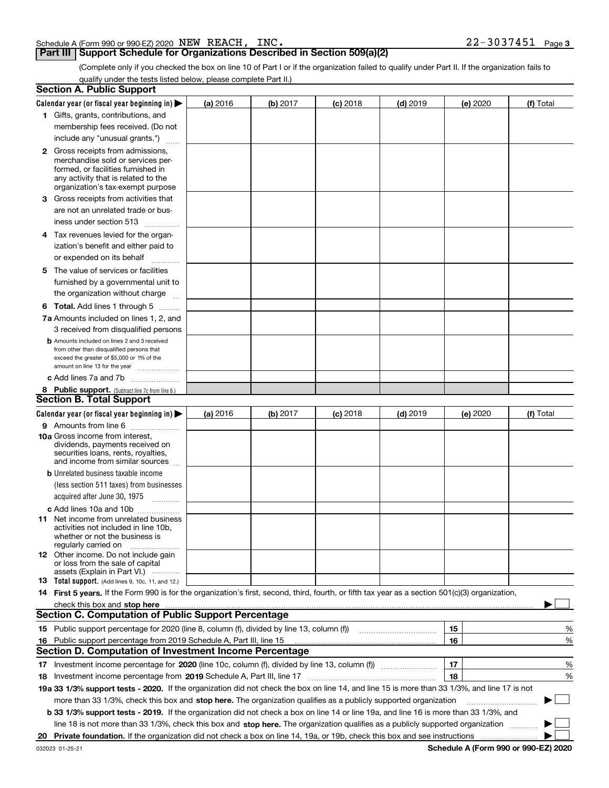|  | Schedule A (Form 990 or 990-EZ) 2020 | NEW | REACH | INC. | 3037451 | Page 3 |
|--|--------------------------------------|-----|-------|------|---------|--------|
|  |                                      |     |       |      |         |        |

#### **Part III Support Schedule for Organizations Described in Section 509(a)(2)**

(Complete only if you checked the box on line 10 of Part I or if the organization failed to qualify under Part II. If the organization fails to qualify under the tests listed below, please complete Part II.)

|     | <b>Section A. Public Support</b>                                                                                                                                                                                               |          |          |            |            |          |             |
|-----|--------------------------------------------------------------------------------------------------------------------------------------------------------------------------------------------------------------------------------|----------|----------|------------|------------|----------|-------------|
|     | Calendar year (or fiscal year beginning in) $\blacktriangleright$                                                                                                                                                              | (a) 2016 | (b) 2017 | $(c)$ 2018 | $(d)$ 2019 | (e) 2020 | (f) Total   |
|     | 1 Gifts, grants, contributions, and                                                                                                                                                                                            |          |          |            |            |          |             |
|     | membership fees received. (Do not                                                                                                                                                                                              |          |          |            |            |          |             |
|     | include any "unusual grants.")                                                                                                                                                                                                 |          |          |            |            |          |             |
|     | <b>2</b> Gross receipts from admissions,                                                                                                                                                                                       |          |          |            |            |          |             |
|     | merchandise sold or services per-                                                                                                                                                                                              |          |          |            |            |          |             |
|     | formed, or facilities furnished in                                                                                                                                                                                             |          |          |            |            |          |             |
|     | any activity that is related to the<br>organization's tax-exempt purpose                                                                                                                                                       |          |          |            |            |          |             |
|     | 3 Gross receipts from activities that                                                                                                                                                                                          |          |          |            |            |          |             |
|     | are not an unrelated trade or bus-                                                                                                                                                                                             |          |          |            |            |          |             |
|     | iness under section 513                                                                                                                                                                                                        |          |          |            |            |          |             |
|     |                                                                                                                                                                                                                                |          |          |            |            |          |             |
|     | 4 Tax revenues levied for the organ-                                                                                                                                                                                           |          |          |            |            |          |             |
|     | ization's benefit and either paid to                                                                                                                                                                                           |          |          |            |            |          |             |
|     | or expended on its behalf<br>.                                                                                                                                                                                                 |          |          |            |            |          |             |
|     | 5 The value of services or facilities                                                                                                                                                                                          |          |          |            |            |          |             |
|     | furnished by a governmental unit to                                                                                                                                                                                            |          |          |            |            |          |             |
|     | the organization without charge                                                                                                                                                                                                |          |          |            |            |          |             |
|     | <b>6 Total.</b> Add lines 1 through 5                                                                                                                                                                                          |          |          |            |            |          |             |
|     | 7a Amounts included on lines 1, 2, and                                                                                                                                                                                         |          |          |            |            |          |             |
|     | 3 received from disqualified persons                                                                                                                                                                                           |          |          |            |            |          |             |
|     | <b>b</b> Amounts included on lines 2 and 3 received                                                                                                                                                                            |          |          |            |            |          |             |
|     | from other than disqualified persons that<br>exceed the greater of \$5,000 or 1% of the                                                                                                                                        |          |          |            |            |          |             |
|     | amount on line 13 for the year                                                                                                                                                                                                 |          |          |            |            |          |             |
|     | c Add lines 7a and 7b                                                                                                                                                                                                          |          |          |            |            |          |             |
|     | 8 Public support. (Subtract line 7c from line 6.)                                                                                                                                                                              |          |          |            |            |          |             |
|     | <b>Section B. Total Support</b>                                                                                                                                                                                                |          |          |            |            |          |             |
|     | Calendar year (or fiscal year beginning in) $\blacktriangleright$                                                                                                                                                              | (a) 2016 | (b) 2017 | $(c)$ 2018 | $(d)$ 2019 | (e) 2020 | (f) Total   |
|     | 9 Amounts from line 6                                                                                                                                                                                                          |          |          |            |            |          |             |
|     | <b>10a</b> Gross income from interest,                                                                                                                                                                                         |          |          |            |            |          |             |
|     | dividends, payments received on                                                                                                                                                                                                |          |          |            |            |          |             |
|     | securities loans, rents, royalties,<br>and income from similar sources                                                                                                                                                         |          |          |            |            |          |             |
|     | <b>b</b> Unrelated business taxable income                                                                                                                                                                                     |          |          |            |            |          |             |
|     | (less section 511 taxes) from businesses                                                                                                                                                                                       |          |          |            |            |          |             |
|     | acquired after June 30, 1975                                                                                                                                                                                                   |          |          |            |            |          |             |
|     | c Add lines 10a and 10b                                                                                                                                                                                                        |          |          |            |            |          |             |
|     | 11 Net income from unrelated business                                                                                                                                                                                          |          |          |            |            |          |             |
|     | activities not included in line 10b,                                                                                                                                                                                           |          |          |            |            |          |             |
|     | whether or not the business is                                                                                                                                                                                                 |          |          |            |            |          |             |
|     | regularly carried on<br><b>12</b> Other income. Do not include gain                                                                                                                                                            |          |          |            |            |          |             |
|     | or loss from the sale of capital                                                                                                                                                                                               |          |          |            |            |          |             |
|     | assets (Explain in Part VI.)                                                                                                                                                                                                   |          |          |            |            |          |             |
|     | 13 Total support. (Add lines 9, 10c, 11, and 12.)                                                                                                                                                                              |          |          |            |            |          |             |
|     | 14 First 5 years. If the Form 990 is for the organization's first, second, third, fourth, or fifth tax year as a section 501(c)(3) organization,                                                                               |          |          |            |            |          |             |
|     | check this box and stop here measurements and contain the state of the state of the state of the state of the state of the state of the state of the state of the state of the state of the state of the state of the state of |          |          |            |            |          |             |
|     | <b>Section C. Computation of Public Support Percentage</b>                                                                                                                                                                     |          |          |            |            |          |             |
|     |                                                                                                                                                                                                                                |          |          |            |            | 15       | %           |
| 16. | Public support percentage from 2019 Schedule A, Part III, line 15<br><b>Section D. Computation of Investment Income Percentage</b>                                                                                             |          |          |            |            | 16       | %           |
|     |                                                                                                                                                                                                                                |          |          |            |            |          |             |
|     | 17 Investment income percentage for 2020 (line 10c, column (f), divided by line 13, column (f))                                                                                                                                |          |          |            |            | 17       | %           |
|     | 18 Investment income percentage from 2019 Schedule A, Part III, line 17                                                                                                                                                        |          |          |            |            | 18       | %           |
|     | 19a 33 1/3% support tests - 2020. If the organization did not check the box on line 14, and line 15 is more than 33 1/3%, and line 17 is not                                                                                   |          |          |            |            |          |             |
|     | more than 33 1/3%, check this box and stop here. The organization qualifies as a publicly supported organization                                                                                                               |          |          |            |            |          | $\sim$<br>▶ |
|     | b 33 1/3% support tests - 2019. If the organization did not check a box on line 14 or line 19a, and line 16 is more than 33 1/3%, and                                                                                          |          |          |            |            |          |             |
|     | line 18 is not more than 33 1/3%, check this box and stop here. The organization qualifies as a publicly supported organization                                                                                                |          |          |            |            |          |             |
| 20  |                                                                                                                                                                                                                                |          |          |            |            |          |             |

**Schedule A (Form 990 or 990-EZ) 2020**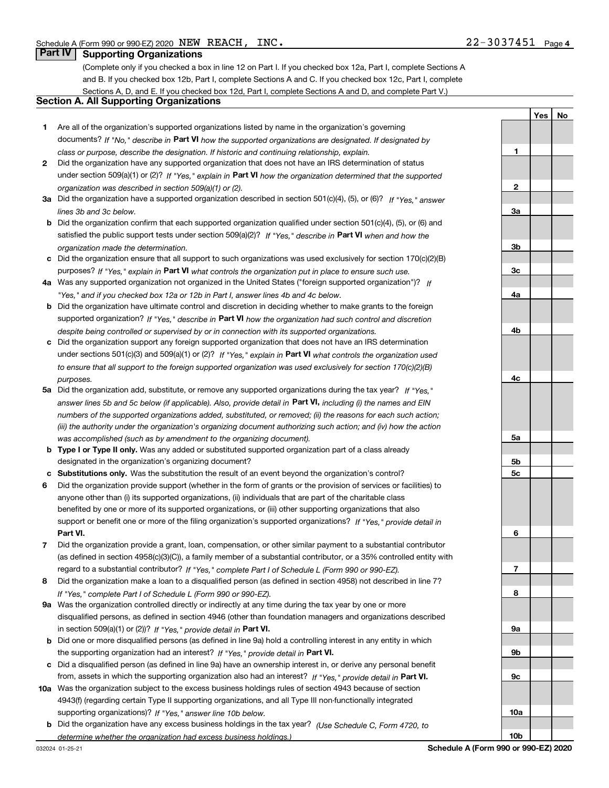**1**

**YesNo**

### **Part IV Supporting Organizations**

(Complete only if you checked a box in line 12 on Part I. If you checked box 12a, Part I, complete Sections A and B. If you checked box 12b, Part I, complete Sections A and C. If you checked box 12c, Part I, complete Sections A, D, and E. If you checked box 12d, Part I, complete Sections A and D, and complete Part V.)

#### **Section A. All Supporting Organizations**

- **1** Are all of the organization's supported organizations listed by name in the organization's governing documents? If "No," describe in **Part VI** how the supported organizations are designated. If designated by *class or purpose, describe the designation. If historic and continuing relationship, explain.*
- **2** Did the organization have any supported organization that does not have an IRS determination of status under section 509(a)(1) or (2)? If "Yes," explain in Part VI how the organization determined that the supported *organization was described in section 509(a)(1) or (2).*
- **3a** Did the organization have a supported organization described in section 501(c)(4), (5), or (6)? If "Yes," answer *lines 3b and 3c below.*
- **b** Did the organization confirm that each supported organization qualified under section 501(c)(4), (5), or (6) and satisfied the public support tests under section 509(a)(2)? If "Yes," describe in **Part VI** when and how the *organization made the determination.*
- **c**Did the organization ensure that all support to such organizations was used exclusively for section 170(c)(2)(B) purposes? If "Yes," explain in **Part VI** what controls the organization put in place to ensure such use.
- **4a***If* Was any supported organization not organized in the United States ("foreign supported organization")? *"Yes," and if you checked box 12a or 12b in Part I, answer lines 4b and 4c below.*
- **b** Did the organization have ultimate control and discretion in deciding whether to make grants to the foreign supported organization? If "Yes," describe in **Part VI** how the organization had such control and discretion *despite being controlled or supervised by or in connection with its supported organizations.*
- **c** Did the organization support any foreign supported organization that does not have an IRS determination under sections 501(c)(3) and 509(a)(1) or (2)? If "Yes," explain in **Part VI** what controls the organization used *to ensure that all support to the foreign supported organization was used exclusively for section 170(c)(2)(B) purposes.*
- **5a***If "Yes,"* Did the organization add, substitute, or remove any supported organizations during the tax year? answer lines 5b and 5c below (if applicable). Also, provide detail in **Part VI,** including (i) the names and EIN *numbers of the supported organizations added, substituted, or removed; (ii) the reasons for each such action; (iii) the authority under the organization's organizing document authorizing such action; and (iv) how the action was accomplished (such as by amendment to the organizing document).*
- **b** Type I or Type II only. Was any added or substituted supported organization part of a class already designated in the organization's organizing document?
- **cSubstitutions only.**  Was the substitution the result of an event beyond the organization's control?
- **6** Did the organization provide support (whether in the form of grants or the provision of services or facilities) to **Part VI.** *If "Yes," provide detail in* support or benefit one or more of the filing organization's supported organizations? anyone other than (i) its supported organizations, (ii) individuals that are part of the charitable class benefited by one or more of its supported organizations, or (iii) other supporting organizations that also
- **7**Did the organization provide a grant, loan, compensation, or other similar payment to a substantial contributor *If "Yes," complete Part I of Schedule L (Form 990 or 990-EZ).* regard to a substantial contributor? (as defined in section 4958(c)(3)(C)), a family member of a substantial contributor, or a 35% controlled entity with
- **8** Did the organization make a loan to a disqualified person (as defined in section 4958) not described in line 7? *If "Yes," complete Part I of Schedule L (Form 990 or 990-EZ).*
- **9a** Was the organization controlled directly or indirectly at any time during the tax year by one or more in section 509(a)(1) or (2))? If "Yes," *provide detail in* <code>Part VI.</code> disqualified persons, as defined in section 4946 (other than foundation managers and organizations described
- **b** Did one or more disqualified persons (as defined in line 9a) hold a controlling interest in any entity in which the supporting organization had an interest? If "Yes," provide detail in P**art VI**.
- **c**Did a disqualified person (as defined in line 9a) have an ownership interest in, or derive any personal benefit from, assets in which the supporting organization also had an interest? If "Yes," provide detail in P**art VI.**
- **10a** Was the organization subject to the excess business holdings rules of section 4943 because of section supporting organizations)? If "Yes," answer line 10b below. 4943(f) (regarding certain Type II supporting organizations, and all Type III non-functionally integrated
- **b** Did the organization have any excess business holdings in the tax year? (Use Schedule C, Form 4720, to *determine whether the organization had excess business holdings.)*

**10b**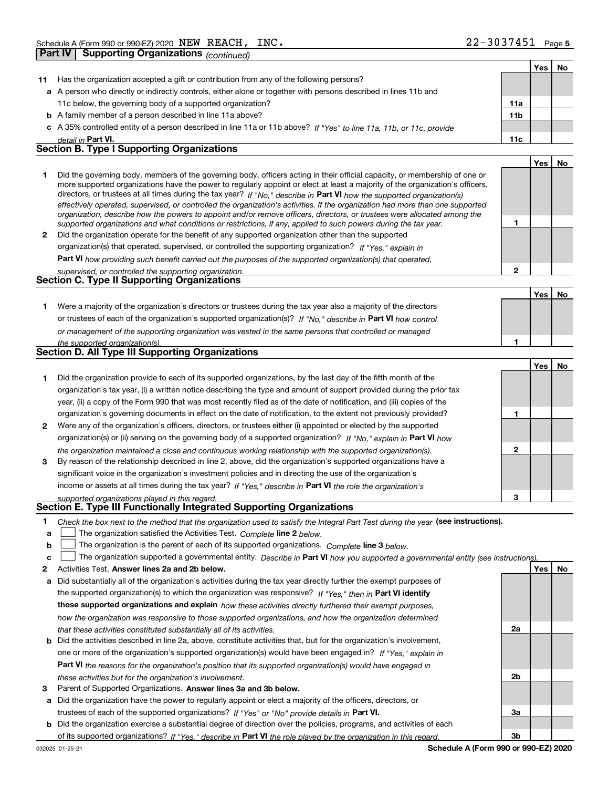|    | Supporting Organizations <sub>(continued)</sub><br>  Part IV                                                                                                                                                                                                                                                                                                                                                                                                                                                                                                                                                                                                                                                                                                             |                 |     |    |
|----|--------------------------------------------------------------------------------------------------------------------------------------------------------------------------------------------------------------------------------------------------------------------------------------------------------------------------------------------------------------------------------------------------------------------------------------------------------------------------------------------------------------------------------------------------------------------------------------------------------------------------------------------------------------------------------------------------------------------------------------------------------------------------|-----------------|-----|----|
|    |                                                                                                                                                                                                                                                                                                                                                                                                                                                                                                                                                                                                                                                                                                                                                                          |                 | Yes | No |
| 11 | Has the organization accepted a gift or contribution from any of the following persons?                                                                                                                                                                                                                                                                                                                                                                                                                                                                                                                                                                                                                                                                                  |                 |     |    |
|    | a A person who directly or indirectly controls, either alone or together with persons described in lines 11b and                                                                                                                                                                                                                                                                                                                                                                                                                                                                                                                                                                                                                                                         |                 |     |    |
|    | 11c below, the governing body of a supported organization?                                                                                                                                                                                                                                                                                                                                                                                                                                                                                                                                                                                                                                                                                                               | 11a             |     |    |
|    | <b>b</b> A family member of a person described in line 11a above?                                                                                                                                                                                                                                                                                                                                                                                                                                                                                                                                                                                                                                                                                                        | 11 <sub>b</sub> |     |    |
|    | c A 35% controlled entity of a person described in line 11a or 11b above? If "Yes" to line 11a, 11b, or 11c, provide                                                                                                                                                                                                                                                                                                                                                                                                                                                                                                                                                                                                                                                     |                 |     |    |
|    | detail in Part VI.                                                                                                                                                                                                                                                                                                                                                                                                                                                                                                                                                                                                                                                                                                                                                       | 11c             |     |    |
|    | <b>Section B. Type I Supporting Organizations</b>                                                                                                                                                                                                                                                                                                                                                                                                                                                                                                                                                                                                                                                                                                                        |                 |     |    |
|    |                                                                                                                                                                                                                                                                                                                                                                                                                                                                                                                                                                                                                                                                                                                                                                          |                 | Yes | No |
| 1  | Did the governing body, members of the governing body, officers acting in their official capacity, or membership of one or<br>more supported organizations have the power to regularly appoint or elect at least a majority of the organization's officers,<br>directors, or trustees at all times during the tax year? If "No," describe in Part VI how the supported organization(s)<br>effectively operated, supervised, or controlled the organization's activities. If the organization had more than one supported<br>organization, describe how the powers to appoint and/or remove officers, directors, or trustees were allocated among the<br>supported organizations and what conditions or restrictions, if any, applied to such powers during the tax year. | 1               |     |    |
| 2  | Did the organization operate for the benefit of any supported organization other than the supported                                                                                                                                                                                                                                                                                                                                                                                                                                                                                                                                                                                                                                                                      |                 |     |    |
|    | organization(s) that operated, supervised, or controlled the supporting organization? If "Yes," explain in                                                                                                                                                                                                                                                                                                                                                                                                                                                                                                                                                                                                                                                               |                 |     |    |
|    | Part VI how providing such benefit carried out the purposes of the supported organization(s) that operated,                                                                                                                                                                                                                                                                                                                                                                                                                                                                                                                                                                                                                                                              |                 |     |    |
|    | supervised, or controlled the supporting organization.                                                                                                                                                                                                                                                                                                                                                                                                                                                                                                                                                                                                                                                                                                                   | $\overline{2}$  |     |    |
|    | Section C. Type II Supporting Organizations                                                                                                                                                                                                                                                                                                                                                                                                                                                                                                                                                                                                                                                                                                                              |                 |     |    |
| 1. | Were a majority of the organization's directors or trustees during the tax year also a majority of the directors<br>or trustees of each of the organization's supported organization(s)? If "No," describe in Part VI how control<br>or management of the supporting organization was vested in the same persons that controlled or managed                                                                                                                                                                                                                                                                                                                                                                                                                              |                 | Yes | No |
|    | the supported organization(s).                                                                                                                                                                                                                                                                                                                                                                                                                                                                                                                                                                                                                                                                                                                                           | 1               |     |    |
|    | Section D. All Type III Supporting Organizations                                                                                                                                                                                                                                                                                                                                                                                                                                                                                                                                                                                                                                                                                                                         |                 |     |    |
| 1. | Did the organization provide to each of its supported organizations, by the last day of the fifth month of the<br>organization's tax year, (i) a written notice describing the type and amount of support provided during the prior tax<br>year, (ii) a copy of the Form 990 that was most recently filed as of the date of notification, and (iii) copies of the                                                                                                                                                                                                                                                                                                                                                                                                        |                 | Yes | No |
|    | organization's governing documents in effect on the date of notification, to the extent not previously provided?                                                                                                                                                                                                                                                                                                                                                                                                                                                                                                                                                                                                                                                         | 1               |     |    |
| 2  | Were any of the organization's officers, directors, or trustees either (i) appointed or elected by the supported                                                                                                                                                                                                                                                                                                                                                                                                                                                                                                                                                                                                                                                         |                 |     |    |
|    | organization(s) or (ii) serving on the governing body of a supported organization? If "No," explain in Part VI how                                                                                                                                                                                                                                                                                                                                                                                                                                                                                                                                                                                                                                                       |                 |     |    |
| 3  | the organization maintained a close and continuous working relationship with the supported organization(s).<br>By reason of the relationship described in line 2, above, did the organization's supported organizations have a                                                                                                                                                                                                                                                                                                                                                                                                                                                                                                                                           | 2               |     |    |
|    | significant voice in the organization's investment policies and in directing the use of the organization's                                                                                                                                                                                                                                                                                                                                                                                                                                                                                                                                                                                                                                                               |                 |     |    |
|    |                                                                                                                                                                                                                                                                                                                                                                                                                                                                                                                                                                                                                                                                                                                                                                          |                 |     |    |
|    | income or assets at all times during the tax year? If "Yes," describe in Part VI the role the organization's                                                                                                                                                                                                                                                                                                                                                                                                                                                                                                                                                                                                                                                             |                 |     |    |
|    | supported organizations played in this regard.<br>Section E. Type III Functionally Integrated Supporting Organizations                                                                                                                                                                                                                                                                                                                                                                                                                                                                                                                                                                                                                                                   |                 |     |    |
| 1. |                                                                                                                                                                                                                                                                                                                                                                                                                                                                                                                                                                                                                                                                                                                                                                          |                 |     |    |
| a  | Check the box next to the method that the organization used to satisfy the Integral Part Test during the year (see instructions).                                                                                                                                                                                                                                                                                                                                                                                                                                                                                                                                                                                                                                        |                 |     |    |
| b  | The organization satisfied the Activities Test. Complete line 2 below.<br>The organization is the parent of each of its supported organizations. Complete line 3 below.                                                                                                                                                                                                                                                                                                                                                                                                                                                                                                                                                                                                  |                 |     |    |
| c  | The organization supported a governmental entity. Describe in Part VI how you supported a governmental entity (see instructions)                                                                                                                                                                                                                                                                                                                                                                                                                                                                                                                                                                                                                                         |                 |     |    |
| 2  | Activities Test. Answer lines 2a and 2b below.                                                                                                                                                                                                                                                                                                                                                                                                                                                                                                                                                                                                                                                                                                                           |                 | Yes | No |
| а  | Did substantially all of the organization's activities during the tax year directly further the exempt purposes of                                                                                                                                                                                                                                                                                                                                                                                                                                                                                                                                                                                                                                                       |                 |     |    |
|    | the supported organization(s) to which the organization was responsive? If "Yes." then in Part VI identify                                                                                                                                                                                                                                                                                                                                                                                                                                                                                                                                                                                                                                                               |                 |     |    |
|    | those supported organizations and explain how these activities directly furthered their exempt purposes,                                                                                                                                                                                                                                                                                                                                                                                                                                                                                                                                                                                                                                                                 |                 |     |    |
|    |                                                                                                                                                                                                                                                                                                                                                                                                                                                                                                                                                                                                                                                                                                                                                                          |                 |     |    |

**b** Did the activities described in line 2a, above, constitute activities that, but for the organization's involvement, **Part VI**  *the reasons for the organization's position that its supported organization(s) would have engaged in how the organization was responsive to those supported organizations, and how the organization determined that these activities constituted substantially all of its activities.* one or more of the organization's supported organization(s) would have been engaged in? If "Yes," e*xplain in these activities but for the organization's involvement.*

**3** Parent of Supported Organizations. Answer lines 3a and 3b below.

**a** Did the organization have the power to regularly appoint or elect a majority of the officers, directors, or trustees of each of the supported organizations? If "Yes" or "No" provide details in **Part VI.** 

**b** Did the organization exercise a substantial degree of direction over the policies, programs, and activities of each of its supported organizations? If "Yes," describe in Part VI the role played by the organization in this regard.

**2a**

**2b**

**3a**

**3b**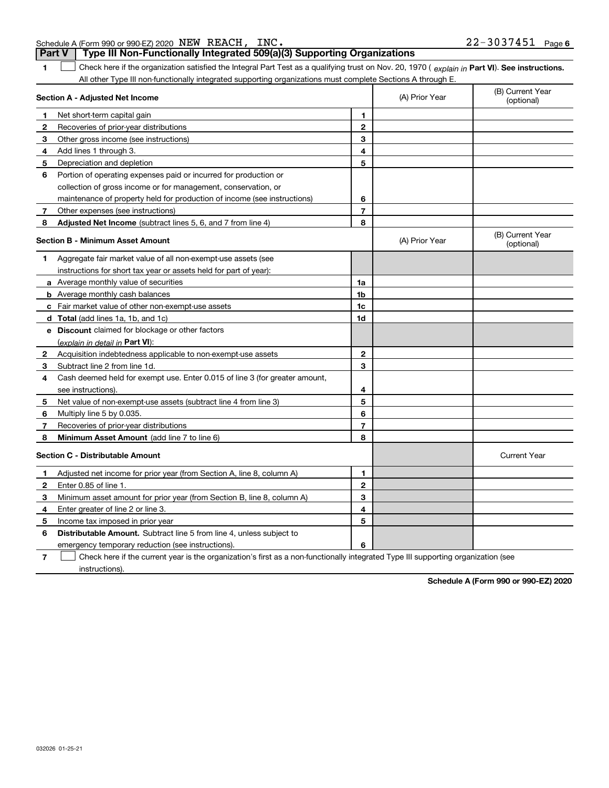|                                                      |  | <b>Part V</b> Type III Non-Functionally Integrated 509(a)(3) Supporting Organizations |  |
|------------------------------------------------------|--|---------------------------------------------------------------------------------------|--|
| Schedule A (Form 990 or 990-EZ) 2020 NEW REACH, INC. |  | 22-3037451 Page 6                                                                     |  |

**1**

1 Check here if the organization satisfied the Integral Part Test as a qualifying trust on Nov. 20, 1970 (explain in Part VI). See instructions. All other Type III non-functionally integrated supporting organizations must complete Sections A through E.

|              | Section A - Adjusted Net Income                                             |                | (A) Prior Year | (B) Current Year<br>(optional) |
|--------------|-----------------------------------------------------------------------------|----------------|----------------|--------------------------------|
| 1            | Net short-term capital gain                                                 | 1              |                |                                |
| $\mathbf{2}$ | Recoveries of prior-year distributions                                      | $\mathbf{2}$   |                |                                |
| 3            | Other gross income (see instructions)                                       | 3              |                |                                |
| 4            | Add lines 1 through 3.                                                      | 4              |                |                                |
| 5            | Depreciation and depletion                                                  | 5              |                |                                |
| 6            | Portion of operating expenses paid or incurred for production or            |                |                |                                |
|              | collection of gross income or for management, conservation, or              |                |                |                                |
|              | maintenance of property held for production of income (see instructions)    | 6              |                |                                |
| 7            | Other expenses (see instructions)                                           | 7              |                |                                |
| 8            | Adjusted Net Income (subtract lines 5, 6, and 7 from line 4)                | 8              |                |                                |
|              | <b>Section B - Minimum Asset Amount</b>                                     |                | (A) Prior Year | (B) Current Year<br>(optional) |
| 1            | Aggregate fair market value of all non-exempt-use assets (see               |                |                |                                |
|              | instructions for short tax year or assets held for part of year):           |                |                |                                |
|              | <b>a</b> Average monthly value of securities                                | 1a             |                |                                |
|              | <b>b</b> Average monthly cash balances                                      | 1 <sub>b</sub> |                |                                |
|              | c Fair market value of other non-exempt-use assets                          | 1c             |                |                                |
|              | d Total (add lines 1a, 1b, and 1c)                                          | 1d             |                |                                |
|              | e Discount claimed for blockage or other factors                            |                |                |                                |
|              | (explain in detail in Part VI):                                             |                |                |                                |
| $\mathbf{2}$ | Acquisition indebtedness applicable to non-exempt-use assets                | $\mathbf{2}$   |                |                                |
| 3            | Subtract line 2 from line 1d.                                               | 3              |                |                                |
| 4            | Cash deemed held for exempt use. Enter 0.015 of line 3 (for greater amount, |                |                |                                |
|              | see instructions)                                                           | 4              |                |                                |
| 5            | Net value of non-exempt-use assets (subtract line 4 from line 3)            | 5              |                |                                |
| 6            | Multiply line 5 by 0.035.                                                   | 6              |                |                                |
| 7            | Recoveries of prior-year distributions                                      | $\overline{7}$ |                |                                |
| 8            | <b>Minimum Asset Amount</b> (add line 7 to line 6)                          | 8              |                |                                |
|              | <b>Section C - Distributable Amount</b>                                     |                |                | <b>Current Year</b>            |
| 1            | Adjusted net income for prior year (from Section A, line 8, column A)       | 1              |                |                                |
| $\mathbf{2}$ | Enter 0.85 of line 1.                                                       | $\mathbf{2}$   |                |                                |
| 3            | Minimum asset amount for prior year (from Section B, line 8, column A)      | 3              |                |                                |
| 4            | Enter greater of line 2 or line 3.                                          | 4              |                |                                |
| 5            | Income tax imposed in prior year                                            | 5              |                |                                |
| 6            | <b>Distributable Amount.</b> Subtract line 5 from line 4, unless subject to |                |                |                                |
|              | emergency temporary reduction (see instructions).                           | 6              |                |                                |
|              |                                                                             |                |                |                                |

**7**Check here if the current year is the organization's first as a non-functionally integrated Type III supporting organization (see instructions).

**Schedule A (Form 990 or 990-EZ) 2020**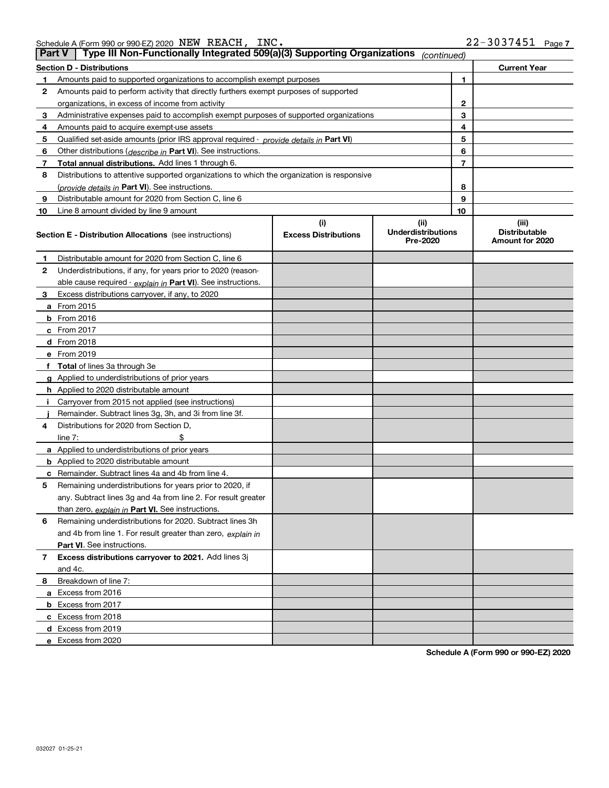| Schedule A (Form 990 or 990-EZ) 2020 $\,$ $\rm{NEW}$ | REACH | INC. | 3037451 | Page |
|------------------------------------------------------|-------|------|---------|------|
|                                                      |       |      |         |      |

| <b>Part V</b> | Type III Non-Functionally Integrated 509(a)(3) Supporting Organizations                    |                             | (continued)                           |                                         |
|---------------|--------------------------------------------------------------------------------------------|-----------------------------|---------------------------------------|-----------------------------------------|
|               | <b>Section D - Distributions</b>                                                           |                             |                                       | <b>Current Year</b>                     |
| 1             | Amounts paid to supported organizations to accomplish exempt purposes                      |                             | 1                                     |                                         |
| 2             | Amounts paid to perform activity that directly furthers exempt purposes of supported       |                             |                                       |                                         |
|               | organizations, in excess of income from activity                                           | $\mathbf{2}$                |                                       |                                         |
| 3             | Administrative expenses paid to accomplish exempt purposes of supported organizations      | 3                           |                                       |                                         |
| 4             | Amounts paid to acquire exempt-use assets                                                  |                             | 4                                     |                                         |
| 5             | Qualified set-aside amounts (prior IRS approval required - provide details in Part VI)     |                             | 5                                     |                                         |
| 6             | Other distributions ( <i>describe in</i> Part VI). See instructions.                       |                             | 6                                     |                                         |
| 7             | Total annual distributions. Add lines 1 through 6.                                         |                             | $\overline{7}$                        |                                         |
| 8             | Distributions to attentive supported organizations to which the organization is responsive |                             |                                       |                                         |
|               | (provide details in Part VI). See instructions.                                            |                             | 8                                     |                                         |
| 9             | Distributable amount for 2020 from Section C, line 6                                       |                             | 9                                     |                                         |
| 10            | Line 8 amount divided by line 9 amount                                                     |                             | 10                                    |                                         |
|               |                                                                                            | (i)                         | (ii)                                  | (iii)                                   |
|               | <b>Section E - Distribution Allocations</b> (see instructions)                             | <b>Excess Distributions</b> | <b>Underdistributions</b><br>Pre-2020 | <b>Distributable</b><br>Amount for 2020 |
| 1             | Distributable amount for 2020 from Section C, line 6                                       |                             |                                       |                                         |
| 2             | Underdistributions, if any, for years prior to 2020 (reason-                               |                             |                                       |                                         |
|               | able cause required - explain in Part VI). See instructions.                               |                             |                                       |                                         |
| 3             | Excess distributions carryover, if any, to 2020                                            |                             |                                       |                                         |
|               | a From 2015                                                                                |                             |                                       |                                         |
|               | <b>b</b> From 2016                                                                         |                             |                                       |                                         |
|               | $c$ From 2017                                                                              |                             |                                       |                                         |
|               | d From 2018                                                                                |                             |                                       |                                         |
|               | e From 2019                                                                                |                             |                                       |                                         |
|               | f Total of lines 3a through 3e                                                             |                             |                                       |                                         |
|               | g Applied to underdistributions of prior years                                             |                             |                                       |                                         |
|               | <b>h</b> Applied to 2020 distributable amount                                              |                             |                                       |                                         |
|               | Carryover from 2015 not applied (see instructions)                                         |                             |                                       |                                         |
|               | Remainder. Subtract lines 3g, 3h, and 3i from line 3f.                                     |                             |                                       |                                         |
| 4             | Distributions for 2020 from Section D,                                                     |                             |                                       |                                         |
|               | line $7:$                                                                                  |                             |                                       |                                         |
|               | a Applied to underdistributions of prior years                                             |                             |                                       |                                         |
|               | <b>b</b> Applied to 2020 distributable amount                                              |                             |                                       |                                         |
|               | c Remainder. Subtract lines 4a and 4b from line 4.                                         |                             |                                       |                                         |
| 5.            | Remaining underdistributions for years prior to 2020, if                                   |                             |                                       |                                         |
|               | any. Subtract lines 3g and 4a from line 2. For result greater                              |                             |                                       |                                         |
|               | than zero, explain in Part VI. See instructions.                                           |                             |                                       |                                         |
| 6             | Remaining underdistributions for 2020. Subtract lines 3h                                   |                             |                                       |                                         |
|               | and 4b from line 1. For result greater than zero, explain in                               |                             |                                       |                                         |
|               | Part VI. See instructions.                                                                 |                             |                                       |                                         |
| 7             | Excess distributions carryover to 2021. Add lines 3j                                       |                             |                                       |                                         |
|               | and 4c.                                                                                    |                             |                                       |                                         |
| 8             | Breakdown of line 7:                                                                       |                             |                                       |                                         |
|               | a Excess from 2016                                                                         |                             |                                       |                                         |
|               | <b>b</b> Excess from 2017                                                                  |                             |                                       |                                         |
|               | c Excess from 2018                                                                         |                             |                                       |                                         |
|               | d Excess from 2019                                                                         |                             |                                       |                                         |
|               | e Excess from 2020                                                                         |                             |                                       |                                         |

**Schedule A (Form 990 or 990-EZ) 2020**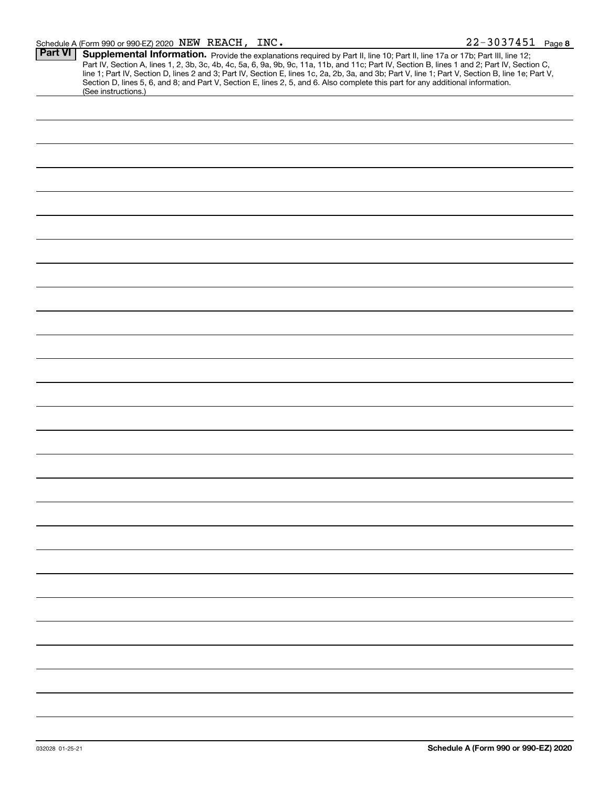#### Schedule A (Form 990 or 990-EZ) 2020 Page NEW REACH, INC. 22-3037451

| <b>Part VI</b> | Supplemental Information. Provide the explanations required by Part II, line 10; Part II, line 17a or 17b; Part III, line 12;                    |
|----------------|--------------------------------------------------------------------------------------------------------------------------------------------------|
|                |                                                                                                                                                  |
|                | Part IV, Section A, lines 1, 2, 3b, 3c, 4b, 4c, 5a, 6, 9a, 9b, 9c, 11a, 11b, and 11c; Part IV, Section B, lines 1 and 2; Part IV, Section C,     |
|                | line 1; Part IV, Section D, lines 2 and 3; Part IV, Section E, lines 1c, 2a, 2b, 3a, and 3b; Part V, line 1; Part V, Section B, line 1e; Part V, |
|                | Section D, lines 5, 6, and 8; and Part V, Section E, lines 2, 5, and 6. Also complete this part for any additional information.                  |
|                | (See instructions.)                                                                                                                              |
|                |                                                                                                                                                  |
|                |                                                                                                                                                  |
|                |                                                                                                                                                  |
|                |                                                                                                                                                  |
|                |                                                                                                                                                  |
|                |                                                                                                                                                  |
|                |                                                                                                                                                  |
|                |                                                                                                                                                  |
|                |                                                                                                                                                  |
|                |                                                                                                                                                  |
|                |                                                                                                                                                  |
|                |                                                                                                                                                  |
|                |                                                                                                                                                  |
|                |                                                                                                                                                  |
|                |                                                                                                                                                  |
|                |                                                                                                                                                  |
|                |                                                                                                                                                  |
|                |                                                                                                                                                  |
|                |                                                                                                                                                  |
|                |                                                                                                                                                  |
|                |                                                                                                                                                  |
|                |                                                                                                                                                  |
|                |                                                                                                                                                  |
|                |                                                                                                                                                  |
|                |                                                                                                                                                  |
|                |                                                                                                                                                  |
|                |                                                                                                                                                  |
|                |                                                                                                                                                  |
|                |                                                                                                                                                  |
|                |                                                                                                                                                  |
|                |                                                                                                                                                  |
|                |                                                                                                                                                  |
|                |                                                                                                                                                  |
|                |                                                                                                                                                  |
|                |                                                                                                                                                  |
|                |                                                                                                                                                  |
|                |                                                                                                                                                  |
|                |                                                                                                                                                  |
|                |                                                                                                                                                  |
|                |                                                                                                                                                  |
|                |                                                                                                                                                  |
|                |                                                                                                                                                  |
|                |                                                                                                                                                  |
|                |                                                                                                                                                  |
|                |                                                                                                                                                  |
|                |                                                                                                                                                  |
|                |                                                                                                                                                  |
|                |                                                                                                                                                  |
|                |                                                                                                                                                  |
|                |                                                                                                                                                  |
|                |                                                                                                                                                  |
|                |                                                                                                                                                  |
|                |                                                                                                                                                  |
|                |                                                                                                                                                  |
|                |                                                                                                                                                  |
|                |                                                                                                                                                  |
|                |                                                                                                                                                  |
|                |                                                                                                                                                  |
|                |                                                                                                                                                  |
|                |                                                                                                                                                  |
|                |                                                                                                                                                  |
|                |                                                                                                                                                  |
|                |                                                                                                                                                  |
|                |                                                                                                                                                  |
|                |                                                                                                                                                  |
|                |                                                                                                                                                  |
|                |                                                                                                                                                  |
|                |                                                                                                                                                  |
|                |                                                                                                                                                  |
|                |                                                                                                                                                  |
|                |                                                                                                                                                  |
|                |                                                                                                                                                  |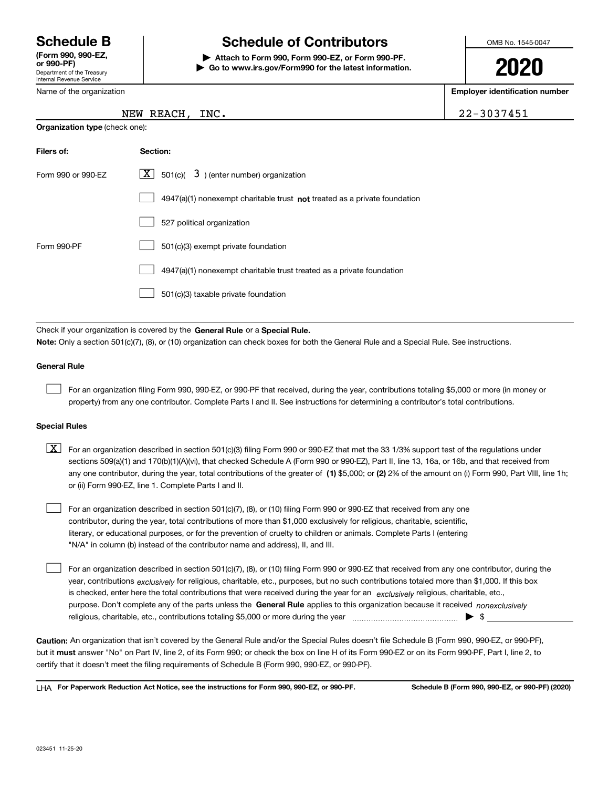Department of the Treasury Internal Revenue Service **(Form 990, 990-EZ, or 990-PF)**

Name of the organization

### **Schedule B Schedule of Contributors**

**| Attach to Form 990, Form 990-EZ, or Form 990-PF. | Go to www.irs.gov/Form990 for the latest information.** OMB No. 1545-0047

**2020**

**Employer identification number**

|  | 2-3037451: |  |  |  |  |  |  |  |
|--|------------|--|--|--|--|--|--|--|
|--|------------|--|--|--|--|--|--|--|

| NEW REACH. | INC. | 22-3037451 |
|------------|------|------------|
|------------|------|------------|

| <b>Organization type (check one):</b> |                                                                                    |  |  |  |  |
|---------------------------------------|------------------------------------------------------------------------------------|--|--|--|--|
| Filers of:                            | Section:                                                                           |  |  |  |  |
| Form 990 or 990-EZ                    | $\lfloor x \rfloor$ 501(c)( 3) (enter number) organization                         |  |  |  |  |
|                                       | $4947(a)(1)$ nonexempt charitable trust <b>not</b> treated as a private foundation |  |  |  |  |
|                                       | 527 political organization                                                         |  |  |  |  |
| Form 990-PF                           | 501(c)(3) exempt private foundation                                                |  |  |  |  |
|                                       | 4947(a)(1) nonexempt charitable trust treated as a private foundation              |  |  |  |  |
|                                       | 501(c)(3) taxable private foundation                                               |  |  |  |  |

Check if your organization is covered by the **General Rule** or a **Special Rule. Note:**  Only a section 501(c)(7), (8), or (10) organization can check boxes for both the General Rule and a Special Rule. See instructions.

#### **General Rule**

 $\mathcal{L}^{\text{max}}$ 

For an organization filing Form 990, 990-EZ, or 990-PF that received, during the year, contributions totaling \$5,000 or more (in money or property) from any one contributor. Complete Parts I and II. See instructions for determining a contributor's total contributions.

#### **Special Rules**

any one contributor, during the year, total contributions of the greater of  $\,$  (1) \$5,000; or **(2)** 2% of the amount on (i) Form 990, Part VIII, line 1h;  $\boxed{\textbf{X}}$  For an organization described in section 501(c)(3) filing Form 990 or 990-EZ that met the 33 1/3% support test of the regulations under sections 509(a)(1) and 170(b)(1)(A)(vi), that checked Schedule A (Form 990 or 990-EZ), Part II, line 13, 16a, or 16b, and that received from or (ii) Form 990-EZ, line 1. Complete Parts I and II.

For an organization described in section 501(c)(7), (8), or (10) filing Form 990 or 990-EZ that received from any one contributor, during the year, total contributions of more than \$1,000 exclusively for religious, charitable, scientific, literary, or educational purposes, or for the prevention of cruelty to children or animals. Complete Parts I (entering "N/A" in column (b) instead of the contributor name and address), II, and III.  $\mathcal{L}^{\text{max}}$ 

purpose. Don't complete any of the parts unless the **General Rule** applies to this organization because it received *nonexclusively* year, contributions <sub>exclusively</sub> for religious, charitable, etc., purposes, but no such contributions totaled more than \$1,000. If this box is checked, enter here the total contributions that were received during the year for an  $\;$ exclusively religious, charitable, etc., For an organization described in section 501(c)(7), (8), or (10) filing Form 990 or 990-EZ that received from any one contributor, during the religious, charitable, etc., contributions totaling \$5,000 or more during the year  $\Box$ — $\Box$   $\Box$   $\Box$  $\mathcal{L}^{\text{max}}$ 

**Caution:**  An organization that isn't covered by the General Rule and/or the Special Rules doesn't file Schedule B (Form 990, 990-EZ, or 990-PF),  **must** but it answer "No" on Part IV, line 2, of its Form 990; or check the box on line H of its Form 990-EZ or on its Form 990-PF, Part I, line 2, to certify that it doesn't meet the filing requirements of Schedule B (Form 990, 990-EZ, or 990-PF).

**For Paperwork Reduction Act Notice, see the instructions for Form 990, 990-EZ, or 990-PF. Schedule B (Form 990, 990-EZ, or 990-PF) (2020)** LHA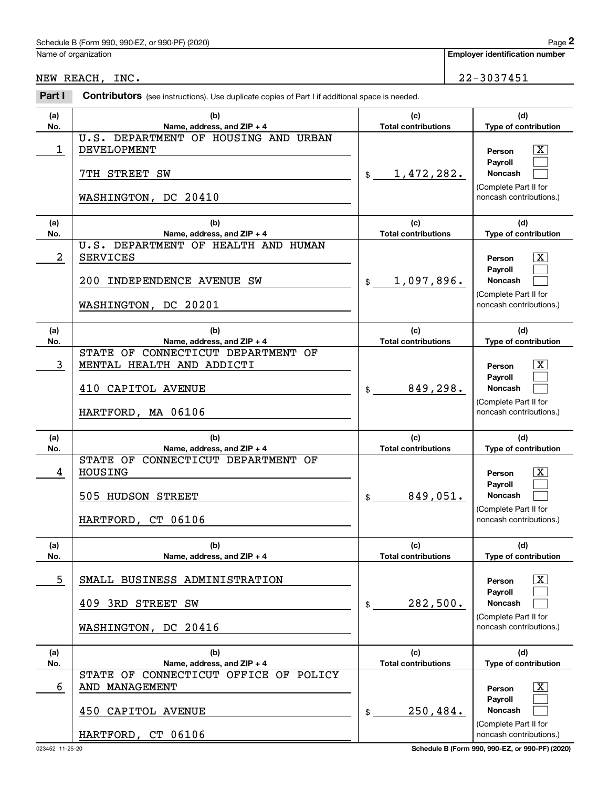### Schedule B (Form 990, 990-EZ, or 990-PF) (2020)  $P_0 = 2$

Name of organization

#### **(a)No.(b)Name, address, and ZIP + 4 (c)Total contributions (d)Type of contribution PersonPayrollNoncash (a)No.(b)Name, address, and ZIP + 4 (c)Total contributions (d)Type of contribution PersonPayrollNoncash (a)No.(b)Name, address, and ZIP + 4 (c)Total contributions (d)Type of contribution PersonPayrollNoncash (a)No.(b)Name, address, and ZIP + 4 (c)Total contributions (d)Type of contribution PersonPayrollNoncash (a)No.(b)Name, address, and ZIP + 4 (c)Total contributions (d)Type of contribution PersonPayrollNoncash (a)No.(b)Name, address, and ZIP + 4 (c)Total contributions (d)Type of contribution PersonPayrollNoncash Contributors** (see instructions). Use duplicate copies of Part I if additional space is needed.  $$$ (Complete Part II for noncash contributions.) \$(Complete Part II for noncash contributions.) \$(Complete Part II for noncash contributions.) \$(Complete Part II for noncash contributions.) \$(Complete Part II for noncash contributions.)  $\mathsf{\$}$ (Complete Part II for noncash contributions.) Chedule B (Form 990, 990-EZ, or 990-PF) (2020)<br>Iame of organization<br>**IEW REACH, INC.** 22-3037451<br>**Part I** Contributors (see instructions). Use duplicate copies of Part I if additional space is needed.  $\lceil \text{X} \rceil$  $\mathcal{L}^{\text{max}}$  $\mathcal{L}^{\text{max}}$  $|X|$  $\mathcal{L}^{\text{max}}$  $\mathcal{L}^{\text{max}}$  $\lceil \text{X} \rceil$  $\mathcal{L}^{\text{max}}$  $\mathcal{L}^{\text{max}}$  $\lceil \text{X} \rceil$  $\mathcal{L}^{\text{max}}$  $\mathcal{L}^{\text{max}}$  $|X|$  $\mathcal{L}^{\text{max}}$  $\mathcal{L}^{\text{max}}$  $|X|$  $\mathcal{L}^{\text{max}}$  $\mathcal{L}^{\text{max}}$ 1 X DEVELOPMENT 1,472,282. U.S. DEPARTMENT OF HOUSING AND URBAN 7TH STREET SW WASHINGTON, DC 20410 2 X SERVICES 1,097,896. U.S. DEPARTMENT OF HEALTH AND HUMAN 200 INDEPENDENCE AVENUE SW WASHINGTON, DC 20201 3 X MENTAL HEALTH AND ADDICTI 849,298. STATE OF CONNECTICUT DEPARTMENT OF 410 CAPITOL AVENUE HARTFORD, MA 06106 4 HOUSING REPORT OF REAL PROPERTY AND RELEASED FOR A SERIES OF REAL PROPERTY OF REAL PROPERTY. 849,051. STATE OF CONNECTICUT DEPARTMENT OF 505 HUDSON STREET HARTFORD, CT 06106 5 X SMALL BUSINESS ADMINISTRATION 282,500. 409 3RD STREET SW WASHINGTON, DC 20416 6 | AND MANAGEMENT 250,484. STATE OF CONNECTICUT OFFICE OF POLICY 450 CAPITOL AVENUE HARTFORD, CT 06106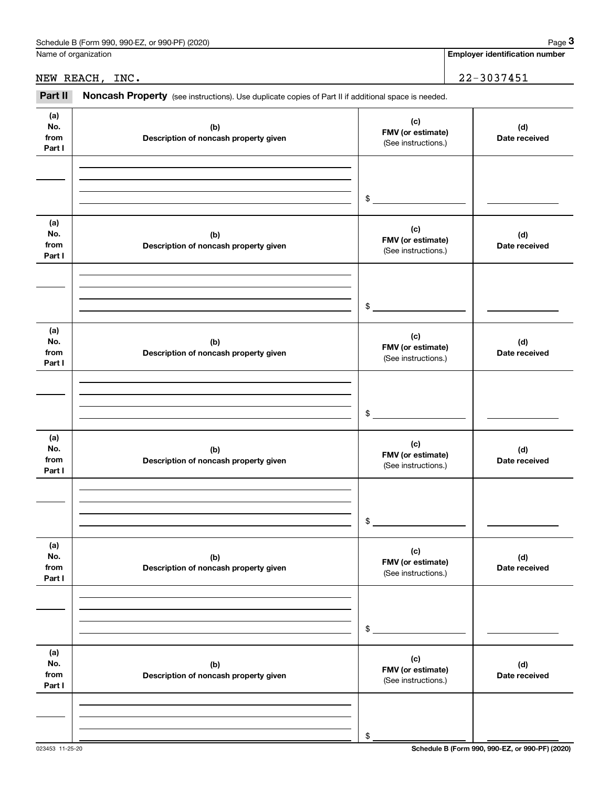| or 990-PF) (2020)<br>Schedule B (Form 990, 990-EZ, | Page |
|----------------------------------------------------|------|
|                                                    |      |

Name of organization

**Employer identification number**

### NEW REACH, INC. 22-3037451

(see instructions). Use duplicate copies of Part II if additional space is needed.<br> **1999 | Employer identification number**<br> **1999 | Employer identification number**<br> **1999 | Part II | Noncash Property** (see instructions).

| (a)<br>No.<br>from<br>Part I | (b)<br>Description of noncash property given | (c)<br>FMV (or estimate)<br>(See instructions.) | (d)<br>Date received |
|------------------------------|----------------------------------------------|-------------------------------------------------|----------------------|
|                              |                                              |                                                 |                      |
|                              |                                              |                                                 |                      |
|                              |                                              | $\,$                                            |                      |
| (a)<br>No.<br>from<br>Part I | (b)<br>Description of noncash property given | (c)<br>FMV (or estimate)<br>(See instructions.) | (d)<br>Date received |
|                              |                                              |                                                 |                      |
|                              |                                              |                                                 |                      |
|                              |                                              | $\,$                                            |                      |
| (a)<br>No.<br>from<br>Part I | (b)<br>Description of noncash property given | (c)<br>FMV (or estimate)<br>(See instructions.) | (d)<br>Date received |
|                              |                                              |                                                 |                      |
|                              |                                              |                                                 |                      |
|                              |                                              | $\$$                                            |                      |
| (a)<br>No.<br>from<br>Part I | (b)<br>Description of noncash property given | (c)<br>FMV (or estimate)<br>(See instructions.) | (d)<br>Date received |
|                              |                                              |                                                 |                      |
|                              |                                              |                                                 |                      |
|                              |                                              | \$                                              |                      |
| (a)<br>No.<br>from<br>Part I | (b)<br>Description of noncash property given | (c)<br>FMV (or estimate)<br>(See instructions.) | (d)<br>Date received |
|                              |                                              |                                                 |                      |
|                              |                                              |                                                 |                      |
|                              |                                              | \$                                              |                      |
| (a)<br>No.<br>from<br>Part I | (b)<br>Description of noncash property given | (c)<br>FMV (or estimate)<br>(See instructions.) | (d)<br>Date received |
|                              |                                              |                                                 |                      |
|                              |                                              |                                                 |                      |
|                              |                                              | \$                                              |                      |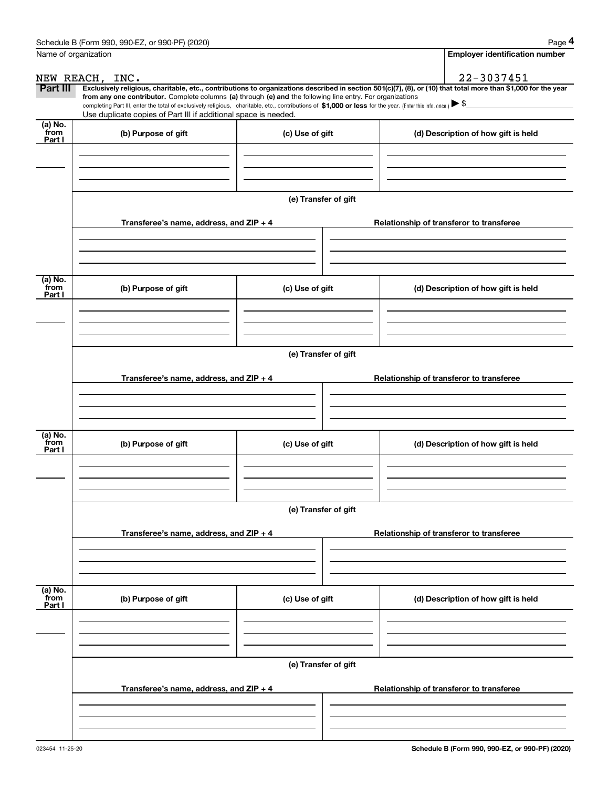|                           | Schedule B (Form 990, 990-EZ, or 990-PF) (2020)                                                                                                                                   |                      | Page 4                                                                                                                                                         |
|---------------------------|-----------------------------------------------------------------------------------------------------------------------------------------------------------------------------------|----------------------|----------------------------------------------------------------------------------------------------------------------------------------------------------------|
|                           | Name of organization                                                                                                                                                              |                      | <b>Employer identification number</b>                                                                                                                          |
|                           | NEW REACH, INC.                                                                                                                                                                   |                      | 22-3037451                                                                                                                                                     |
| Part III                  | from any one contributor. Complete columns (a) through (e) and the following line entry. For organizations                                                                        |                      | Exclusively religious, charitable, etc., contributions to organizations described in section 501(c)(7), (8), or (10) that total more than \$1,000 for the year |
|                           | completing Part III, enter the total of exclusively religious, charitable, etc., contributions of \$1,000 or less for the year. (Enter this info. once.) $\blacktriangleright$ \$ |                      |                                                                                                                                                                |
|                           | Use duplicate copies of Part III if additional space is needed.                                                                                                                   |                      |                                                                                                                                                                |
| (a) No.<br>from<br>Part I | (b) Purpose of gift                                                                                                                                                               | (c) Use of gift      | (d) Description of how gift is held                                                                                                                            |
|                           |                                                                                                                                                                                   |                      |                                                                                                                                                                |
|                           |                                                                                                                                                                                   |                      |                                                                                                                                                                |
|                           |                                                                                                                                                                                   |                      |                                                                                                                                                                |
|                           |                                                                                                                                                                                   | (e) Transfer of gift |                                                                                                                                                                |
|                           |                                                                                                                                                                                   |                      |                                                                                                                                                                |
|                           | Transferee's name, address, and ZIP + 4                                                                                                                                           |                      | Relationship of transferor to transferee                                                                                                                       |
|                           |                                                                                                                                                                                   |                      |                                                                                                                                                                |
|                           |                                                                                                                                                                                   |                      |                                                                                                                                                                |
|                           |                                                                                                                                                                                   |                      |                                                                                                                                                                |
| (a) No.<br>from           | (b) Purpose of gift                                                                                                                                                               | (c) Use of gift      | (d) Description of how gift is held                                                                                                                            |
| Part I                    |                                                                                                                                                                                   |                      |                                                                                                                                                                |
|                           |                                                                                                                                                                                   |                      |                                                                                                                                                                |
|                           |                                                                                                                                                                                   |                      |                                                                                                                                                                |
|                           |                                                                                                                                                                                   | (e) Transfer of gift |                                                                                                                                                                |
|                           |                                                                                                                                                                                   |                      |                                                                                                                                                                |
|                           | Transferee's name, address, and ZIP + 4                                                                                                                                           |                      | Relationship of transferor to transferee                                                                                                                       |
|                           |                                                                                                                                                                                   |                      |                                                                                                                                                                |
|                           |                                                                                                                                                                                   |                      |                                                                                                                                                                |
|                           |                                                                                                                                                                                   |                      |                                                                                                                                                                |
| (a) No.<br>from           | (b) Purpose of gift                                                                                                                                                               | (c) Use of gift      | (d) Description of how gift is held                                                                                                                            |
| Part I                    |                                                                                                                                                                                   |                      |                                                                                                                                                                |
|                           |                                                                                                                                                                                   |                      |                                                                                                                                                                |
|                           |                                                                                                                                                                                   |                      |                                                                                                                                                                |
|                           |                                                                                                                                                                                   | (e) Transfer of gift |                                                                                                                                                                |
|                           |                                                                                                                                                                                   |                      |                                                                                                                                                                |
|                           | Transferee's name, address, and ZIP + 4                                                                                                                                           |                      | Relationship of transferor to transferee                                                                                                                       |
|                           |                                                                                                                                                                                   |                      |                                                                                                                                                                |
|                           |                                                                                                                                                                                   |                      |                                                                                                                                                                |
|                           |                                                                                                                                                                                   |                      |                                                                                                                                                                |
| (a) No.<br>from           | (b) Purpose of gift                                                                                                                                                               | (c) Use of gift      | (d) Description of how gift is held                                                                                                                            |
| Part I                    |                                                                                                                                                                                   |                      |                                                                                                                                                                |
|                           |                                                                                                                                                                                   |                      |                                                                                                                                                                |
|                           |                                                                                                                                                                                   |                      |                                                                                                                                                                |
|                           |                                                                                                                                                                                   |                      |                                                                                                                                                                |
|                           |                                                                                                                                                                                   | (e) Transfer of gift |                                                                                                                                                                |
|                           | Transferee's name, address, and ZIP + 4                                                                                                                                           |                      | Relationship of transferor to transferee                                                                                                                       |
|                           |                                                                                                                                                                                   |                      |                                                                                                                                                                |
|                           |                                                                                                                                                                                   |                      |                                                                                                                                                                |
|                           |                                                                                                                                                                                   |                      |                                                                                                                                                                |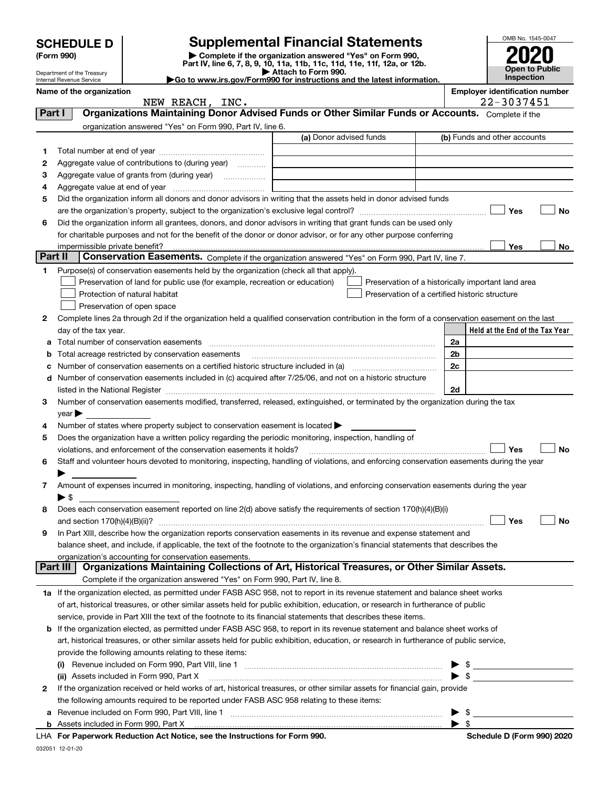|                                                                                                                                         |                                                        |                                                                                                                                                       |                     |                                                    |    |                                       | OMB No. 1545-0047     |
|-----------------------------------------------------------------------------------------------------------------------------------------|--------------------------------------------------------|-------------------------------------------------------------------------------------------------------------------------------------------------------|---------------------|----------------------------------------------------|----|---------------------------------------|-----------------------|
| <b>Supplemental Financial Statements</b><br><b>SCHEDULE D</b><br>Complete if the organization answered "Yes" on Form 990,<br>(Form 990) |                                                        |                                                                                                                                                       |                     |                                                    |    |                                       |                       |
|                                                                                                                                         |                                                        | Part IV, line 6, 7, 8, 9, 10, 11a, 11b, 11c, 11d, 11e, 11f, 12a, or 12b.                                                                              |                     |                                                    |    |                                       | <b>Open to Public</b> |
|                                                                                                                                         | Department of the Treasury<br>Internal Revenue Service | Go to www.irs.gov/Form990 for instructions and the latest information.                                                                                | Attach to Form 990. |                                                    |    |                                       | <b>Inspection</b>     |
|                                                                                                                                         | Name of the organization                               |                                                                                                                                                       |                     |                                                    |    | <b>Employer identification number</b> |                       |
|                                                                                                                                         |                                                        | NEW REACH, INC.                                                                                                                                       |                     |                                                    |    | 22-3037451                            |                       |
| Part I                                                                                                                                  |                                                        | Organizations Maintaining Donor Advised Funds or Other Similar Funds or Accounts. Complete if the                                                     |                     |                                                    |    |                                       |                       |
|                                                                                                                                         |                                                        | organization answered "Yes" on Form 990, Part IV, line 6.                                                                                             |                     |                                                    |    |                                       |                       |
|                                                                                                                                         |                                                        |                                                                                                                                                       |                     | (a) Donor advised funds                            |    | (b) Funds and other accounts          |                       |
| 1                                                                                                                                       |                                                        |                                                                                                                                                       |                     |                                                    |    |                                       |                       |
| 2                                                                                                                                       |                                                        | Aggregate value of contributions to (during year)                                                                                                     |                     |                                                    |    |                                       |                       |
| 3                                                                                                                                       |                                                        | Aggregate value of grants from (during year)                                                                                                          |                     |                                                    |    |                                       |                       |
| 4                                                                                                                                       |                                                        |                                                                                                                                                       |                     |                                                    |    |                                       |                       |
| 5                                                                                                                                       |                                                        | Did the organization inform all donors and donor advisors in writing that the assets held in donor advised funds                                      |                     |                                                    |    |                                       |                       |
|                                                                                                                                         |                                                        |                                                                                                                                                       |                     |                                                    |    | Yes                                   | No                    |
| 6                                                                                                                                       |                                                        | Did the organization inform all grantees, donors, and donor advisors in writing that grant funds can be used only                                     |                     |                                                    |    |                                       |                       |
|                                                                                                                                         |                                                        | for charitable purposes and not for the benefit of the donor or donor advisor, or for any other purpose conferring                                    |                     |                                                    |    |                                       |                       |
|                                                                                                                                         | impermissible private benefit?                         |                                                                                                                                                       |                     |                                                    |    | Yes                                   | No                    |
| Part II                                                                                                                                 |                                                        | Conservation Easements. Complete if the organization answered "Yes" on Form 990, Part IV, line 7.                                                     |                     |                                                    |    |                                       |                       |
| 1                                                                                                                                       |                                                        | Purpose(s) of conservation easements held by the organization (check all that apply).                                                                 |                     |                                                    |    |                                       |                       |
|                                                                                                                                         |                                                        | Preservation of land for public use (for example, recreation or education)                                                                            |                     | Preservation of a historically important land area |    |                                       |                       |
|                                                                                                                                         |                                                        | Protection of natural habitat                                                                                                                         |                     | Preservation of a certified historic structure     |    |                                       |                       |
|                                                                                                                                         |                                                        | Preservation of open space                                                                                                                            |                     |                                                    |    |                                       |                       |
| 2                                                                                                                                       |                                                        | Complete lines 2a through 2d if the organization held a qualified conservation contribution in the form of a conservation easement on the last        |                     |                                                    |    |                                       |                       |
|                                                                                                                                         | day of the tax year.                                   |                                                                                                                                                       |                     |                                                    |    | Held at the End of the Tax Year       |                       |
| а                                                                                                                                       |                                                        | Total number of conservation easements                                                                                                                |                     |                                                    | 2a |                                       |                       |
| b                                                                                                                                       |                                                        | Total acreage restricted by conservation easements                                                                                                    |                     |                                                    | 2b |                                       |                       |
| с                                                                                                                                       |                                                        | Number of conservation easements on a certified historic structure included in (a) manufacture included in (a)                                        |                     |                                                    | 2c |                                       |                       |
| d                                                                                                                                       |                                                        | Number of conservation easements included in (c) acquired after 7/25/06, and not on a historic structure                                              |                     |                                                    |    |                                       |                       |
|                                                                                                                                         |                                                        |                                                                                                                                                       |                     |                                                    | 2d |                                       |                       |
| 3                                                                                                                                       |                                                        | Number of conservation easements modified, transferred, released, extinguished, or terminated by the organization during the tax                      |                     |                                                    |    |                                       |                       |
|                                                                                                                                         | $\vee$ ear                                             |                                                                                                                                                       |                     |                                                    |    |                                       |                       |
| 4                                                                                                                                       |                                                        | Number of states where property subject to conservation easement is located >                                                                         |                     |                                                    |    |                                       |                       |
| 5                                                                                                                                       |                                                        | Does the organization have a written policy regarding the periodic monitoring, inspection, handling of                                                |                     |                                                    |    |                                       |                       |
|                                                                                                                                         |                                                        | violations, and enforcement of the conservation easements it holds?                                                                                   |                     |                                                    |    | Yes                                   | No                    |
| 6                                                                                                                                       |                                                        | Staff and volunteer hours devoted to monitoring, inspecting, handling of violations, and enforcing conservation easements during the year             |                     |                                                    |    |                                       |                       |
|                                                                                                                                         |                                                        |                                                                                                                                                       |                     |                                                    |    |                                       |                       |
| 7                                                                                                                                       |                                                        | Amount of expenses incurred in monitoring, inspecting, handling of violations, and enforcing conservation easements during the year                   |                     |                                                    |    |                                       |                       |
|                                                                                                                                         | $\blacktriangleright$ \$                               |                                                                                                                                                       |                     |                                                    |    |                                       |                       |
| 8                                                                                                                                       |                                                        | Does each conservation easement reported on line 2(d) above satisfy the requirements of section 170(h)(4)(B)(i)                                       |                     |                                                    |    |                                       |                       |
|                                                                                                                                         |                                                        |                                                                                                                                                       |                     |                                                    |    | Yes                                   | No                    |
| 9                                                                                                                                       |                                                        | In Part XIII, describe how the organization reports conservation easements in its revenue and expense statement and                                   |                     |                                                    |    |                                       |                       |
|                                                                                                                                         |                                                        | balance sheet, and include, if applicable, the text of the footnote to the organization's financial statements that describes the                     |                     |                                                    |    |                                       |                       |
| Part III                                                                                                                                |                                                        | organization's accounting for conservation easements.<br>Organizations Maintaining Collections of Art, Historical Treasures, or Other Similar Assets. |                     |                                                    |    |                                       |                       |
|                                                                                                                                         |                                                        |                                                                                                                                                       |                     |                                                    |    |                                       |                       |
|                                                                                                                                         |                                                        | Complete if the organization answered "Yes" on Form 990, Part IV, line 8.                                                                             |                     |                                                    |    |                                       |                       |
|                                                                                                                                         |                                                        | 1a If the organization elected, as permitted under FASB ASC 958, not to report in its revenue statement and balance sheet works                       |                     |                                                    |    |                                       |                       |
|                                                                                                                                         |                                                        | of art, historical treasures, or other similar assets held for public exhibition, education, or research in furtherance of public                     |                     |                                                    |    |                                       |                       |
|                                                                                                                                         |                                                        | service, provide in Part XIII the text of the footnote to its financial statements that describes these items.                                        |                     |                                                    |    |                                       |                       |
|                                                                                                                                         |                                                        | <b>b</b> If the organization elected, as permitted under FASB ASC 958, to report in its revenue statement and balance sheet works of                  |                     |                                                    |    |                                       |                       |
|                                                                                                                                         |                                                        | art, historical treasures, or other similar assets held for public exhibition, education, or research in furtherance of public service,               |                     |                                                    |    |                                       |                       |

|              | and motorroan aroubance, or cancel circuit accesso moral for papilo comparison, cadedation, or recognition in randiction or papilo convicto, |  |  |
|--------------|----------------------------------------------------------------------------------------------------------------------------------------------|--|--|
|              | provide the following amounts relating to these items:                                                                                       |  |  |
|              | (i)                                                                                                                                          |  |  |
|              | (ii) Assets included in Form 990, Part X                                                                                                     |  |  |
| $\mathbf{2}$ | If the organization received or held works of art, historical treasures, or other similar assets for financial gain, provide                 |  |  |
|              | the following amounts required to be reported under FASB ASC 958 relating to these items:                                                    |  |  |
|              | a Revenue included on Form 990, Part VIII, line 1                                                                                            |  |  |

| <b>a</b> Revenue included on Form 990, Part VIII, line 1 | . |
|----------------------------------------------------------|---|
| <b>b</b> Assets included in Form 990, Part X             |   |

**For Paperwork Reduction Act Notice, see the Instructions for Form 990. Schedule D (Form 990) 2020** LHA

 $\blacktriangleright$  \$

032051 12-01-20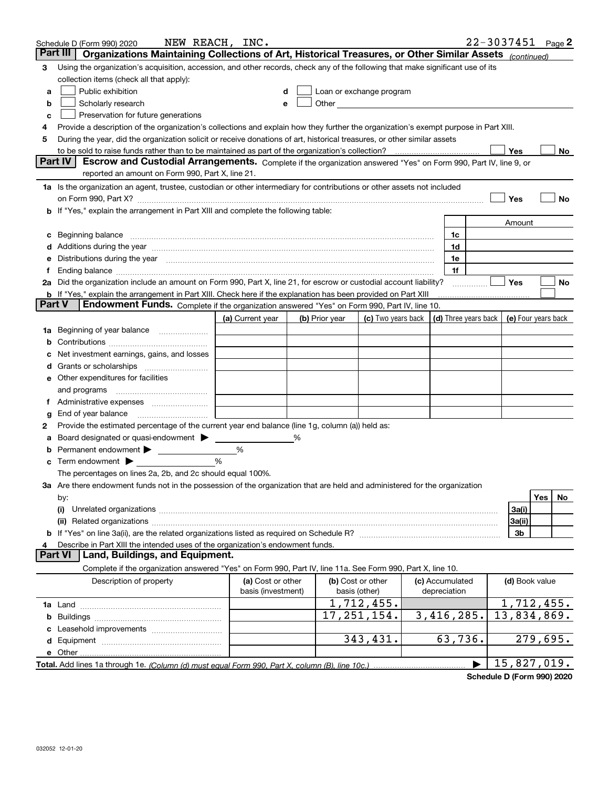|                | Schedule D (Form 990) 2020                                                                                                                                                                                                    | NEW REACH, INC.                         |   |                                                                                                                                                                                                                                |                                                                             |                                 | 22-3037451 Page 2         |          |    |
|----------------|-------------------------------------------------------------------------------------------------------------------------------------------------------------------------------------------------------------------------------|-----------------------------------------|---|--------------------------------------------------------------------------------------------------------------------------------------------------------------------------------------------------------------------------------|-----------------------------------------------------------------------------|---------------------------------|---------------------------|----------|----|
| Part III       | Organizations Maintaining Collections of Art, Historical Treasures, or Other Similar Assets (continued)                                                                                                                       |                                         |   |                                                                                                                                                                                                                                |                                                                             |                                 |                           |          |    |
| 3              | Using the organization's acquisition, accession, and other records, check any of the following that make significant use of its                                                                                               |                                         |   |                                                                                                                                                                                                                                |                                                                             |                                 |                           |          |    |
|                | collection items (check all that apply):                                                                                                                                                                                      |                                         |   |                                                                                                                                                                                                                                |                                                                             |                                 |                           |          |    |
| a              | Public exhibition                                                                                                                                                                                                             |                                         |   | Loan or exchange program                                                                                                                                                                                                       |                                                                             |                                 |                           |          |    |
| b              | Scholarly research                                                                                                                                                                                                            |                                         |   | Other and the control of the control of the control of the control of the control of the control of the control of the control of the control of the control of the control of the control of the control of the control of th |                                                                             |                                 |                           |          |    |
| c              | Preservation for future generations                                                                                                                                                                                           |                                         |   |                                                                                                                                                                                                                                |                                                                             |                                 |                           |          |    |
|                | Provide a description of the organization's collections and explain how they further the organization's exempt purpose in Part XIII.                                                                                          |                                         |   |                                                                                                                                                                                                                                |                                                                             |                                 |                           |          |    |
| 5              | During the year, did the organization solicit or receive donations of art, historical treasures, or other similar assets                                                                                                      |                                         |   |                                                                                                                                                                                                                                |                                                                             |                                 |                           |          |    |
|                | to be sold to raise funds rather than to be maintained as part of the organization's collection?                                                                                                                              |                                         |   |                                                                                                                                                                                                                                |                                                                             |                                 | Yes                       |          | No |
|                | <b>Part IV</b><br>Escrow and Custodial Arrangements. Complete if the organization answered "Yes" on Form 990, Part IV, line 9, or                                                                                             |                                         |   |                                                                                                                                                                                                                                |                                                                             |                                 |                           |          |    |
|                | reported an amount on Form 990, Part X, line 21.                                                                                                                                                                              |                                         |   |                                                                                                                                                                                                                                |                                                                             |                                 |                           |          |    |
|                | 1a Is the organization an agent, trustee, custodian or other intermediary for contributions or other assets not included                                                                                                      |                                         |   |                                                                                                                                                                                                                                |                                                                             |                                 |                           |          |    |
|                | on Form 990, Part X? [11] matter and matter and matter and matter and matter and matter and matter and matter                                                                                                                 |                                         |   |                                                                                                                                                                                                                                |                                                                             |                                 | Yes                       |          | No |
|                | b If "Yes," explain the arrangement in Part XIII and complete the following table:                                                                                                                                            |                                         |   |                                                                                                                                                                                                                                |                                                                             |                                 |                           |          |    |
|                |                                                                                                                                                                                                                               |                                         |   |                                                                                                                                                                                                                                |                                                                             |                                 | Amount                    |          |    |
| c              | Beginning balance                                                                                                                                                                                                             |                                         |   |                                                                                                                                                                                                                                |                                                                             | 1c                              |                           |          |    |
|                | Additions during the year manufactured and an account of the year manufactured and account of the year manufactured and account of the state of the state of the state of the state of the state of the state of the state of |                                         |   |                                                                                                                                                                                                                                |                                                                             | 1d                              |                           |          |    |
|                | Distributions during the year measurement contained and all the state of the state of the state of the state of                                                                                                               |                                         |   |                                                                                                                                                                                                                                |                                                                             | 1e                              |                           |          |    |
|                |                                                                                                                                                                                                                               |                                         |   |                                                                                                                                                                                                                                |                                                                             | 1f                              |                           |          |    |
|                | 2a Did the organization include an amount on Form 990, Part X, line 21, for escrow or custodial account liability?                                                                                                            |                                         |   |                                                                                                                                                                                                                                |                                                                             |                                 | Yes                       |          | No |
| <b>Part V</b>  | b If "Yes," explain the arrangement in Part XIII. Check here if the explanation has been provided on Part XIII<br><b>Endowment Funds.</b> Complete if the organization answered "Yes" on Form 990, Part IV, line 10.          |                                         |   |                                                                                                                                                                                                                                |                                                                             |                                 |                           |          |    |
|                |                                                                                                                                                                                                                               |                                         |   |                                                                                                                                                                                                                                |                                                                             |                                 |                           |          |    |
|                |                                                                                                                                                                                                                               | (a) Current year                        |   | (b) Prior year                                                                                                                                                                                                                 | (c) Two years back $\vert$ (d) Three years back $\vert$ (e) Four years back |                                 |                           |          |    |
|                | 1a Beginning of year balance                                                                                                                                                                                                  |                                         |   |                                                                                                                                                                                                                                |                                                                             |                                 |                           |          |    |
|                |                                                                                                                                                                                                                               |                                         |   |                                                                                                                                                                                                                                |                                                                             |                                 |                           |          |    |
|                | Net investment earnings, gains, and losses                                                                                                                                                                                    |                                         |   |                                                                                                                                                                                                                                |                                                                             |                                 |                           |          |    |
|                |                                                                                                                                                                                                                               |                                         |   |                                                                                                                                                                                                                                |                                                                             |                                 |                           |          |    |
|                | e Other expenditures for facilities                                                                                                                                                                                           |                                         |   |                                                                                                                                                                                                                                |                                                                             |                                 |                           |          |    |
|                | and programs                                                                                                                                                                                                                  |                                         |   |                                                                                                                                                                                                                                |                                                                             |                                 |                           |          |    |
|                | End of year balance                                                                                                                                                                                                           |                                         |   |                                                                                                                                                                                                                                |                                                                             |                                 |                           |          |    |
| g<br>2         | Provide the estimated percentage of the current year end balance (line 1g, column (a)) held as:                                                                                                                               |                                         |   |                                                                                                                                                                                                                                |                                                                             |                                 |                           |          |    |
|                | Board designated or quasi-endowment                                                                                                                                                                                           |                                         | % |                                                                                                                                                                                                                                |                                                                             |                                 |                           |          |    |
| b              | Permanent endowment                                                                                                                                                                                                           | %                                       |   |                                                                                                                                                                                                                                |                                                                             |                                 |                           |          |    |
| c              | Term endowment $\blacktriangleright$                                                                                                                                                                                          | %                                       |   |                                                                                                                                                                                                                                |                                                                             |                                 |                           |          |    |
|                | The percentages on lines 2a, 2b, and 2c should equal 100%.                                                                                                                                                                    |                                         |   |                                                                                                                                                                                                                                |                                                                             |                                 |                           |          |    |
|                | <b>3a</b> Are there endowment funds not in the possession of the organization that are held and administered for the organization                                                                                             |                                         |   |                                                                                                                                                                                                                                |                                                                             |                                 |                           |          |    |
|                | by:                                                                                                                                                                                                                           |                                         |   |                                                                                                                                                                                                                                |                                                                             |                                 |                           | Yes      | No |
|                | (i)                                                                                                                                                                                                                           |                                         |   |                                                                                                                                                                                                                                |                                                                             |                                 | 3a(i)                     |          |    |
|                |                                                                                                                                                                                                                               |                                         |   |                                                                                                                                                                                                                                |                                                                             |                                 | 3a(ii)                    |          |    |
|                | <b>b</b> If "Yes" on line 3a(ii), are the related organizations listed as required on Schedule R?                                                                                                                             |                                         |   |                                                                                                                                                                                                                                |                                                                             |                                 | 3b                        |          |    |
|                | Describe in Part XIII the intended uses of the organization's endowment funds.                                                                                                                                                |                                         |   |                                                                                                                                                                                                                                |                                                                             |                                 |                           |          |    |
| <b>Part VI</b> | Land, Buildings, and Equipment.                                                                                                                                                                                               |                                         |   |                                                                                                                                                                                                                                |                                                                             |                                 |                           |          |    |
|                | Complete if the organization answered "Yes" on Form 990, Part IV, line 11a. See Form 990, Part X, line 10.                                                                                                                    |                                         |   |                                                                                                                                                                                                                                |                                                                             |                                 |                           |          |    |
|                | Description of property                                                                                                                                                                                                       | (a) Cost or other<br>basis (investment) |   | basis (other)                                                                                                                                                                                                                  | (b) Cost or other                                                           | (c) Accumulated<br>depreciation | (d) Book value            |          |    |
|                |                                                                                                                                                                                                                               |                                         |   |                                                                                                                                                                                                                                | 1,712,455.                                                                  |                                 | 1,712,455.                |          |    |
|                |                                                                                                                                                                                                                               |                                         |   |                                                                                                                                                                                                                                | 17, 251, 154.                                                               | 3,416,285.                      | $\overline{13,834,869}$ . |          |    |
|                |                                                                                                                                                                                                                               |                                         |   |                                                                                                                                                                                                                                |                                                                             |                                 |                           |          |    |
|                |                                                                                                                                                                                                                               |                                         |   |                                                                                                                                                                                                                                | 343,431.                                                                    | 63,736.                         |                           | 279,695. |    |
|                | e Other                                                                                                                                                                                                                       |                                         |   |                                                                                                                                                                                                                                |                                                                             |                                 |                           |          |    |
|                |                                                                                                                                                                                                                               |                                         |   |                                                                                                                                                                                                                                |                                                                             |                                 | 15,827,019.               |          |    |
|                |                                                                                                                                                                                                                               |                                         |   |                                                                                                                                                                                                                                |                                                                             |                                 |                           |          |    |

**Schedule D (Form 990) 2020**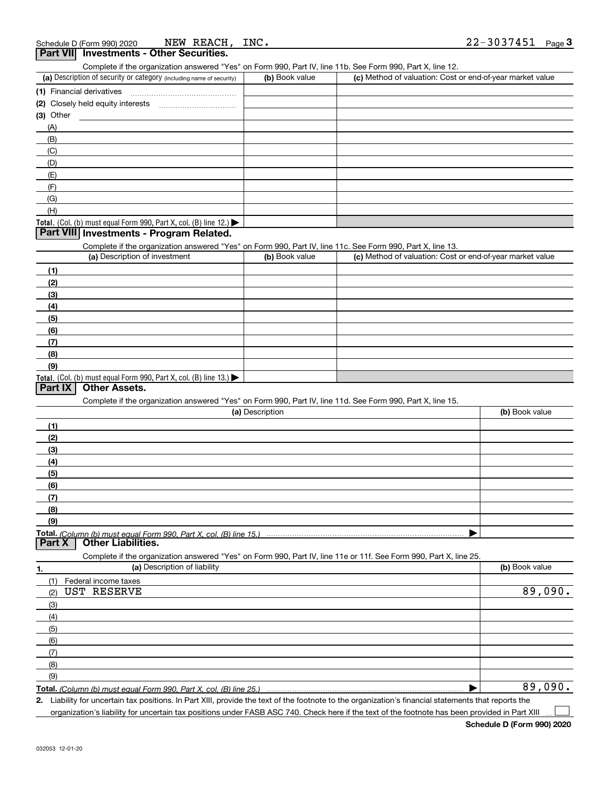| Complete if the organization answered "Yes" on Form 990, Part IV, line 11b. See Form 990, Part X, line 12.<br>(a) Description of security or category (including name of security) | (b) Book value  | (c) Method of valuation: Cost or end-of-year market value |                |
|------------------------------------------------------------------------------------------------------------------------------------------------------------------------------------|-----------------|-----------------------------------------------------------|----------------|
| (1) Financial derivatives                                                                                                                                                          |                 |                                                           |                |
|                                                                                                                                                                                    |                 |                                                           |                |
| $(3)$ Other                                                                                                                                                                        |                 |                                                           |                |
| (A)                                                                                                                                                                                |                 |                                                           |                |
| (B)                                                                                                                                                                                |                 |                                                           |                |
| (C)                                                                                                                                                                                |                 |                                                           |                |
| (D)                                                                                                                                                                                |                 |                                                           |                |
| (E)                                                                                                                                                                                |                 |                                                           |                |
| (F)                                                                                                                                                                                |                 |                                                           |                |
| (G)                                                                                                                                                                                |                 |                                                           |                |
| (H)                                                                                                                                                                                |                 |                                                           |                |
| Total. (Col. (b) must equal Form 990, Part X, col. (B) line 12.)                                                                                                                   |                 |                                                           |                |
| Part VIII Investments - Program Related.                                                                                                                                           |                 |                                                           |                |
| Complete if the organization answered "Yes" on Form 990, Part IV, line 11c. See Form 990, Part X, line 13.                                                                         |                 |                                                           |                |
| (a) Description of investment                                                                                                                                                      | (b) Book value  | (c) Method of valuation: Cost or end-of-year market value |                |
| (1)                                                                                                                                                                                |                 |                                                           |                |
| (2)                                                                                                                                                                                |                 |                                                           |                |
| (3)                                                                                                                                                                                |                 |                                                           |                |
| (4)                                                                                                                                                                                |                 |                                                           |                |
| (5)                                                                                                                                                                                |                 |                                                           |                |
| (6)                                                                                                                                                                                |                 |                                                           |                |
| (7)                                                                                                                                                                                |                 |                                                           |                |
| (8)                                                                                                                                                                                |                 |                                                           |                |
| (9)                                                                                                                                                                                |                 |                                                           |                |
| Total. (Col. (b) must equal Form 990, Part X, col. (B) line 13.)                                                                                                                   |                 |                                                           |                |
| <b>Other Assets.</b><br>Part IX                                                                                                                                                    |                 |                                                           |                |
| Complete if the organization answered "Yes" on Form 990, Part IV, line 11d. See Form 990, Part X, line 15.                                                                         |                 |                                                           |                |
|                                                                                                                                                                                    | (a) Description |                                                           | (b) Book value |
| (1)                                                                                                                                                                                |                 |                                                           |                |
| (2)                                                                                                                                                                                |                 |                                                           |                |
| (3)                                                                                                                                                                                |                 |                                                           |                |
|                                                                                                                                                                                    |                 |                                                           |                |
|                                                                                                                                                                                    |                 |                                                           |                |
| (4)                                                                                                                                                                                |                 |                                                           |                |
| (5)                                                                                                                                                                                |                 |                                                           |                |
| (6)                                                                                                                                                                                |                 |                                                           |                |
| (7)                                                                                                                                                                                |                 |                                                           |                |
| (8)                                                                                                                                                                                |                 |                                                           |                |
| (9)                                                                                                                                                                                |                 |                                                           |                |
|                                                                                                                                                                                    |                 |                                                           |                |
| Other Liabilities.<br>Part X                                                                                                                                                       |                 |                                                           |                |
| Complete if the organization answered "Yes" on Form 990, Part IV, line 11e or 11f. See Form 990, Part X, line 25.                                                                  |                 |                                                           |                |
| (a) Description of liability<br>1.                                                                                                                                                 |                 |                                                           | (b) Book value |
| Federal income taxes<br>(1)                                                                                                                                                        |                 |                                                           |                |
| <b>UST RESERVE</b><br>(2)                                                                                                                                                          |                 |                                                           | 89,090.        |
| (3)                                                                                                                                                                                |                 |                                                           |                |
| (4)                                                                                                                                                                                |                 |                                                           |                |
| (5)                                                                                                                                                                                |                 |                                                           |                |
| (6)                                                                                                                                                                                |                 |                                                           |                |
| (7)                                                                                                                                                                                |                 |                                                           |                |
| (8)                                                                                                                                                                                |                 |                                                           |                |
| (9)                                                                                                                                                                                |                 |                                                           | 89,090.        |

**2.**Liability for uncertain tax positions. In Part XIII, provide the text of the footnote to the organization's financial statements that reports the

organization's liability for uncertain tax positions under FASB ASC 740. Check here if the text of the footnote has been provided in Part XIII

 $\mathcal{L}^{\text{max}}$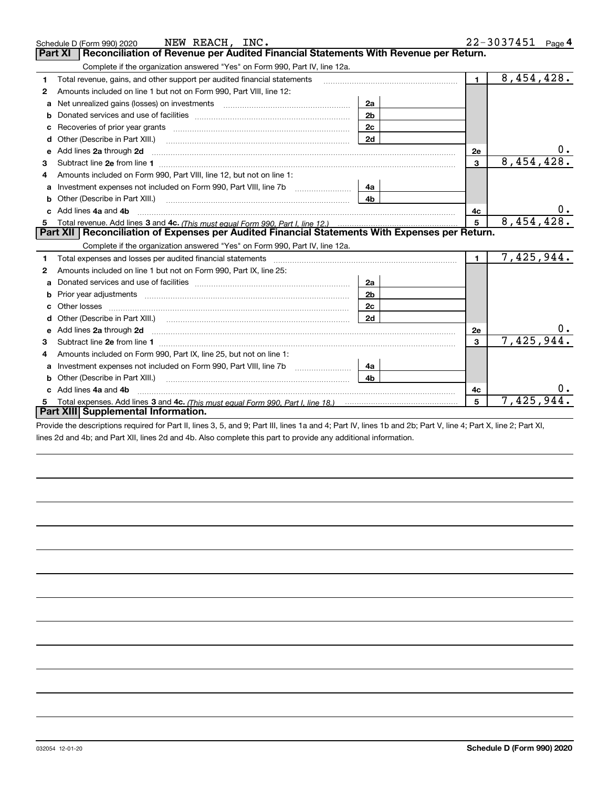|              | NEW REACH, INC.<br>Schedule D (Form 990) 2020                                                                                                                                                                                       |                |                | $22 - 3037451$ Page 4 |  |  |  |  |
|--------------|-------------------------------------------------------------------------------------------------------------------------------------------------------------------------------------------------------------------------------------|----------------|----------------|-----------------------|--|--|--|--|
|              | Reconciliation of Revenue per Audited Financial Statements With Revenue per Return.<br><b>Part XI</b>                                                                                                                               |                |                |                       |  |  |  |  |
|              | Complete if the organization answered "Yes" on Form 990, Part IV, line 12a.                                                                                                                                                         |                |                |                       |  |  |  |  |
| 1            | Total revenue, gains, and other support per audited financial statements                                                                                                                                                            |                | 1 <sup>1</sup> | 8,454,428.            |  |  |  |  |
| 2            | Amounts included on line 1 but not on Form 990, Part VIII, line 12:                                                                                                                                                                 |                |                |                       |  |  |  |  |
| a            |                                                                                                                                                                                                                                     | 2a             |                |                       |  |  |  |  |
| b            |                                                                                                                                                                                                                                     | 2 <sub>b</sub> |                |                       |  |  |  |  |
| c            |                                                                                                                                                                                                                                     | 2c             |                |                       |  |  |  |  |
| d            | Other (Describe in Part XIII.)                                                                                                                                                                                                      | 2d             |                |                       |  |  |  |  |
| e            | Add lines 2a through 2d                                                                                                                                                                                                             |                | <b>2e</b>      |                       |  |  |  |  |
| з            |                                                                                                                                                                                                                                     |                | $\overline{3}$ | 8,454,428.            |  |  |  |  |
|              | Amounts included on Form 990, Part VIII, line 12, but not on line 1:                                                                                                                                                                |                |                |                       |  |  |  |  |
| a            | Investment expenses not included on Form 990, Part VIII, line 7b                                                                                                                                                                    | 4a             |                |                       |  |  |  |  |
| b            | Other (Describe in Part XIII.)                                                                                                                                                                                                      | 4 <sub>b</sub> |                |                       |  |  |  |  |
|              | Add lines 4a and 4b                                                                                                                                                                                                                 |                | 4c             |                       |  |  |  |  |
| 5            |                                                                                                                                                                                                                                     |                | 5              | 8,454,428.            |  |  |  |  |
|              | Part XII   Reconciliation of Expenses per Audited Financial Statements With Expenses per Return.                                                                                                                                    |                |                |                       |  |  |  |  |
|              | Complete if the organization answered "Yes" on Form 990, Part IV, line 12a.                                                                                                                                                         |                |                |                       |  |  |  |  |
| 1            |                                                                                                                                                                                                                                     |                | $\mathbf{1}$   | 7,425,944.            |  |  |  |  |
| $\mathbf{2}$ | Amounts included on line 1 but not on Form 990, Part IX, line 25:                                                                                                                                                                   |                |                |                       |  |  |  |  |
| a            |                                                                                                                                                                                                                                     | 2a             |                |                       |  |  |  |  |
| b            |                                                                                                                                                                                                                                     | 2 <sub>b</sub> |                |                       |  |  |  |  |
| C            |                                                                                                                                                                                                                                     | 2c             |                |                       |  |  |  |  |
|              |                                                                                                                                                                                                                                     | 2d             |                |                       |  |  |  |  |
|              | Add lines 2a through 2d <b>contained a contained a contained a contained a</b> contained a contact the state of the state of the state of the state of the state of the state of the state of the state of the state of the state o |                | 2e             |                       |  |  |  |  |
| 3            |                                                                                                                                                                                                                                     |                | 3              | 7,425,944             |  |  |  |  |
| 4            | Amounts included on Form 990, Part IX, line 25, but not on line 1:                                                                                                                                                                  |                |                |                       |  |  |  |  |
| a            |                                                                                                                                                                                                                                     | 4a             |                |                       |  |  |  |  |
| b            |                                                                                                                                                                                                                                     | 4b             |                |                       |  |  |  |  |
|              | Add lines 4a and 4b                                                                                                                                                                                                                 |                | 4с             |                       |  |  |  |  |
|              |                                                                                                                                                                                                                                     |                | 5              | 7,425,944             |  |  |  |  |
|              | Part XIII Supplemental Information.                                                                                                                                                                                                 |                |                |                       |  |  |  |  |

Provide the descriptions required for Part II, lines 3, 5, and 9; Part III, lines 1a and 4; Part IV, lines 1b and 2b; Part V, line 4; Part X, line 2; Part XI, lines 2d and 4b; and Part XII, lines 2d and 4b. Also complete this part to provide any additional information.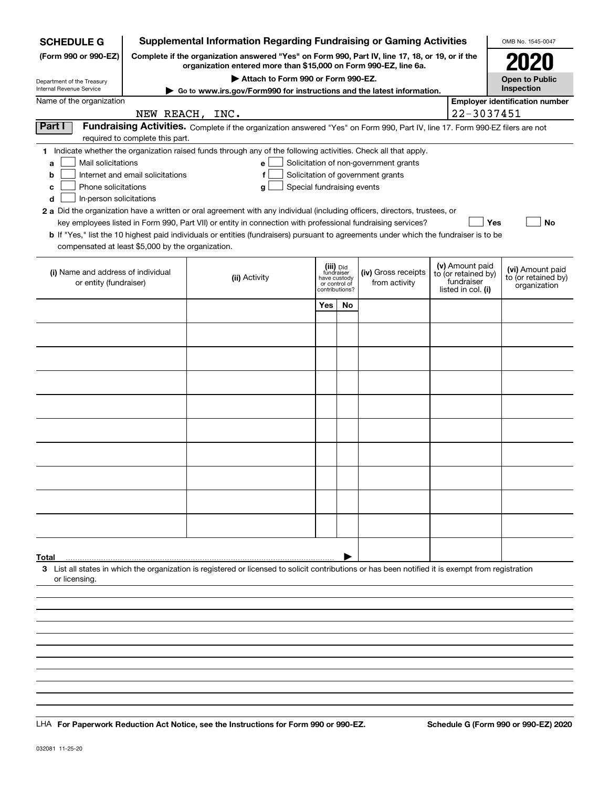| <b>SCHEDULE G</b>                                                                                                              |                                                                                                                                                                     | <b>Supplemental Information Regarding Fundraising or Gaming Activities</b>                                                                         |                            |                                                 |                                   |  |                                        | OMB No. 1545-0047                                   |  |
|--------------------------------------------------------------------------------------------------------------------------------|---------------------------------------------------------------------------------------------------------------------------------------------------------------------|----------------------------------------------------------------------------------------------------------------------------------------------------|----------------------------|-------------------------------------------------|-----------------------------------|--|----------------------------------------|-----------------------------------------------------|--|
| (Form 990 or 990-EZ)                                                                                                           | Complete if the organization answered "Yes" on Form 990, Part IV, line 17, 18, or 19, or if the<br>organization entered more than \$15,000 on Form 990-EZ, line 6a. |                                                                                                                                                    |                            |                                                 |                                   |  |                                        | <b>2020</b>                                         |  |
| Department of the Treasury                                                                                                     |                                                                                                                                                                     | Attach to Form 990 or Form 990-EZ.                                                                                                                 |                            |                                                 |                                   |  |                                        | <b>Open to Public</b>                               |  |
| Internal Revenue Service<br>Go to www.irs.gov/Form990 for instructions and the latest information.<br>Name of the organization |                                                                                                                                                                     |                                                                                                                                                    |                            |                                                 |                                   |  |                                        | Inspection<br><b>Employer identification number</b> |  |
|                                                                                                                                |                                                                                                                                                                     | NEW REACH, INC.                                                                                                                                    |                            |                                                 |                                   |  | 22-3037451                             |                                                     |  |
| Part I                                                                                                                         |                                                                                                                                                                     | Fundraising Activities. Complete if the organization answered "Yes" on Form 990, Part IV, line 17. Form 990-EZ filers are not                      |                            |                                                 |                                   |  |                                        |                                                     |  |
|                                                                                                                                | required to complete this part.                                                                                                                                     |                                                                                                                                                    |                            |                                                 |                                   |  |                                        |                                                     |  |
|                                                                                                                                |                                                                                                                                                                     | 1 Indicate whether the organization raised funds through any of the following activities. Check all that apply.                                    |                            |                                                 |                                   |  |                                        |                                                     |  |
| a                                                                                                                              | Mail solicitations<br>Solicitation of non-government grants<br>e                                                                                                    |                                                                                                                                                    |                            |                                                 |                                   |  |                                        |                                                     |  |
| b<br>Phone solicitations<br>с                                                                                                  | Internet and email solicitations                                                                                                                                    | f<br>g                                                                                                                                             | Special fundraising events |                                                 | Solicitation of government grants |  |                                        |                                                     |  |
| In-person solicitations<br>d                                                                                                   |                                                                                                                                                                     |                                                                                                                                                    |                            |                                                 |                                   |  |                                        |                                                     |  |
|                                                                                                                                |                                                                                                                                                                     | 2 a Did the organization have a written or oral agreement with any individual (including officers, directors, trustees, or                         |                            |                                                 |                                   |  |                                        |                                                     |  |
|                                                                                                                                |                                                                                                                                                                     | key employees listed in Form 990, Part VII) or entity in connection with professional fundraising services?                                        |                            |                                                 |                                   |  | Yes                                    | No                                                  |  |
|                                                                                                                                |                                                                                                                                                                     | b If "Yes," list the 10 highest paid individuals or entities (fundraisers) pursuant to agreements under which the fundraiser is to be              |                            |                                                 |                                   |  |                                        |                                                     |  |
| compensated at least \$5,000 by the organization.                                                                              |                                                                                                                                                                     |                                                                                                                                                    |                            |                                                 |                                   |  |                                        |                                                     |  |
| (i) Name and address of individual                                                                                             |                                                                                                                                                                     |                                                                                                                                                    |                            | (iii) Did<br>fundraiser                         | (iv) Gross receipts               |  | (v) Amount paid<br>to (or retained by) | (vi) Amount paid                                    |  |
| or entity (fundraiser)                                                                                                         |                                                                                                                                                                     | (ii) Activity                                                                                                                                      |                            | have custody<br>or control of<br>contributions? | from activity                     |  | fundraiser<br>listed in col. (i)       | to (or retained by)<br>organization                 |  |
|                                                                                                                                |                                                                                                                                                                     |                                                                                                                                                    |                            |                                                 |                                   |  |                                        |                                                     |  |
|                                                                                                                                |                                                                                                                                                                     |                                                                                                                                                    | Yes                        | <b>No</b>                                       |                                   |  |                                        |                                                     |  |
|                                                                                                                                |                                                                                                                                                                     |                                                                                                                                                    |                            |                                                 |                                   |  |                                        |                                                     |  |
|                                                                                                                                |                                                                                                                                                                     |                                                                                                                                                    |                            |                                                 |                                   |  |                                        |                                                     |  |
|                                                                                                                                |                                                                                                                                                                     |                                                                                                                                                    |                            |                                                 |                                   |  |                                        |                                                     |  |
|                                                                                                                                |                                                                                                                                                                     |                                                                                                                                                    |                            |                                                 |                                   |  |                                        |                                                     |  |
|                                                                                                                                |                                                                                                                                                                     |                                                                                                                                                    |                            |                                                 |                                   |  |                                        |                                                     |  |
|                                                                                                                                |                                                                                                                                                                     |                                                                                                                                                    |                            |                                                 |                                   |  |                                        |                                                     |  |
|                                                                                                                                |                                                                                                                                                                     |                                                                                                                                                    |                            |                                                 |                                   |  |                                        |                                                     |  |
|                                                                                                                                |                                                                                                                                                                     |                                                                                                                                                    |                            |                                                 |                                   |  |                                        |                                                     |  |
|                                                                                                                                |                                                                                                                                                                     |                                                                                                                                                    |                            |                                                 |                                   |  |                                        |                                                     |  |
|                                                                                                                                |                                                                                                                                                                     |                                                                                                                                                    |                            |                                                 |                                   |  |                                        |                                                     |  |
|                                                                                                                                |                                                                                                                                                                     |                                                                                                                                                    |                            |                                                 |                                   |  |                                        |                                                     |  |
|                                                                                                                                |                                                                                                                                                                     |                                                                                                                                                    |                            |                                                 |                                   |  |                                        |                                                     |  |
|                                                                                                                                |                                                                                                                                                                     |                                                                                                                                                    |                            |                                                 |                                   |  |                                        |                                                     |  |
|                                                                                                                                |                                                                                                                                                                     |                                                                                                                                                    |                            |                                                 |                                   |  |                                        |                                                     |  |
|                                                                                                                                |                                                                                                                                                                     |                                                                                                                                                    |                            |                                                 |                                   |  |                                        |                                                     |  |
|                                                                                                                                |                                                                                                                                                                     |                                                                                                                                                    |                            |                                                 |                                   |  |                                        |                                                     |  |
| Total                                                                                                                          |                                                                                                                                                                     |                                                                                                                                                    |                            |                                                 |                                   |  |                                        |                                                     |  |
| or licensing.                                                                                                                  |                                                                                                                                                                     | 3 List all states in which the organization is registered or licensed to solicit contributions or has been notified it is exempt from registration |                            |                                                 |                                   |  |                                        |                                                     |  |
|                                                                                                                                |                                                                                                                                                                     |                                                                                                                                                    |                            |                                                 |                                   |  |                                        |                                                     |  |
|                                                                                                                                |                                                                                                                                                                     |                                                                                                                                                    |                            |                                                 |                                   |  |                                        |                                                     |  |
|                                                                                                                                |                                                                                                                                                                     |                                                                                                                                                    |                            |                                                 |                                   |  |                                        |                                                     |  |
|                                                                                                                                |                                                                                                                                                                     |                                                                                                                                                    |                            |                                                 |                                   |  |                                        |                                                     |  |
|                                                                                                                                |                                                                                                                                                                     |                                                                                                                                                    |                            |                                                 |                                   |  |                                        |                                                     |  |

LHA For Paperwork Reduction Act Notice, see the Instructions for Form 990 or 990-EZ. Schedule G (Form 990 or 990-EZ) 2020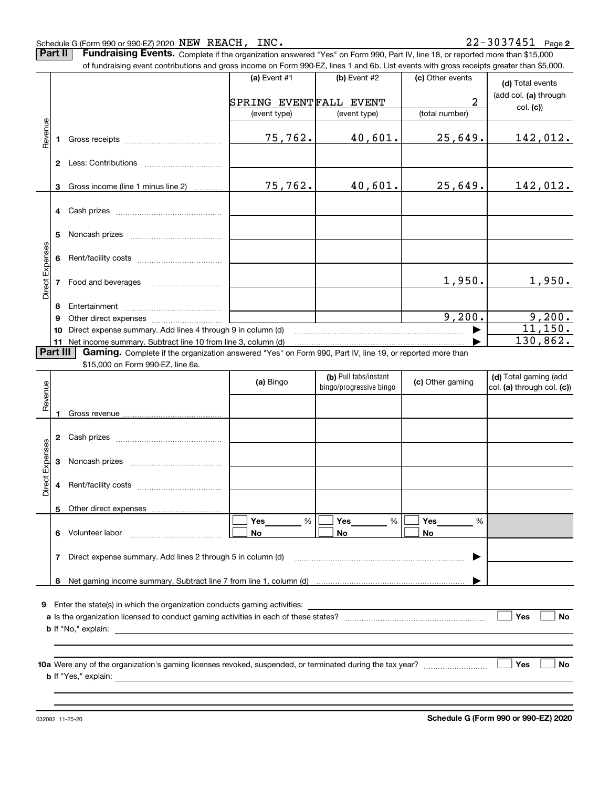#### Schedule G (Form 990 or 990-EZ) 2020 Page NEW REACH, INC. 22-3037451

**Part II** | Fundraising Events. Complete if the organization answered "Yes" on Form 990, Part IV, line 18, or reported more than \$15,000 of fundraising event contributions and gross income on Form 990-EZ, lines 1 and 6b. List events with gross receipts greater than \$5,000.

|                        |          | or iuridraising event contributions and gross income on Form 990-EZ, lines T and 6D. List events with gross receipts greater than \$5,000. |                        |                         |                  |                            |
|------------------------|----------|--------------------------------------------------------------------------------------------------------------------------------------------|------------------------|-------------------------|------------------|----------------------------|
|                        |          |                                                                                                                                            | (a) Event $#1$         | $(b)$ Event #2          | (c) Other events | (d) Total events           |
|                        |          |                                                                                                                                            | SPRING EVENTFALL EVENT |                         | 2                | (add col. (a) through      |
|                        |          |                                                                                                                                            | (event type)           | (event type)            | (total number)   | col. (c)                   |
|                        |          |                                                                                                                                            |                        |                         |                  |                            |
| Revenue                |          |                                                                                                                                            | 75,762.                | 40,601.                 | 25,649.          | 142,012.                   |
|                        |          |                                                                                                                                            |                        |                         |                  |                            |
|                        |          |                                                                                                                                            |                        |                         |                  |                            |
|                        |          |                                                                                                                                            |                        |                         |                  |                            |
|                        | 3        | Gross income (line 1 minus line 2)                                                                                                         | 75,762.                | 40,601.                 | 25,649.          | 142,012.                   |
|                        |          |                                                                                                                                            |                        |                         |                  |                            |
|                        |          | 4 Cash prizes                                                                                                                              |                        |                         |                  |                            |
|                        |          |                                                                                                                                            |                        |                         |                  |                            |
|                        |          |                                                                                                                                            |                        |                         |                  |                            |
| Direct Expenses        |          |                                                                                                                                            |                        |                         |                  |                            |
|                        |          |                                                                                                                                            |                        |                         |                  |                            |
|                        |          | 7 Food and beverages                                                                                                                       |                        |                         | 1,950.           | 1,950.                     |
|                        |          |                                                                                                                                            |                        |                         |                  |                            |
|                        | 8        |                                                                                                                                            |                        |                         |                  |                            |
|                        | 9        |                                                                                                                                            |                        |                         | 9,200.           | 9,200.                     |
|                        | 10       | Direct expense summary. Add lines 4 through 9 in column (d)                                                                                |                        |                         |                  | 11,150.                    |
|                        |          | 11 Net income summary. Subtract line 10 from line 3, column (d)                                                                            |                        |                         |                  | 130,862.                   |
|                        | Part III | Gaming. Complete if the organization answered "Yes" on Form 990, Part IV, line 19, or reported more than                                   |                        |                         |                  |                            |
|                        |          | \$15,000 on Form 990-EZ, line 6a.                                                                                                          |                        | (b) Pull tabs/instant   |                  | (d) Total gaming (add      |
|                        |          |                                                                                                                                            | (a) Bingo              | bingo/progressive bingo | (c) Other gaming | col. (a) through col. (c)) |
| Revenue                |          |                                                                                                                                            |                        |                         |                  |                            |
|                        |          |                                                                                                                                            |                        |                         |                  |                            |
|                        |          |                                                                                                                                            |                        |                         |                  |                            |
|                        |          |                                                                                                                                            |                        |                         |                  |                            |
|                        |          |                                                                                                                                            |                        |                         |                  |                            |
|                        | 3        |                                                                                                                                            |                        |                         |                  |                            |
| <b>Direct Expenses</b> |          |                                                                                                                                            |                        |                         |                  |                            |
|                        | 4        |                                                                                                                                            |                        |                         |                  |                            |
|                        |          |                                                                                                                                            |                        |                         |                  |                            |
|                        |          | 5 Other direct expenses                                                                                                                    |                        |                         |                  |                            |
|                        | 6        | Volunteer labor                                                                                                                            | Yes<br>%<br>No         | Yes<br>%<br>No          | Yes<br>%<br>No   |                            |
|                        |          |                                                                                                                                            |                        |                         |                  |                            |
|                        |          | 7 Direct expense summary. Add lines 2 through 5 in column (d)                                                                              |                        |                         |                  |                            |
|                        |          |                                                                                                                                            |                        |                         |                  |                            |
|                        | 8        |                                                                                                                                            |                        |                         |                  |                            |
|                        |          |                                                                                                                                            |                        |                         |                  |                            |
| 9                      |          | Enter the state(s) in which the organization conducts gaming activities:                                                                   |                        |                         |                  |                            |
|                        |          |                                                                                                                                            |                        |                         |                  | Yes<br>No                  |
|                        |          | <b>b</b> If "No," explain:                                                                                                                 |                        |                         |                  |                            |
|                        |          |                                                                                                                                            |                        |                         |                  |                            |
|                        |          |                                                                                                                                            |                        |                         |                  |                            |
|                        |          | <b>b</b> If "Yes," explain: $\blacksquare$                                                                                                 |                        |                         |                  | Yes<br>No                  |
|                        |          |                                                                                                                                            |                        |                         |                  |                            |
|                        |          |                                                                                                                                            |                        |                         |                  |                            |

032082 11-25-20

**Schedule G (Form 990 or 990-EZ) 2020**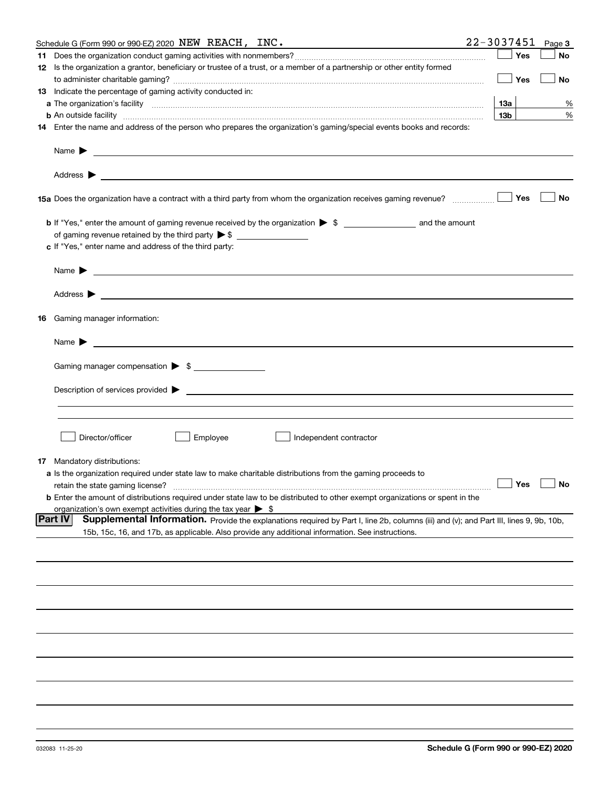|     | Schedule G (Form 990 or 990-EZ) 2020 NEW REACH, INC.                                                                                                                                                                                       | 22-3037451 |                   | Page 3 |
|-----|--------------------------------------------------------------------------------------------------------------------------------------------------------------------------------------------------------------------------------------------|------------|-------------------|--------|
|     |                                                                                                                                                                                                                                            |            | Yes               | No     |
|     | 12 Is the organization a grantor, beneficiary or trustee of a trust, or a member of a partnership or other entity formed                                                                                                                   |            |                   |        |
|     |                                                                                                                                                                                                                                            |            | Yes               | No     |
|     | 13 Indicate the percentage of gaming activity conducted in:                                                                                                                                                                                |            |                   |        |
|     |                                                                                                                                                                                                                                            |            | <u>13a</u>        | %      |
|     | <b>b</b> An outside facility <i>www.communically.communically.communically.communically.communically.communically.communically.communically.communically.communically.communically.communically.communically.communically.communicall</i>  |            | 13 <sub>b</sub>   | %      |
|     | 14 Enter the name and address of the person who prepares the organization's gaming/special events books and records:                                                                                                                       |            |                   |        |
|     |                                                                                                                                                                                                                                            |            |                   |        |
|     | Name $\blacktriangleright$<br><u>some started and the started and the started and the started and the started and the started and the started and</u>                                                                                      |            |                   |        |
|     |                                                                                                                                                                                                                                            |            |                   |        |
|     |                                                                                                                                                                                                                                            |            | Yes               | No     |
|     |                                                                                                                                                                                                                                            |            |                   |        |
|     |                                                                                                                                                                                                                                            |            |                   |        |
|     | c If "Yes," enter name and address of the third party:                                                                                                                                                                                     |            |                   |        |
|     |                                                                                                                                                                                                                                            |            |                   |        |
|     | Name $\blacktriangleright$<br><u> 1989 - Johann Harry Harry Harry Harry Harry Harry Harry Harry Harry Harry Harry Harry Harry Harry Harry Harry</u>                                                                                        |            |                   |        |
|     |                                                                                                                                                                                                                                            |            |                   |        |
|     | Address $\blacktriangleright$                                                                                                                                                                                                              |            |                   |        |
| 16  | Gaming manager information:                                                                                                                                                                                                                |            |                   |        |
|     | Name $\blacktriangleright$                                                                                                                                                                                                                 |            |                   |        |
|     | Gaming manager compensation > \$                                                                                                                                                                                                           |            |                   |        |
|     |                                                                                                                                                                                                                                            |            |                   |        |
|     | Description of services provided >                                                                                                                                                                                                         |            |                   |        |
|     |                                                                                                                                                                                                                                            |            |                   |        |
|     |                                                                                                                                                                                                                                            |            |                   |        |
|     |                                                                                                                                                                                                                                            |            |                   |        |
|     | Director/officer<br>Employee<br>Independent contractor                                                                                                                                                                                     |            |                   |        |
|     |                                                                                                                                                                                                                                            |            |                   |        |
| 17. | Mandatory distributions:                                                                                                                                                                                                                   |            |                   |        |
|     | a Is the organization required under state law to make charitable distributions from the gaming proceeds to                                                                                                                                |            |                   |        |
|     | retain the state gaming license?                                                                                                                                                                                                           |            | $\Box$ Yes $\Box$ |        |
|     | <b>b</b> Enter the amount of distributions required under state law to be distributed to other exempt organizations or spent in the                                                                                                        |            |                   |        |
|     | organization's own exempt activities during the tax year $\triangleright$ \$<br><b>Part IV</b>                                                                                                                                             |            |                   |        |
|     | Supplemental Information. Provide the explanations required by Part I, line 2b, columns (iii) and (v); and Part III, lines 9, 9b, 10b,<br>15b, 15c, 16, and 17b, as applicable. Also provide any additional information. See instructions. |            |                   |        |
|     |                                                                                                                                                                                                                                            |            |                   |        |
|     |                                                                                                                                                                                                                                            |            |                   |        |
|     |                                                                                                                                                                                                                                            |            |                   |        |
|     |                                                                                                                                                                                                                                            |            |                   |        |
|     |                                                                                                                                                                                                                                            |            |                   |        |
|     |                                                                                                                                                                                                                                            |            |                   |        |
|     |                                                                                                                                                                                                                                            |            |                   |        |
|     |                                                                                                                                                                                                                                            |            |                   |        |
|     |                                                                                                                                                                                                                                            |            |                   |        |
|     |                                                                                                                                                                                                                                            |            |                   |        |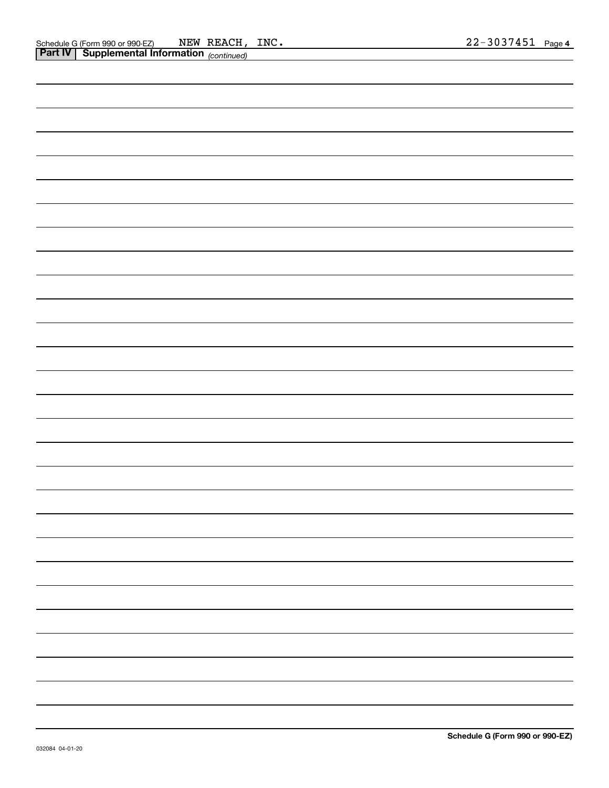| <b>Part IV   Supplemental Information</b> (continued) |  |
|-------------------------------------------------------|--|
|                                                       |  |
|                                                       |  |
|                                                       |  |
|                                                       |  |
|                                                       |  |
|                                                       |  |
|                                                       |  |
|                                                       |  |
|                                                       |  |
|                                                       |  |
|                                                       |  |
|                                                       |  |
|                                                       |  |
|                                                       |  |
|                                                       |  |
|                                                       |  |
|                                                       |  |
|                                                       |  |
|                                                       |  |
|                                                       |  |
|                                                       |  |
|                                                       |  |
|                                                       |  |
|                                                       |  |
|                                                       |  |
|                                                       |  |
|                                                       |  |
|                                                       |  |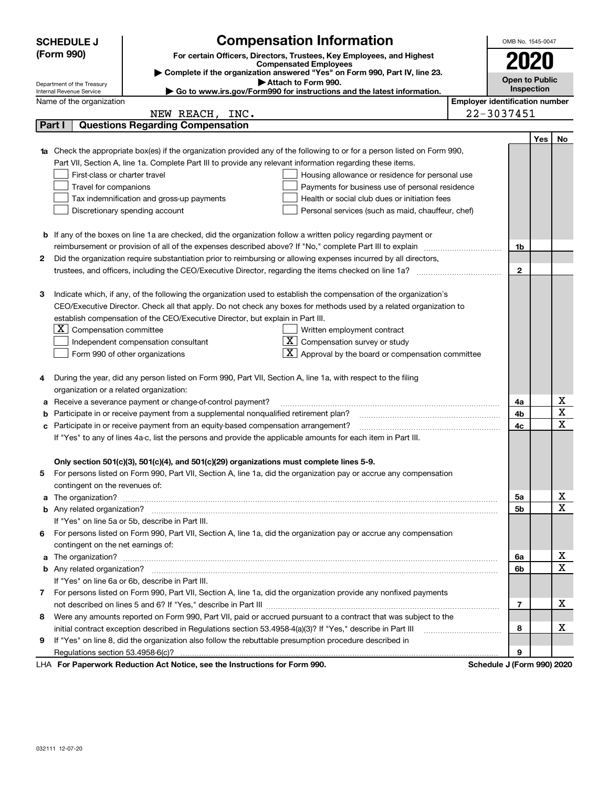|   | <b>Compensation Information</b><br><b>SCHEDULE J</b><br>OMB No. 1545-0047 |                                                                                                                                                                                                                                      |  |                                       |            |    |  |  |  |
|---|---------------------------------------------------------------------------|--------------------------------------------------------------------------------------------------------------------------------------------------------------------------------------------------------------------------------------|--|---------------------------------------|------------|----|--|--|--|
|   | (Form 990)                                                                | For certain Officers, Directors, Trustees, Key Employees, and Highest                                                                                                                                                                |  |                                       |            |    |  |  |  |
|   |                                                                           | <b>Compensated Employees</b>                                                                                                                                                                                                         |  | 2020                                  |            |    |  |  |  |
|   |                                                                           | Complete if the organization answered "Yes" on Form 990, Part IV, line 23.<br>Attach to Form 990.                                                                                                                                    |  | <b>Open to Public</b>                 |            |    |  |  |  |
|   | Department of the Treasury<br>Internal Revenue Service                    | Go to www.irs.gov/Form990 for instructions and the latest information.                                                                                                                                                               |  |                                       | Inspection |    |  |  |  |
|   | Name of the organization                                                  |                                                                                                                                                                                                                                      |  | <b>Employer identification number</b> |            |    |  |  |  |
|   |                                                                           | NEW REACH, INC.                                                                                                                                                                                                                      |  | 22-3037451                            |            |    |  |  |  |
|   | Part I                                                                    | <b>Questions Regarding Compensation</b>                                                                                                                                                                                              |  |                                       |            |    |  |  |  |
|   |                                                                           |                                                                                                                                                                                                                                      |  |                                       | Yes        | No |  |  |  |
|   |                                                                           | 1a Check the appropriate box(es) if the organization provided any of the following to or for a person listed on Form 990,                                                                                                            |  |                                       |            |    |  |  |  |
|   |                                                                           | Part VII, Section A, line 1a. Complete Part III to provide any relevant information regarding these items.                                                                                                                           |  |                                       |            |    |  |  |  |
|   | First-class or charter travel                                             | Housing allowance or residence for personal use                                                                                                                                                                                      |  |                                       |            |    |  |  |  |
|   | Travel for companions                                                     | Payments for business use of personal residence                                                                                                                                                                                      |  |                                       |            |    |  |  |  |
|   |                                                                           | Tax indemnification and gross-up payments<br>Health or social club dues or initiation fees                                                                                                                                           |  |                                       |            |    |  |  |  |
|   |                                                                           | Discretionary spending account<br>Personal services (such as maid, chauffeur, chef)                                                                                                                                                  |  |                                       |            |    |  |  |  |
|   |                                                                           |                                                                                                                                                                                                                                      |  |                                       |            |    |  |  |  |
|   |                                                                           | <b>b</b> If any of the boxes on line 1a are checked, did the organization follow a written policy regarding payment or                                                                                                               |  |                                       |            |    |  |  |  |
|   |                                                                           |                                                                                                                                                                                                                                      |  | 1b                                    |            |    |  |  |  |
| 2 |                                                                           | Did the organization require substantiation prior to reimbursing or allowing expenses incurred by all directors,                                                                                                                     |  |                                       |            |    |  |  |  |
|   |                                                                           |                                                                                                                                                                                                                                      |  | $\mathbf{2}$                          |            |    |  |  |  |
|   |                                                                           |                                                                                                                                                                                                                                      |  |                                       |            |    |  |  |  |
| З |                                                                           | Indicate which, if any, of the following the organization used to establish the compensation of the organization's                                                                                                                   |  |                                       |            |    |  |  |  |
|   |                                                                           | CEO/Executive Director. Check all that apply. Do not check any boxes for methods used by a related organization to                                                                                                                   |  |                                       |            |    |  |  |  |
|   |                                                                           | establish compensation of the CEO/Executive Director, but explain in Part III.                                                                                                                                                       |  |                                       |            |    |  |  |  |
|   | $X$ Compensation committee                                                | Written employment contract                                                                                                                                                                                                          |  |                                       |            |    |  |  |  |
|   |                                                                           | $\overline{X}$ Compensation survey or study<br>Independent compensation consultant                                                                                                                                                   |  |                                       |            |    |  |  |  |
|   |                                                                           | $\lfloor x \rfloor$ Approval by the board or compensation committee<br>Form 990 of other organizations                                                                                                                               |  |                                       |            |    |  |  |  |
|   |                                                                           |                                                                                                                                                                                                                                      |  |                                       |            |    |  |  |  |
| 4 |                                                                           | During the year, did any person listed on Form 990, Part VII, Section A, line 1a, with respect to the filing                                                                                                                         |  |                                       |            |    |  |  |  |
|   | organization or a related organization:                                   |                                                                                                                                                                                                                                      |  |                                       |            |    |  |  |  |
| а |                                                                           | Receive a severance payment or change-of-control payment?                                                                                                                                                                            |  | 4a                                    |            | х  |  |  |  |
| b |                                                                           | Participate in or receive payment from a supplemental nonqualified retirement plan?                                                                                                                                                  |  | 4b                                    |            | X  |  |  |  |
| c |                                                                           | Participate in or receive payment from an equity-based compensation arrangement?                                                                                                                                                     |  | 4с                                    |            | х  |  |  |  |
|   |                                                                           | If "Yes" to any of lines 4a-c, list the persons and provide the applicable amounts for each item in Part III.                                                                                                                        |  |                                       |            |    |  |  |  |
|   |                                                                           |                                                                                                                                                                                                                                      |  |                                       |            |    |  |  |  |
|   |                                                                           | Only section 501(c)(3), 501(c)(4), and 501(c)(29) organizations must complete lines 5-9.                                                                                                                                             |  |                                       |            |    |  |  |  |
|   |                                                                           | For persons listed on Form 990, Part VII, Section A, line 1a, did the organization pay or accrue any compensation                                                                                                                    |  |                                       |            |    |  |  |  |
|   | contingent on the revenues of:                                            |                                                                                                                                                                                                                                      |  |                                       |            | х  |  |  |  |
|   |                                                                           | a The organization? <b>Constitution</b> and the organization?                                                                                                                                                                        |  | 5а                                    |            | х  |  |  |  |
|   |                                                                           |                                                                                                                                                                                                                                      |  | 5b                                    |            |    |  |  |  |
|   |                                                                           | If "Yes" on line 5a or 5b, describe in Part III.                                                                                                                                                                                     |  |                                       |            |    |  |  |  |
| 6 |                                                                           | For persons listed on Form 990, Part VII, Section A, line 1a, did the organization pay or accrue any compensation                                                                                                                    |  |                                       |            |    |  |  |  |
|   | contingent on the net earnings of:                                        |                                                                                                                                                                                                                                      |  |                                       |            | х  |  |  |  |
| a |                                                                           | The organization? <b>With the contract of the contract of the contract of the contract of the contract of the contract of the contract of the contract of the contract of the contract of the contract of the contract of the co</b> |  | 6a                                    |            | Х  |  |  |  |
|   |                                                                           | If "Yes" on line 6a or 6b, describe in Part III.                                                                                                                                                                                     |  | 6b                                    |            |    |  |  |  |
|   |                                                                           | 7 For persons listed on Form 990, Part VII, Section A, line 1a, did the organization provide any nonfixed payments                                                                                                                   |  |                                       |            |    |  |  |  |
|   |                                                                           |                                                                                                                                                                                                                                      |  | 7                                     |            | x  |  |  |  |
|   |                                                                           | Were any amounts reported on Form 990, Part VII, paid or accrued pursuant to a contract that was subject to the                                                                                                                      |  |                                       |            |    |  |  |  |
| 8 |                                                                           |                                                                                                                                                                                                                                      |  | 8                                     |            | x  |  |  |  |
| 9 |                                                                           | initial contract exception described in Regulations section 53.4958-4(a)(3)? If "Yes," describe in Part III                                                                                                                          |  |                                       |            |    |  |  |  |
|   |                                                                           | If "Yes" on line 8, did the organization also follow the rebuttable presumption procedure described in                                                                                                                               |  | 9                                     |            |    |  |  |  |
|   | Regulations section 53.4958-6(c)?                                         | For Departuarly Reduction Act Notice, and the Instructions for Ferm 000                                                                                                                                                              |  | Pohodulo I (Form 000) 2020            |            |    |  |  |  |

LHA For Paperwork Reduction Act Notice, see the Instructions for Form 990. Schedule J (Form 990) 2020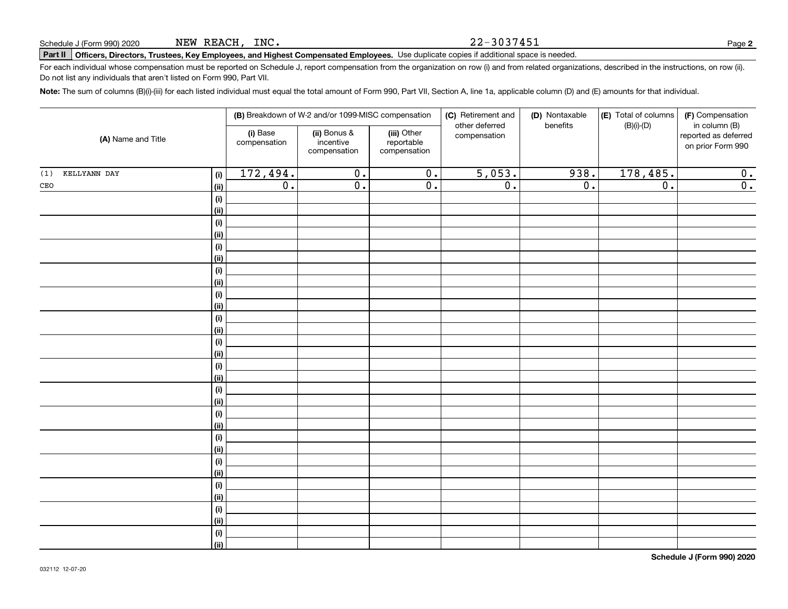# **Part II Officers, Directors, Trustees, Key Employees, and Highest Compensated Employees.**  Schedule J (Form 990) 2020 Page Use duplicate copies if additional space is needed.

For each individual whose compensation must be reported on Schedule J, report compensation from the organization on row (i) and from related organizations, described in the instructions, on row (ii). Do not list any individuals that aren't listed on Form 990, Part VII.

**Note:**  The sum of columns (B)(i)-(iii) for each listed individual must equal the total amount of Form 990, Part VII, Section A, line 1a, applicable column (D) and (E) amounts for that individual.

|                               |                          | (B) Breakdown of W-2 and/or 1099-MISC compensation |                                           | (C) Retirement and<br>other deferred | (D) Nontaxable<br>benefits | (E) Total of columns<br>$(B)(i)-(D)$ | (F) Compensation<br>in column (B)         |
|-------------------------------|--------------------------|----------------------------------------------------|-------------------------------------------|--------------------------------------|----------------------------|--------------------------------------|-------------------------------------------|
| (A) Name and Title            | (i) Base<br>compensation | (ii) Bonus &<br>incentive<br>compensation          | (iii) Other<br>reportable<br>compensation | compensation                         |                            |                                      | reported as deferred<br>on prior Form 990 |
| KELLYANN DAY<br>(1)<br>(i)    | 172,494.                 | $\overline{0}$ .                                   | $\overline{0}$ .                          | 5,053.                               | 938.                       | 178,485.                             | $\mathbf{0}$ .                            |
| $\mathtt{CEO}$<br><u>(ii)</u> | $\overline{0}$ .         | $\overline{0}$ .                                   | $\overline{0}$ .                          | $\overline{0}$ .                     | $\overline{0}$ .           | $\overline{0}$ .                     | $\overline{0}$ .                          |
| (i)                           |                          |                                                    |                                           |                                      |                            |                                      |                                           |
| <u>(ii)</u>                   |                          |                                                    |                                           |                                      |                            |                                      |                                           |
| (i)                           |                          |                                                    |                                           |                                      |                            |                                      |                                           |
| <u>(ii)</u>                   |                          |                                                    |                                           |                                      |                            |                                      |                                           |
| (i)                           |                          |                                                    |                                           |                                      |                            |                                      |                                           |
| <u>(ii)</u>                   |                          |                                                    |                                           |                                      |                            |                                      |                                           |
| (i)                           |                          |                                                    |                                           |                                      |                            |                                      |                                           |
| <u>(ii)</u>                   |                          |                                                    |                                           |                                      |                            |                                      |                                           |
| (i)                           |                          |                                                    |                                           |                                      |                            |                                      |                                           |
| <u>(ii)</u>                   |                          |                                                    |                                           |                                      |                            |                                      |                                           |
| (i)                           |                          |                                                    |                                           |                                      |                            |                                      |                                           |
| <u>(ii)</u>                   |                          |                                                    |                                           |                                      |                            |                                      |                                           |
| (i)                           |                          |                                                    |                                           |                                      |                            |                                      |                                           |
| <u>(ii)</u>                   |                          |                                                    |                                           |                                      |                            |                                      |                                           |
| (i)                           |                          |                                                    |                                           |                                      |                            |                                      |                                           |
| <u>(ii)</u>                   |                          |                                                    |                                           |                                      |                            |                                      |                                           |
| (i)<br><u>(ii)</u>            |                          |                                                    |                                           |                                      |                            |                                      |                                           |
| (i)                           |                          |                                                    |                                           |                                      |                            |                                      |                                           |
| <u>(ii)</u>                   |                          |                                                    |                                           |                                      |                            |                                      |                                           |
| (i)                           |                          |                                                    |                                           |                                      |                            |                                      |                                           |
| <u>(ii)</u>                   |                          |                                                    |                                           |                                      |                            |                                      |                                           |
| (i)                           |                          |                                                    |                                           |                                      |                            |                                      |                                           |
| <u>(ii)</u>                   |                          |                                                    |                                           |                                      |                            |                                      |                                           |
| (i)                           |                          |                                                    |                                           |                                      |                            |                                      |                                           |
| <u>(ii)</u>                   |                          |                                                    |                                           |                                      |                            |                                      |                                           |
| (i)                           |                          |                                                    |                                           |                                      |                            |                                      |                                           |
| <u>(ii)</u>                   |                          |                                                    |                                           |                                      |                            |                                      |                                           |
| (i)                           |                          |                                                    |                                           |                                      |                            |                                      |                                           |
| <u>(ii)</u>                   |                          |                                                    |                                           |                                      |                            |                                      |                                           |

22-3037451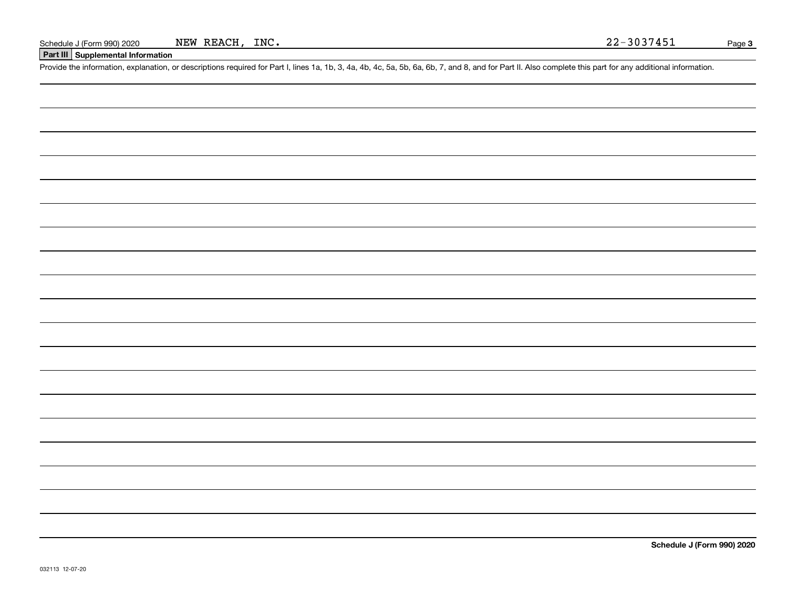NEW REACH, INC.

**Part III Supplemental Information**

Schedule J (Form 990) 2020 NEW REACH, INC.<br>
Part III Supplemental Information<br>
Provide the information, explanation, or descriptions required for Part I, lines 1a, 1b, 3, 4a, 4b, 4c, 5a, 5b, 6a, 6b, 7, and 8, and for Part

**Schedule J (Form 990) 2020**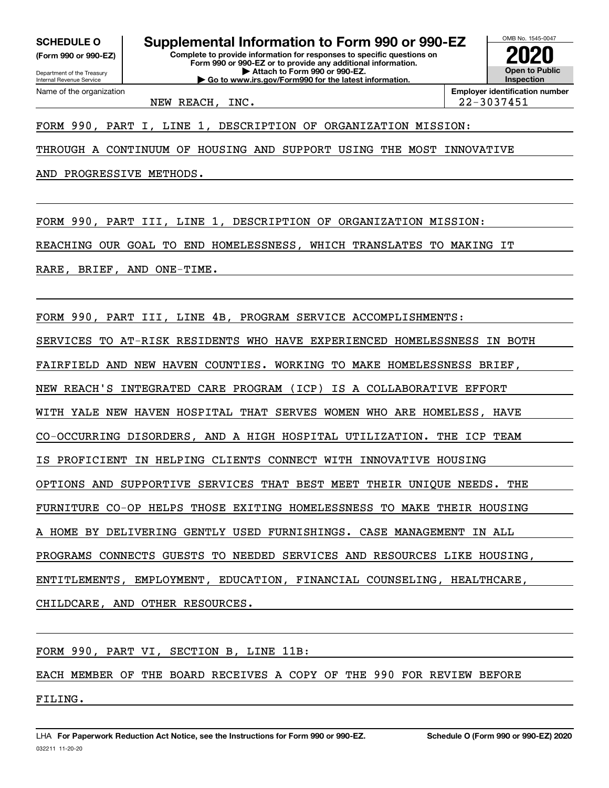Internal Revenue Service

Department of the Treasury **(Form 990 or 990-EZ)**

Name of the organization

**Complete to provide information for responses to specific questions on Form 990 or 990-EZ or to provide any additional information. | Attach to Form 990 or 990-EZ. | Go to www.irs.gov/Form990 for the latest information. SCHEDULE O Supplemental Information to Form 990 or 990-EZ** OMB No. 1545-0047 **Open to Public Inspection2020**

NEW REACH, INC. 22-3037451

**Employer identification number**

FORM 990, PART I, LINE 1, DESCRIPTION OF ORGANIZATION MISSION:

THROUGH A CONTINUUM OF HOUSING AND SUPPORT USING THE MOST INNOVATIVE

AND PROGRESSIVE METHODS.

FORM 990, PART III, LINE 1, DESCRIPTION OF ORGANIZATION MISSION:

REACHING OUR GOAL TO END HOMELESSNESS, WHICH TRANSLATES TO MAKING IT

RARE, BRIEF, AND ONE-TIME.

FORM 990, PART III, LINE 4B, PROGRAM SERVICE ACCOMPLISHMENTS:

SERVICES TO AT-RISK RESIDENTS WHO HAVE EXPERIENCED HOMELESSNESS IN BOTH

FAIRFIELD AND NEW HAVEN COUNTIES. WORKING TO MAKE HOMELESSNESS BRIEF,

NEW REACH'S INTEGRATED CARE PROGRAM (ICP) IS A COLLABORATIVE EFFORT

WITH YALE NEW HAVEN HOSPITAL THAT SERVES WOMEN WHO ARE HOMELESS, HAVE

CO-OCCURRING DISORDERS, AND A HIGH HOSPITAL UTILIZATION. THE ICP TEAM

IS PROFICIENT IN HELPING CLIENTS CONNECT WITH INNOVATIVE HOUSING

OPTIONS AND SUPPORTIVE SERVICES THAT BEST MEET THEIR UNIQUE NEEDS. THE

FURNITURE CO-OP HELPS THOSE EXITING HOMELESSNESS TO MAKE THEIR HOUSING

A HOME BY DELIVERING GENTLY USED FURNISHINGS. CASE MANAGEMENT IN ALL

PROGRAMS CONNECTS GUESTS TO NEEDED SERVICES AND RESOURCES LIKE HOUSING,

ENTITLEMENTS, EMPLOYMENT, EDUCATION, FINANCIAL COUNSELING, HEALTHCARE,

CHILDCARE, AND OTHER RESOURCES.

FORM 990, PART VI, SECTION B, LINE 11B:

EACH MEMBER OF THE BOARD RECEIVES A COPY OF THE 990 FOR REVIEW BEFORE

FILING.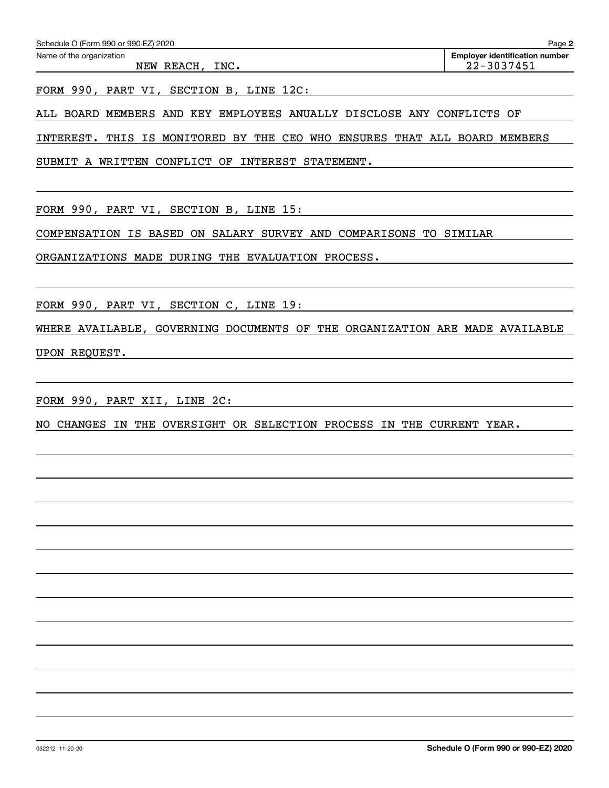| Schedule O (Form 990 or 990-EZ) 2020 | Page                                  |
|--------------------------------------|---------------------------------------|
| Name of the organization             | <b>Employer identification number</b> |

NEW REACH, INC. 22-3037451

**2**

FORM 990, PART VI, SECTION B, LINE 12C:

ALL BOARD MEMBERS AND KEY EMPLOYEES ANUALLY DISCLOSE ANY CONFLICTS OF

INTEREST. THIS IS MONITORED BY THE CEO WHO ENSURES THAT ALL BOARD MEMBERS

SUBMIT A WRITTEN CONFLICT OF INTEREST STATEMENT.

FORM 990, PART VI, SECTION B, LINE 15:

COMPENSATION IS BASED ON SALARY SURVEY AND COMPARISONS TO SIMILAR

ORGANIZATIONS MADE DURING THE EVALUATION PROCESS.

FORM 990, PART VI, SECTION C, LINE 19:

WHERE AVAILABLE, GOVERNING DOCUMENTS OF THE ORGANIZATION ARE MADE AVAILABLE UPON REQUEST.

FORM 990, PART XII, LINE 2C:

NO CHANGES IN THE OVERSIGHT OR SELECTION PROCESS IN THE CURRENT YEAR.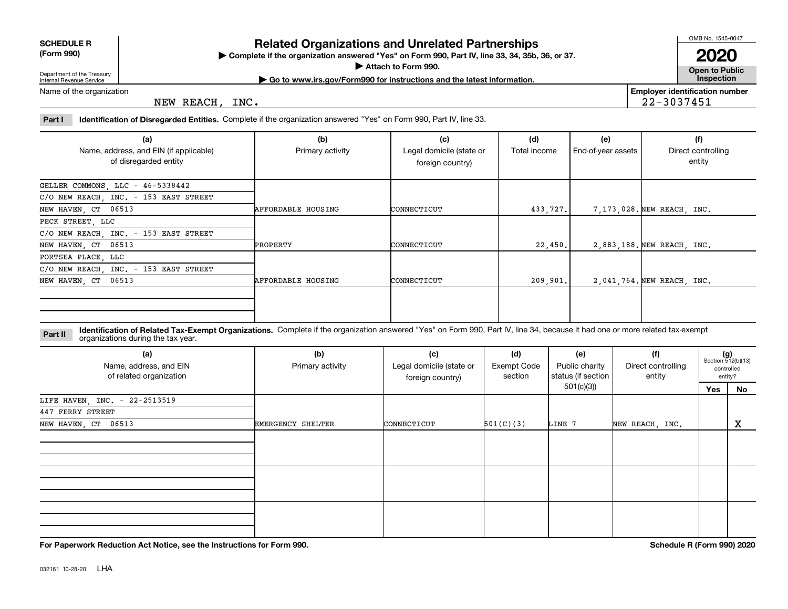| <b>SCHEDULE R</b> |
|-------------------|
| ----              |

**(Form 990)**

### **Related Organizations and Unrelated Partnerships**

**Complete if the organization answered "Yes" on Form 990, Part IV, line 33, 34, 35b, 36, or 37.** |

**Attach to Form 990.**  |

OMB No. 1545-0047

**Open to Public 2020**

Department of the Treasury Internal Revenue Service Name of the organization **| Go to www.irs.gov/Form990 for instructions and the latest information. Inspection**

NEW REACH, INC.

**Employer identification number** 22-3037451

**Part I Identification of Disregarded Entities.**  Complete if the organization answered "Yes" on Form 990, Part IV, line 33.

| (a)<br>Name, address, and EIN (if applicable)<br>of disregarded entity | (b)<br>Primary activity   | (c)<br>Legal domicile (state or<br>foreign country) | (d)<br>Total income | (e)<br>End-of-year assets | (f)<br>Direct controlling<br>entity |
|------------------------------------------------------------------------|---------------------------|-----------------------------------------------------|---------------------|---------------------------|-------------------------------------|
| GELLER COMMONS, LLC - 46-5338442                                       |                           |                                                     |                     |                           |                                     |
| C/O NEW REACH, INC. - 153 EAST STREET                                  |                           |                                                     |                     |                           |                                     |
| NEW HAVEN, CT 06513                                                    | <b>AFFORDABLE HOUSING</b> | CONNECTICUT                                         | 433.727.            |                           | 7, 173, 028. NEW REACH, INC.        |
| PECK STREET, LLC                                                       |                           |                                                     |                     |                           |                                     |
| C/O NEW REACH, INC. - 153 EAST STREET                                  |                           |                                                     |                     |                           |                                     |
| NEW HAVEN, CT 06513                                                    | PROPERTY                  | CONNECTICUT                                         | 22,450.             |                           | 2,883,188. NEW REACH, INC.          |
| PORTSEA PLACE, LLC                                                     |                           |                                                     |                     |                           |                                     |
| C/O NEW REACH, INC. - 153 EAST STREET                                  |                           |                                                     |                     |                           |                                     |
| NEW HAVEN, CT 06513                                                    | <b>AFFORDABLE HOUSING</b> | CONNECTICUT                                         | 209,901.            |                           | 2,041,764. NEW REACH, INC.          |
|                                                                        |                           |                                                     |                     |                           |                                     |

**Identification of Related Tax-Exempt Organizations.** Complete if the organization answered "Yes" on Form 990, Part IV, line 34, because it had one or more related tax-exempt **Part II** organizations during the tax year.

| (a)<br>Name, address, and EIN<br>of related organization | (b)<br>Primary activity | (c)<br>Legal domicile (state or<br>foreign country) | (d)<br><b>Exempt Code</b><br>section | (e)<br>Public charity<br>status (if section | (f)<br>Direct controlling<br>entity |     | $(g)$<br>Section 512(b)(13)<br>controlled<br>entity? |  |
|----------------------------------------------------------|-------------------------|-----------------------------------------------------|--------------------------------------|---------------------------------------------|-------------------------------------|-----|------------------------------------------------------|--|
|                                                          |                         |                                                     |                                      | 501(c)(3))                                  |                                     | Yes | No                                                   |  |
| LIFE HAVEN, INC. - 22-2513519                            |                         |                                                     |                                      |                                             |                                     |     |                                                      |  |
| 447 FERRY STREET                                         |                         |                                                     |                                      |                                             |                                     |     |                                                      |  |
| NEW HAVEN, CT 06513                                      | EMERGENCY SHELTER       | CONNECTICUT                                         | 501(C)(3)                            | LINE 7                                      | NEW REACH, INC.                     |     | X                                                    |  |
|                                                          |                         |                                                     |                                      |                                             |                                     |     |                                                      |  |
|                                                          |                         |                                                     |                                      |                                             |                                     |     |                                                      |  |
|                                                          |                         |                                                     |                                      |                                             |                                     |     |                                                      |  |

**For Paperwork Reduction Act Notice, see the Instructions for Form 990. Schedule R (Form 990) 2020**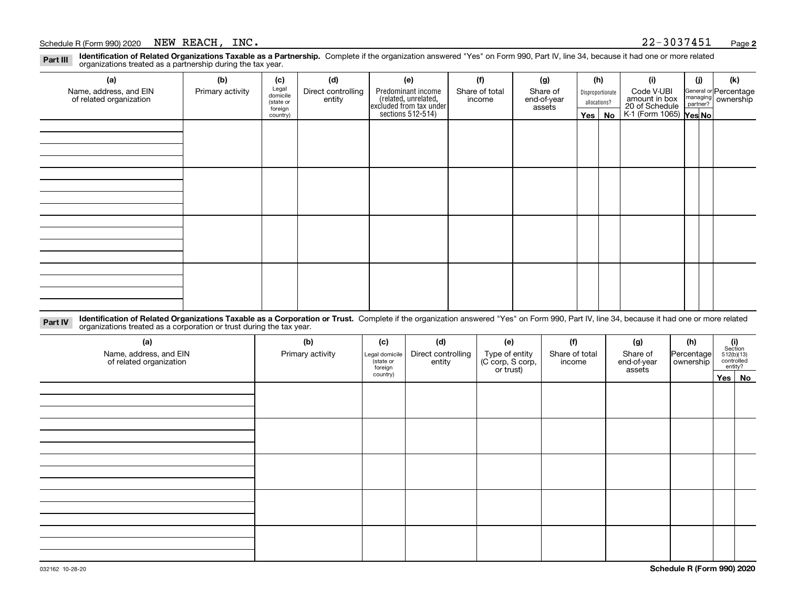**Identification of Related Organizations Taxable as a Partnership.** Complete if the organization answered "Yes" on Form 990, Part IV, line 34, because it had one or more related **Part III** organizations treated as a partnership during the tax year.

| (b)                                                                   | (c)      | (d)                                       | (e)                | (f)                      | (g)                                                                  |                       |    | (i)                                                   | (j) | (k)                                                                                                                  |
|-----------------------------------------------------------------------|----------|-------------------------------------------|--------------------|--------------------------|----------------------------------------------------------------------|-----------------------|----|-------------------------------------------------------|-----|----------------------------------------------------------------------------------------------------------------------|
| Name, address, and EIN<br>of related organization<br>Primary activity |          | Direct controlling                        | Predominant income | Share of total<br>income | Share of                                                             |                       |    | Code V-UBI                                            |     |                                                                                                                      |
|                                                                       |          |                                           |                    |                          |                                                                      |                       |    |                                                       |     |                                                                                                                      |
|                                                                       | country) |                                           |                    |                          |                                                                      |                       | No |                                                       |     |                                                                                                                      |
|                                                                       |          |                                           |                    |                          |                                                                      |                       |    |                                                       |     |                                                                                                                      |
|                                                                       |          |                                           |                    |                          |                                                                      |                       |    |                                                       |     |                                                                                                                      |
|                                                                       |          |                                           |                    |                          |                                                                      |                       |    |                                                       |     |                                                                                                                      |
|                                                                       |          |                                           |                    |                          |                                                                      |                       |    |                                                       |     |                                                                                                                      |
|                                                                       |          |                                           |                    |                          |                                                                      |                       |    |                                                       |     |                                                                                                                      |
|                                                                       |          |                                           |                    |                          |                                                                      |                       |    |                                                       |     |                                                                                                                      |
|                                                                       |          |                                           |                    |                          |                                                                      |                       |    |                                                       |     |                                                                                                                      |
|                                                                       |          |                                           |                    |                          |                                                                      |                       |    |                                                       |     |                                                                                                                      |
|                                                                       |          |                                           |                    |                          |                                                                      |                       |    |                                                       |     |                                                                                                                      |
|                                                                       |          |                                           |                    |                          |                                                                      |                       |    |                                                       |     |                                                                                                                      |
|                                                                       |          |                                           |                    |                          |                                                                      |                       |    |                                                       |     |                                                                                                                      |
|                                                                       |          |                                           |                    |                          |                                                                      |                       |    |                                                       |     |                                                                                                                      |
|                                                                       |          |                                           |                    |                          |                                                                      |                       |    |                                                       |     |                                                                                                                      |
|                                                                       |          |                                           |                    |                          |                                                                      |                       |    |                                                       |     |                                                                                                                      |
|                                                                       |          |                                           |                    |                          |                                                                      |                       |    |                                                       |     |                                                                                                                      |
|                                                                       |          |                                           |                    |                          |                                                                      |                       |    |                                                       |     |                                                                                                                      |
|                                                                       |          | Legal<br>domicile<br>(state or<br>foreign | entity             |                          | (related, unrelated,<br>excluded from tax under<br>sections 512-514) | end-of-year<br>assets |    | (h)<br>Disproportionate<br>allocations?<br>$Yes \mid$ |     | General or Percentage<br>managing ownership<br>partner?<br>amount in box<br>20 of Schedule<br>K-1 (Form 1065) Yes No |

**Identification of Related Organizations Taxable as a Corporation or Trust.** Complete if the organization answered "Yes" on Form 990, Part IV, line 34, because it had one or more related **Part IV** organizations treated as a corporation or trust during the tax year.

| (a)<br>Name, address, and EIN<br>of related organization | (b)<br>Primary activity | (c)<br>Legal domicile<br>(state or<br>foreign | (d)<br>Direct controlling<br>entity | (e)<br>Type of entity<br>(C corp, S corp,<br>or trust) | (f)<br>Share of total<br>income | (g)<br>Share of<br>end-of-year<br>assets | (h)<br>Percentage<br>ownership | $\begin{array}{c} \textbf{(i)}\\ \text{Section}\\ 512 \text{(b)} \text{(13)}\\ \text{controlled}\\ \text{entity?} \end{array}$ |
|----------------------------------------------------------|-------------------------|-----------------------------------------------|-------------------------------------|--------------------------------------------------------|---------------------------------|------------------------------------------|--------------------------------|--------------------------------------------------------------------------------------------------------------------------------|
|                                                          |                         | country)                                      |                                     |                                                        |                                 |                                          |                                | Yes   No                                                                                                                       |
|                                                          |                         |                                               |                                     |                                                        |                                 |                                          |                                |                                                                                                                                |
|                                                          |                         |                                               |                                     |                                                        |                                 |                                          |                                |                                                                                                                                |
|                                                          |                         |                                               |                                     |                                                        |                                 |                                          |                                |                                                                                                                                |
|                                                          |                         |                                               |                                     |                                                        |                                 |                                          |                                |                                                                                                                                |
|                                                          |                         |                                               |                                     |                                                        |                                 |                                          |                                |                                                                                                                                |
|                                                          |                         |                                               |                                     |                                                        |                                 |                                          |                                |                                                                                                                                |
|                                                          |                         |                                               |                                     |                                                        |                                 |                                          |                                |                                                                                                                                |
|                                                          |                         |                                               |                                     |                                                        |                                 |                                          |                                |                                                                                                                                |
|                                                          |                         |                                               |                                     |                                                        |                                 |                                          |                                |                                                                                                                                |
|                                                          |                         |                                               |                                     |                                                        |                                 |                                          |                                |                                                                                                                                |
|                                                          |                         |                                               |                                     |                                                        |                                 |                                          |                                |                                                                                                                                |
|                                                          |                         |                                               |                                     |                                                        |                                 |                                          |                                |                                                                                                                                |
|                                                          |                         |                                               |                                     |                                                        |                                 |                                          |                                |                                                                                                                                |
|                                                          |                         |                                               |                                     |                                                        |                                 |                                          |                                |                                                                                                                                |
|                                                          |                         |                                               |                                     |                                                        |                                 |                                          |                                |                                                                                                                                |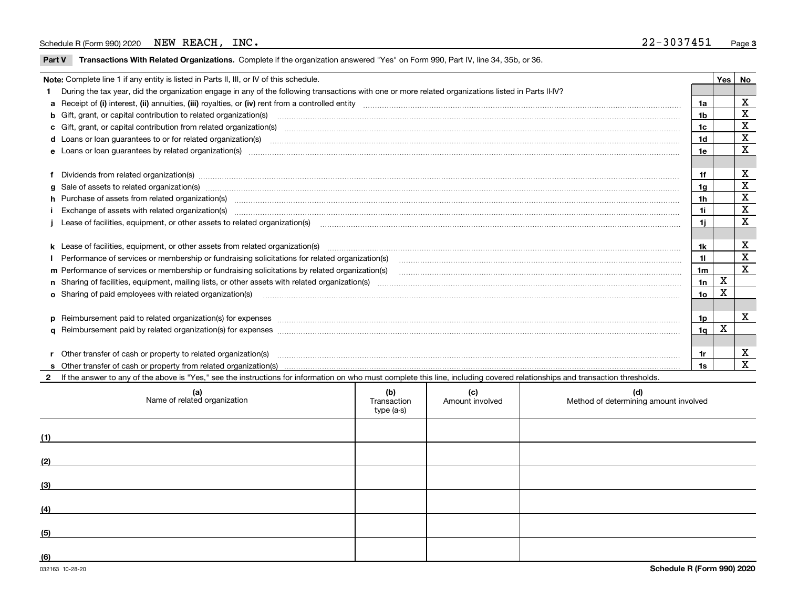#### Schedule R (Form 990) 2020 NEW REACH,  $INC.$ NEW REACH, INC.

 $\overline{\phantom{a}}$ 

**Part V** T**ransactions With Related Organizations.** Complete if the organization answered "Yes" on Form 990, Part IV, line 34, 35b, or 36.

| Note: Complete line 1 if any entity is listed in Parts II, III, or IV of this schedule.                                                                                                                                        |                | Yes | No                      |  |  |
|--------------------------------------------------------------------------------------------------------------------------------------------------------------------------------------------------------------------------------|----------------|-----|-------------------------|--|--|
| 1 During the tax year, did the organization engage in any of the following transactions with one or more related organizations listed in Parts II-IV?                                                                          |                |     |                         |  |  |
|                                                                                                                                                                                                                                | 1a             |     | X                       |  |  |
| b Gift, grant, or capital contribution to related organization(s) manufaction contracts and contribution to related organization(s)                                                                                            | 1b             |     | X                       |  |  |
| c Gift, grant, or capital contribution from related organization(s) matches contains and content and contribution from related organization(s) matches contains and contribution from related organization(s) matches contains | 1c             |     | х                       |  |  |
| <b>d</b> Loans or loan quarantees to or for related organization(s)                                                                                                                                                            | 1 <sub>d</sub> |     | $\mathbf x$             |  |  |
|                                                                                                                                                                                                                                | 1e             |     | X                       |  |  |
|                                                                                                                                                                                                                                |                |     |                         |  |  |
| f Dividends from related organization(s) manufactured contains and contained and contained contained and contained and contained and contained and contained and contained and contained and contained and contained and conta | 1f             |     | х                       |  |  |
| g Sale of assets to related organization(s) www.assettion.com/www.assettion.com/www.assettion.com/www.assettion.com/www.assettion.com/www.assettion.com/www.assettion.com/www.assettion.com/www.assettion.com/www.assettion.co | 1a             |     | X                       |  |  |
| h Purchase of assets from related organization(s) www.assettion.com/www.assettion.com/www.assettion.com/www.assettion.com/www.assettion.com/www.assettion.com/www.assettion.com/www.assettion.com/www.assettion.com/www.assett | 1 <sub>h</sub> |     | $\mathbf X$             |  |  |
| Exchange of assets with related organization(s) www.warehouse.com/www.warehouse.com/www.warehouse.com/www.warehouse.com/www.warehouse.com/www.warehouse.com/www.warehouse.com/www.warehouse.com/www.warehouse.com/www.warehous | 1i             |     | X                       |  |  |
| 1i.                                                                                                                                                                                                                            |                |     |                         |  |  |
|                                                                                                                                                                                                                                |                |     |                         |  |  |
|                                                                                                                                                                                                                                | 1k             |     | X                       |  |  |
|                                                                                                                                                                                                                                | 11             |     | X                       |  |  |
| m Performance of services or membership or fundraising solicitations by related organization(s)                                                                                                                                | 1m             |     | $\overline{\mathbf{x}}$ |  |  |
|                                                                                                                                                                                                                                | 1n             | х   |                         |  |  |
| <b>o</b> Sharing of paid employees with related organization(s)                                                                                                                                                                | 1о             | X   |                         |  |  |
|                                                                                                                                                                                                                                |                |     |                         |  |  |
| p Reimbursement paid to related organization(s) for expenses [11111] [12] manufacture manufacture manufacture manufacture manufacture manufacture manufacture manufacture manufacture manufacture manufacture manufacture manu | 1p             |     | X                       |  |  |
|                                                                                                                                                                                                                                | 1q             | X   |                         |  |  |
|                                                                                                                                                                                                                                |                |     |                         |  |  |
| r Other transfer of cash or property to related organization(s)                                                                                                                                                                | 1r             |     | X                       |  |  |
|                                                                                                                                                                                                                                | 1s             |     | X                       |  |  |
| 2 If the answer to any of the above is "Yes," see the instructions for information on who must complete this line, including covered relationships and transaction thresholds.                                                 |                |     |                         |  |  |

| (a)<br>Name of related organization | (b)<br>Transaction<br>type (a-s) | (c)<br>Amount involved | (d)<br>Method of determining amount involved |
|-------------------------------------|----------------------------------|------------------------|----------------------------------------------|
| (1)                                 |                                  |                        |                                              |
| (2)                                 |                                  |                        |                                              |
| (3)                                 |                                  |                        |                                              |
| (4)                                 |                                  |                        |                                              |
| (5)                                 |                                  |                        |                                              |
| (6)                                 |                                  |                        |                                              |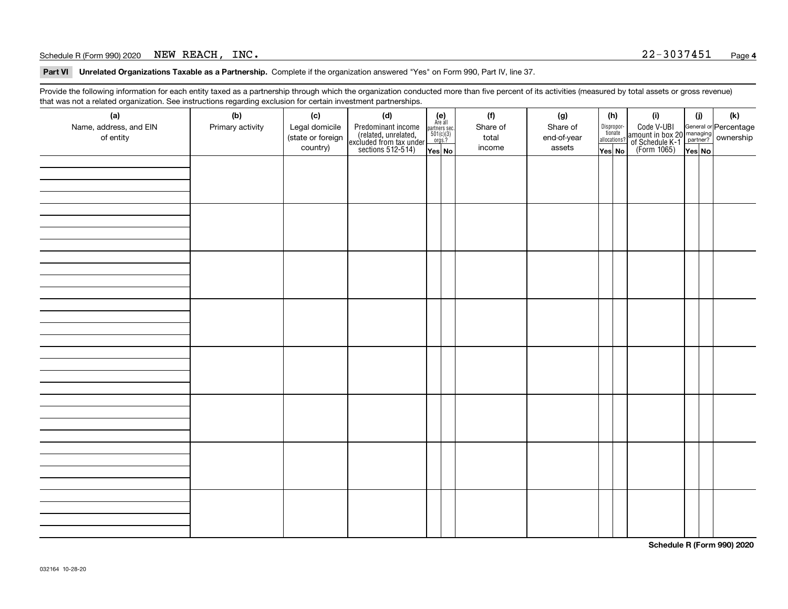#### Schedule R (Form 990) 2020 Page NEW REACH, INC. 22-3037451

**Part VI Unrelated Organizations Taxable as a Partnership. Complete if the organization answered "Yes" on Form 990, Part IV, line 37.** 

Provide the following information for each entity taxed as a partnership through which the organization conducted more than five percent of its activities (measured by total assets or gross revenue) that was not a related organization. See instructions regarding exclusion for certain investment partnerships.

| (a)<br>Name, address, and EIN<br>of entity | (b)<br>Primary activity | (c)<br>Legal domicile<br>(state or foreign<br>country) | (d)<br>Predominant income<br>(related, unrelated,<br>excluded from tax under<br>sections 512-514) | $\begin{array}{c} \textbf{(e)}\\ \text{Are all} \\ \text{partners sec.}\\ 501(c)(3)\\ \text{orgs.?} \end{array}$<br>Yes No | (f)<br>Share of<br>total<br>income | (g)<br>Share of<br>end-of-year<br>assets | (h)<br>Dispropor-<br>tionate<br>allocations?<br>Yes No | (i)<br>Code V-UBI<br>  amount in box 20 managing<br>  of Schedule K-1 partner? ownership<br>  of Schedule K-1 partner? ownership<br>  Yes No | (i)<br>Yes No | (k) |
|--------------------------------------------|-------------------------|--------------------------------------------------------|---------------------------------------------------------------------------------------------------|----------------------------------------------------------------------------------------------------------------------------|------------------------------------|------------------------------------------|--------------------------------------------------------|----------------------------------------------------------------------------------------------------------------------------------------------|---------------|-----|
|                                            |                         |                                                        |                                                                                                   |                                                                                                                            |                                    |                                          |                                                        |                                                                                                                                              |               |     |
|                                            |                         |                                                        |                                                                                                   |                                                                                                                            |                                    |                                          |                                                        |                                                                                                                                              |               |     |
|                                            |                         |                                                        |                                                                                                   |                                                                                                                            |                                    |                                          |                                                        |                                                                                                                                              |               |     |
|                                            |                         |                                                        |                                                                                                   |                                                                                                                            |                                    |                                          |                                                        |                                                                                                                                              |               |     |
|                                            |                         |                                                        |                                                                                                   |                                                                                                                            |                                    |                                          |                                                        |                                                                                                                                              |               |     |
|                                            |                         |                                                        |                                                                                                   |                                                                                                                            |                                    |                                          |                                                        |                                                                                                                                              |               |     |
|                                            |                         |                                                        |                                                                                                   |                                                                                                                            |                                    |                                          |                                                        |                                                                                                                                              |               |     |
|                                            |                         |                                                        |                                                                                                   |                                                                                                                            |                                    |                                          |                                                        |                                                                                                                                              |               |     |

**Schedule R (Form 990) 2020**